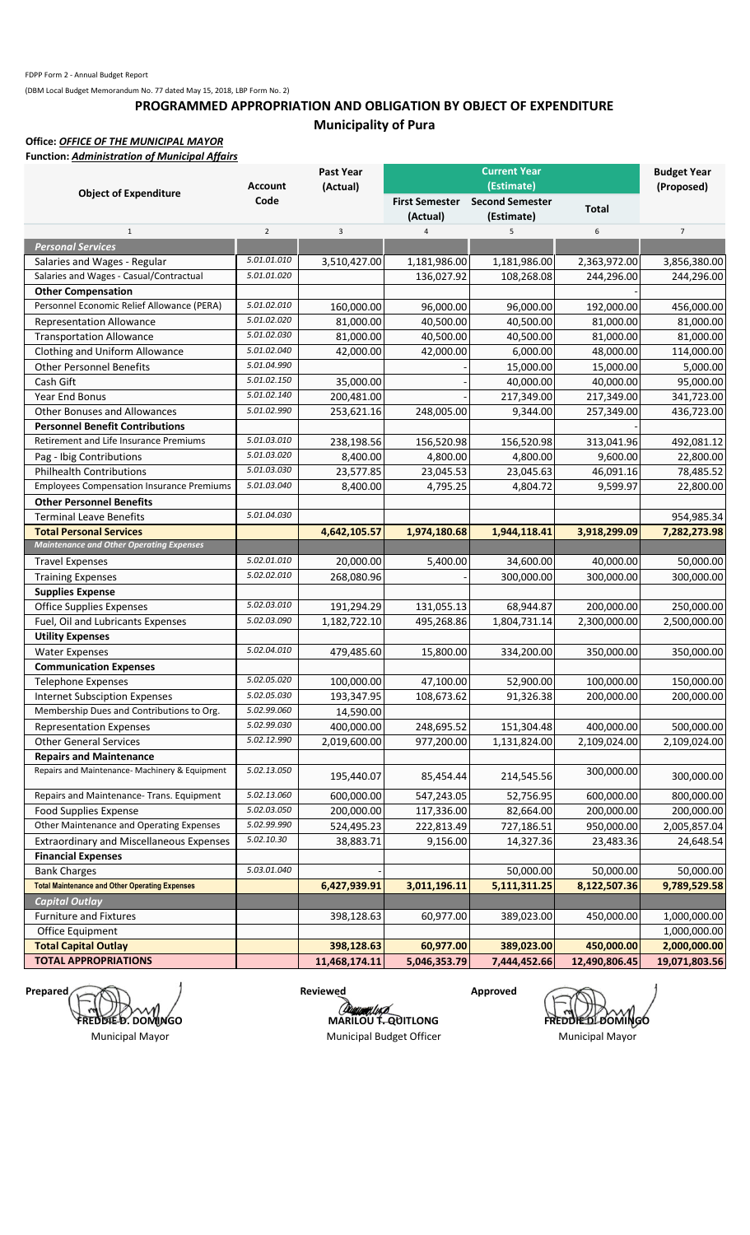## **PROGRAMMED APPROPRIATION AND OBLIGATION BY OBJECT OF EXPENDITURE Municipality of Pura**

**Office:** *OFFICE OF THE MUNICIPAL MAYOR* **Function:** *Administration of Municipal Affairs*

|                                                       |                | <b>Past Year</b>            |                       | <b>Current Year</b>    |               | <b>Budget Year</b>            |
|-------------------------------------------------------|----------------|-----------------------------|-----------------------|------------------------|---------------|-------------------------------|
|                                                       | <b>Account</b> | (Actual)                    |                       | (Estimate)             |               | (Proposed)                    |
| <b>Object of Expenditure</b>                          | Code           |                             | <b>First Semester</b> | <b>Second Semester</b> | <b>Total</b>  |                               |
|                                                       |                |                             | (Actual)              | (Estimate)             |               |                               |
| $\mathbf{1}$                                          | $\overline{2}$ | 3                           | $\overline{4}$        | 5                      | 6             | $\overline{7}$                |
| <b>Personal Services</b>                              |                |                             |                       |                        |               |                               |
| Salaries and Wages - Regular                          | 5.01.01.010    | 3,510,427.00                | 1,181,986.00          | 1,181,986.00           | 2,363,972.00  | 3,856,380.00                  |
| Salaries and Wages - Casual/Contractual               | 5.01.01.020    |                             | 136,027.92            | 108,268.08             | 244,296.00    | 244,296.00                    |
| <b>Other Compensation</b>                             |                |                             |                       |                        |               |                               |
| Personnel Economic Relief Allowance (PERA)            | 5.01.02.010    | 160,000.00                  | 96,000.00             | 96,000.00              | 192,000.00    | 456,000.00                    |
| <b>Representation Allowance</b>                       | 5.01.02.020    | 81,000.00                   | 40,500.00             | 40,500.00              | 81,000.00     | 81,000.00                     |
| <b>Transportation Allowance</b>                       | 5.01.02.030    | 81,000.00                   | 40,500.00             | 40,500.00              | 81,000.00     | 81,000.00                     |
| Clothing and Uniform Allowance                        | 5.01.02.040    | 42,000.00                   | 42,000.00             | 6,000.00               | 48,000.00     | 114,000.00                    |
| <b>Other Personnel Benefits</b>                       | 5.01.04.990    |                             |                       | 15,000.00              | 15,000.00     | 5,000.00                      |
| Cash Gift                                             | 5.01.02.150    | 35,000.00                   |                       | 40,000.00              | 40,000.00     | 95,000.00                     |
| Year End Bonus                                        | 5.01.02.140    | 200,481.00                  |                       | 217,349.00             | 217,349.00    | 341,723.00                    |
| <b>Other Bonuses and Allowances</b>                   | 5.01.02.990    | 253,621.16                  | 248,005.00            | 9,344.00               | 257,349.00    | 436,723.00                    |
| <b>Personnel Benefit Contributions</b>                |                |                             |                       |                        |               |                               |
| Retirement and Life Insurance Premiums                | 5.01.03.010    | 238,198.56                  | 156,520.98            | 156,520.98             | 313,041.96    | 492,081.12                    |
| Pag - Ibig Contributions                              | 5.01.03.020    | 8,400.00                    | 4,800.00              | 4,800.00               | 9,600.00      | 22,800.00                     |
| <b>Philhealth Contributions</b>                       | 5.01.03.030    | 23,577.85                   | 23,045.53             | 23,045.63              | 46,091.16     | 78,485.52                     |
| <b>Employees Compensation Insurance Premiums</b>      | 5.01.03.040    | 8,400.00                    | 4,795.25              | 4,804.72               | 9,599.97      | 22,800.00                     |
| <b>Other Personnel Benefits</b>                       |                |                             |                       |                        |               |                               |
| <b>Terminal Leave Benefits</b>                        | 5.01.04.030    |                             |                       |                        |               | 954,985.34                    |
| <b>Total Personal Services</b>                        |                | 4,642,105.57                | 1,974,180.68          | 1,944,118.41           | 3,918,299.09  | 7,282,273.98                  |
| <b>Maintenance and Other Operating Expenses</b>       |                |                             |                       |                        |               |                               |
| <b>Travel Expenses</b>                                | 5.02.01.010    | 20,000.00                   | 5,400.00              | 34,600.00              | 40,000.00     | 50,000.00                     |
| <b>Training Expenses</b>                              | 5.02.02.010    | 268,080.96                  |                       | 300,000.00             | 300,000.00    | 300,000.00                    |
| <b>Supplies Expense</b>                               |                |                             |                       |                        |               |                               |
| <b>Office Supplies Expenses</b>                       | 5.02.03.010    | 191,294.29                  | 131,055.13            | 68,944.87              | 200,000.00    | 250,000.00                    |
| Fuel, Oil and Lubricants Expenses                     | 5.02.03.090    | 1,182,722.10                | 495,268.86            | 1,804,731.14           | 2,300,000.00  | 2,500,000.00                  |
| <b>Utility Expenses</b>                               |                |                             |                       |                        |               |                               |
| <b>Water Expenses</b>                                 | 5.02.04.010    | 479,485.60                  | 15,800.00             | 334,200.00             | 350,000.00    | 350,000.00                    |
| <b>Communication Expenses</b>                         |                |                             |                       |                        |               |                               |
| <b>Telephone Expenses</b>                             | 5.02.05.020    | 100,000.00                  | 47,100.00             | 52,900.00              | 100,000.00    | 150,000.00                    |
| <b>Internet Subsciption Expenses</b>                  | 5.02.05.030    | 193,347.95                  | 108,673.62            | 91,326.38              | 200,000.00    | 200,000.00                    |
| Membership Dues and Contributions to Org.             | 5.02.99.060    | 14,590.00                   |                       |                        |               |                               |
| <b>Representation Expenses</b>                        | 5.02.99.030    | 400,000.00                  | 248,695.52            | 151,304.48             | 400,000.00    | 500,000.00                    |
| <b>Other General Services</b>                         | 5.02.12.990    | 2,019,600.00                | 977,200.00            | 1,131,824.00           | 2,109,024.00  | 2,109,024.00                  |
| <b>Repairs and Maintenance</b>                        |                |                             |                       |                        |               |                               |
| Repairs and Maintenance- Machinery & Equipment        | 5.02.13.050    | 195,440.07                  | 85,454.44             | 214,545.56             | 300,000.00    | 300,000.00                    |
| Repairs and Maintenance- Trans. Equipment             | 5.02.13.060    | 600,000.00                  | 547,243.05            | 52,756.95              | 600,000.00    | 800,000.00                    |
| Food Supplies Expense                                 | 5.02.03.050    | 200,000.00                  | 117,336.00            | 82,664.00              | 200,000.00    | 200,000.00                    |
| Other Maintenance and Operating Expenses              | 5.02.99.990    | 524,495.23                  | 222,813.49            | 727,186.51             | 950,000.00    | 2,005,857.04                  |
| <b>Extraordinary and Miscellaneous Expenses</b>       | 5.02.10.30     | 38,883.71                   | 9,156.00              | 14,327.36              | 23,483.36     | 24,648.54                     |
| <b>Financial Expenses</b>                             |                |                             |                       |                        |               |                               |
| <b>Bank Charges</b>                                   | 5.03.01.040    |                             |                       | 50,000.00              | 50,000.00     | 50,000.00                     |
| <b>Total Maintenance and Other Operating Expenses</b> |                | 6,427,939.91                | 3,011,196.11          | 5,111,311.25           | 8,122,507.36  | 9,789,529.58                  |
| <b>Capital Outlay</b>                                 |                |                             |                       |                        |               |                               |
| <b>Furniture and Fixtures</b>                         |                |                             | 60,977.00             | 389,023.00             | 450,000.00    | 1,000,000.00                  |
|                                                       |                | 398,128.63                  |                       |                        |               | 1,000,000.00                  |
| Office Equipment<br><b>Total Capital Outlay</b>       |                |                             | 60,977.00             | 389,023.00             | 450,000.00    |                               |
| <b>TOTAL APPROPRIATIONS</b>                           |                | 398,128.63<br>11,468,174.11 | 5,046,353.79          | 7,444,452.66           | 12,490,806.45 | 2,000,000.00<br>19,071,803.56 |
|                                                       |                |                             |                       |                        |               |                               |

Prepared **Reviewed** Approved **FREDDIE D. DOMINGO** Municipal Mayor

**MARILOU T. QUITLONG FREDDIE D. DOMINGO** Municipal Budget Officer Municipal Mayor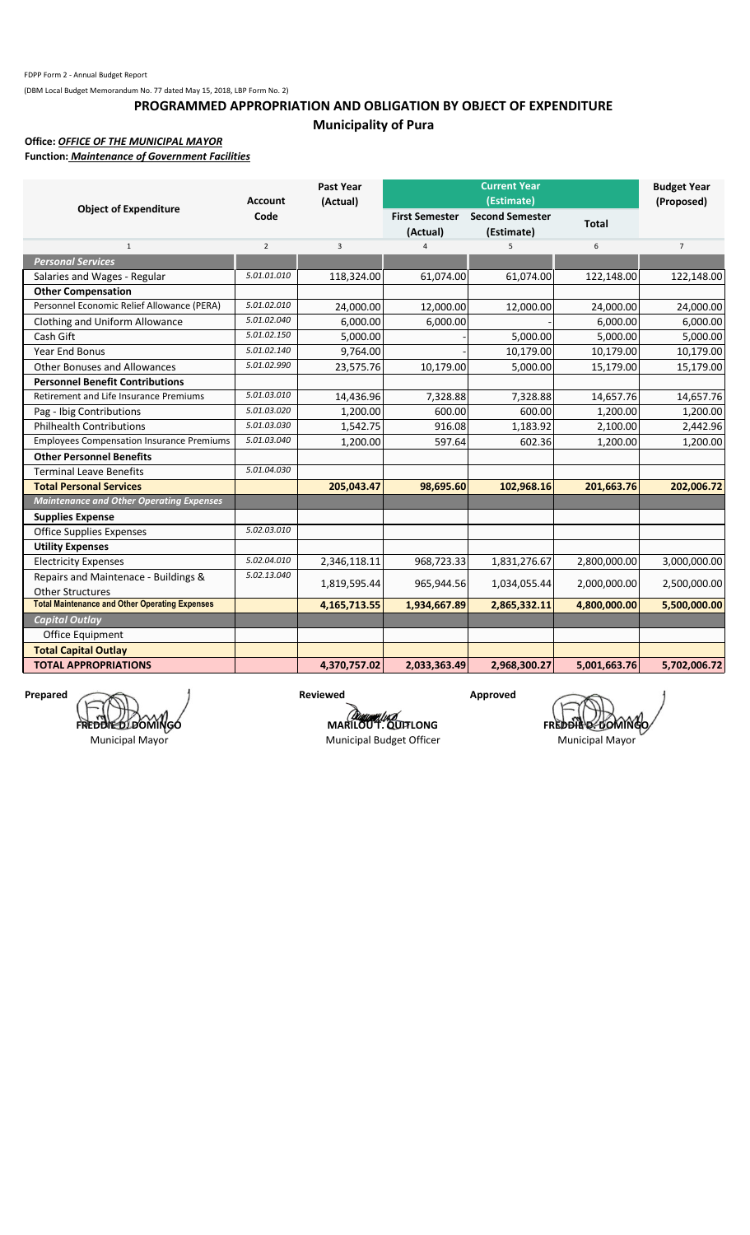## **PROGRAMMED APPROPRIATION AND OBLIGATION BY OBJECT OF EXPENDITURE Municipality of Pura**

### **Office:** *OFFICE OF THE MUNICIPAL MAYOR*

**Function:** *Maintenance of Government Facilities*

|                                                       | <b>Account</b> | <b>Past Year</b><br>(Actual) |                                   | <b>Current Year</b><br>(Estimate)    |              | <b>Budget Year</b><br>(Proposed) |
|-------------------------------------------------------|----------------|------------------------------|-----------------------------------|--------------------------------------|--------------|----------------------------------|
| <b>Object of Expenditure</b>                          | Code           |                              | <b>First Semester</b><br>(Actual) | <b>Second Semester</b><br>(Estimate) | <b>Total</b> |                                  |
| $\mathbf{1}$                                          | $\overline{2}$ | 3                            | 4                                 | 5                                    | 6            | $\overline{7}$                   |
| <b>Personal Services</b>                              |                |                              |                                   |                                      |              |                                  |
| Salaries and Wages - Regular                          | 5.01.01.010    | 118,324.00                   | 61,074.00                         | 61,074.00                            | 122,148.00   | 122,148.00                       |
| <b>Other Compensation</b>                             |                |                              |                                   |                                      |              |                                  |
| Personnel Economic Relief Allowance (PERA)            | 5.01.02.010    | 24,000.00                    | 12,000.00                         | 12,000.00                            | 24,000.00    | 24,000.00                        |
| Clothing and Uniform Allowance                        | 5.01.02.040    | 6,000.00                     | 6,000.00                          |                                      | 6,000.00     | 6,000.00                         |
| Cash Gift                                             | 5.01.02.150    | 5,000.00                     |                                   | 5,000.00                             | 5,000.00     | 5,000.00                         |
| <b>Year End Bonus</b>                                 | 5.01.02.140    | 9,764.00                     |                                   | 10,179.00                            | 10,179.00    | 10,179.00                        |
| <b>Other Bonuses and Allowances</b>                   | 5.01.02.990    | 23,575.76                    | 10,179.00                         | 5,000.00                             | 15,179.00    | 15,179.00                        |
| <b>Personnel Benefit Contributions</b>                |                |                              |                                   |                                      |              |                                  |
| Retirement and Life Insurance Premiums                | 5.01.03.010    | 14,436.96                    | 7,328.88                          | 7,328.88                             | 14,657.76    | 14,657.76                        |
| Pag - Ibig Contributions                              | 5.01.03.020    | 1,200.00                     | 600.00                            | 600.00                               | 1,200.00     | 1,200.00                         |
| <b>Philhealth Contributions</b>                       | 5.01.03.030    | 1,542.75                     | 916.08                            | 1,183.92                             | 2,100.00     | 2,442.96                         |
| <b>Employees Compensation Insurance Premiums</b>      | 5.01.03.040    | 1,200.00                     | 597.64                            | 602.36                               | 1,200.00     | 1,200.00                         |
| <b>Other Personnel Benefits</b>                       |                |                              |                                   |                                      |              |                                  |
| <b>Terminal Leave Benefits</b>                        | 5.01.04.030    |                              |                                   |                                      |              |                                  |
| <b>Total Personal Services</b>                        |                | 205,043.47                   | 98,695.60                         | 102,968.16                           | 201,663.76   | 202,006.72                       |
| <b>Maintenance and Other Operating Expenses</b>       |                |                              |                                   |                                      |              |                                  |
| <b>Supplies Expense</b>                               |                |                              |                                   |                                      |              |                                  |
| <b>Office Supplies Expenses</b>                       | 5.02.03.010    |                              |                                   |                                      |              |                                  |
| <b>Utility Expenses</b>                               |                |                              |                                   |                                      |              |                                  |
| <b>Electricity Expenses</b>                           | 5.02.04.010    | 2,346,118.11                 | 968,723.33                        | 1,831,276.67                         | 2,800,000.00 | 3,000,000.00                     |
| Repairs and Maintenace - Buildings &                  | 5.02.13.040    |                              | 965,944.56                        | 1,034,055.44                         | 2,000,000.00 | 2,500,000.00                     |
| <b>Other Structures</b>                               |                | 1,819,595.44                 |                                   |                                      |              |                                  |
| <b>Total Maintenance and Other Operating Expenses</b> |                | 4,165,713.55                 | 1,934,667.89                      | 2,865,332.11                         | 4,800,000.00 | 5,500,000.00                     |
| <b>Capital Outlay</b>                                 |                |                              |                                   |                                      |              |                                  |
| Office Equipment                                      |                |                              |                                   |                                      |              |                                  |
| <b>Total Capital Outlay</b>                           |                |                              |                                   |                                      |              |                                  |
| <b>TOTAL APPROPRIATIONS</b>                           |                | 4,370,757.02                 | 2,033,363.49                      | 2,968,300.27                         | 5,001,663.76 | 5,702,006.72                     |

Prepared **Approved Reviewed Approved** FRED**DIED**LDOMINGO

Municipal Mayor

**MARILOUT.QUITLONG FREDDIE DOMINGO** Municipal Budget Officer Municipal Mayor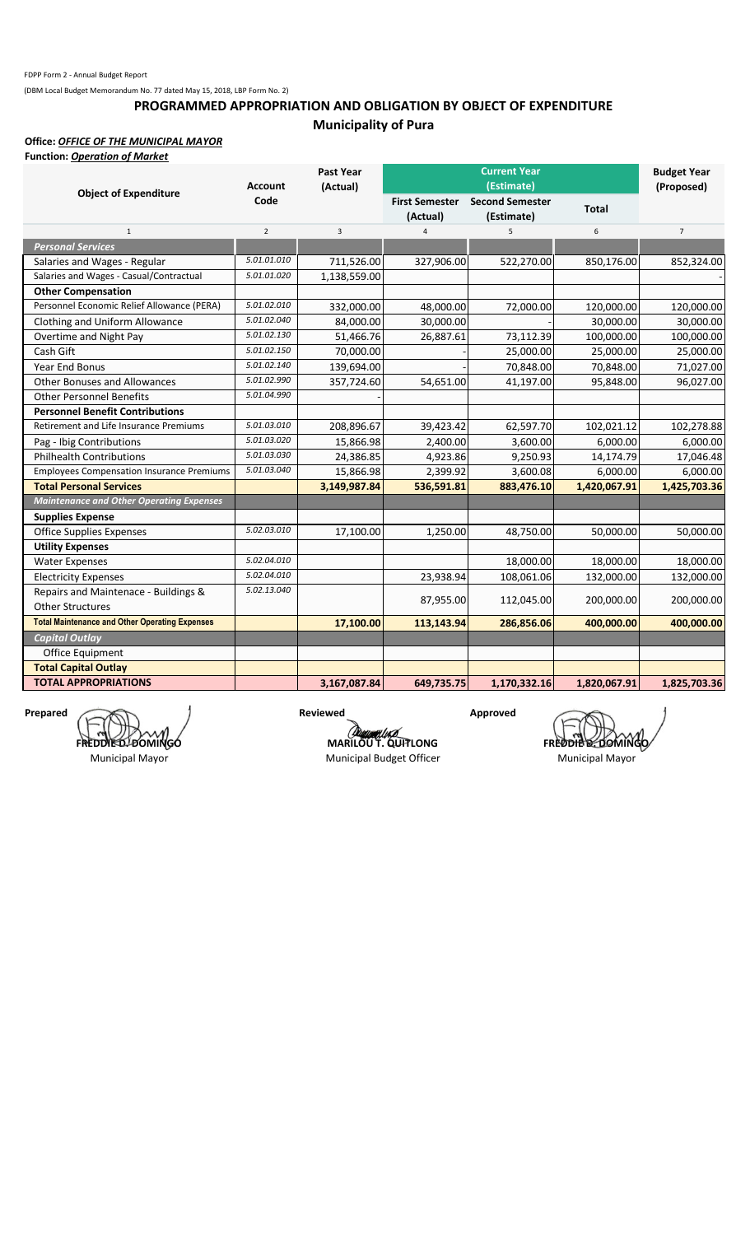## **Municipality of Pura PROGRAMMED APPROPRIATION AND OBLIGATION BY OBJECT OF EXPENDITURE**

### **Office:** *OFFICE OF THE MUNICIPAL MAYOR*

| Function: <i>Operation of Market</i> |  |  |  |
|--------------------------------------|--|--|--|
|--------------------------------------|--|--|--|

|                                                       | <b>Account</b> | Past Year<br>(Actual) |                       | <b>Current Year</b><br>(Estimate) |              | <b>Budget Year</b><br>(Proposed) |
|-------------------------------------------------------|----------------|-----------------------|-----------------------|-----------------------------------|--------------|----------------------------------|
| <b>Object of Expenditure</b>                          | Code           |                       | <b>First Semester</b> | <b>Second Semester</b>            |              |                                  |
|                                                       |                |                       | (Actual)              | (Estimate)                        | <b>Total</b> |                                  |
| $\mathbf{1}$                                          | $\overline{2}$ | 3                     | $\overline{4}$        | 5                                 | 6            | $\overline{7}$                   |
| <b>Personal Services</b>                              |                |                       |                       |                                   |              |                                  |
| Salaries and Wages - Regular                          | 5.01.01.010    | 711,526.00            | 327,906.00            | 522,270.00                        | 850,176.00   | 852,324.00                       |
| Salaries and Wages - Casual/Contractual               | 5.01.01.020    | 1,138,559.00          |                       |                                   |              |                                  |
| <b>Other Compensation</b>                             |                |                       |                       |                                   |              |                                  |
| Personnel Economic Relief Allowance (PERA)            | 5.01.02.010    | 332,000.00            | 48,000.00             | 72,000.00                         | 120,000.00   | 120,000.00                       |
| Clothing and Uniform Allowance                        | 5.01.02.040    | 84,000.00             | 30,000.00             |                                   | 30,000.00    | 30,000.00                        |
| Overtime and Night Pay                                | 5.01.02.130    | 51,466.76             | 26,887.61             | 73,112.39                         | 100,000.00   | 100,000.00                       |
| Cash Gift                                             | 5.01.02.150    | 70,000.00             |                       | 25,000.00                         | 25,000.00    | 25,000.00                        |
| <b>Year End Bonus</b>                                 | 5.01.02.140    | 139,694.00            |                       | 70,848.00                         | 70,848.00    | 71,027.00                        |
| <b>Other Bonuses and Allowances</b>                   | 5.01.02.990    | 357,724.60            | 54,651.00             | 41,197.00                         | 95,848.00    | 96,027.00                        |
| <b>Other Personnel Benefits</b>                       | 5.01.04.990    |                       |                       |                                   |              |                                  |
| <b>Personnel Benefit Contributions</b>                |                |                       |                       |                                   |              |                                  |
| Retirement and Life Insurance Premiums                | 5.01.03.010    | 208,896.67            | 39,423.42             | 62,597.70                         | 102,021.12   | 102,278.88                       |
| Pag - Ibig Contributions                              | 5.01.03.020    | 15,866.98             | 2,400.00              | 3,600.00                          | 6,000.00     | 6,000.00                         |
| <b>Philhealth Contributions</b>                       | 5.01.03.030    | 24,386.85             | 4,923.86              | 9,250.93                          | 14,174.79    | 17,046.48                        |
| <b>Employees Compensation Insurance Premiums</b>      | 5.01.03.040    | 15,866.98             | 2,399.92              | 3,600.08                          | 6,000.00     | 6,000.00                         |
| <b>Total Personal Services</b>                        |                | 3,149,987.84          | 536,591.81            | 883,476.10                        | 1,420,067.91 | 1,425,703.36                     |
| <b>Maintenance and Other Operating Expenses</b>       |                |                       |                       |                                   |              |                                  |
| <b>Supplies Expense</b>                               |                |                       |                       |                                   |              |                                  |
| <b>Office Supplies Expenses</b>                       | 5.02.03.010    | 17,100.00             | 1,250.00              | 48,750.00                         | 50,000.00    | 50,000.00                        |
| <b>Utility Expenses</b>                               |                |                       |                       |                                   |              |                                  |
| <b>Water Expenses</b>                                 | 5.02.04.010    |                       |                       | 18,000.00                         | 18,000.00    | 18,000.00                        |
| <b>Electricity Expenses</b>                           | 5.02.04.010    |                       | 23,938.94             | 108,061.06                        | 132,000.00   | 132,000.00                       |
| Repairs and Maintenace - Buildings &                  | 5.02.13.040    |                       |                       |                                   |              |                                  |
| <b>Other Structures</b>                               |                |                       | 87,955.00             | 112,045.00                        | 200,000.00   | 200,000.00                       |
| <b>Total Maintenance and Other Operating Expenses</b> |                | 17,100.00             | 113,143.94            | 286,856.06                        | 400,000.00   | 400,000.00                       |
| <b>Capital Outlay</b>                                 |                |                       |                       |                                   |              |                                  |
| Office Equipment                                      |                |                       |                       |                                   |              |                                  |
| <b>Total Capital Outlay</b>                           |                |                       |                       |                                   |              |                                  |
| <b>TOTAL APPROPRIATIONS</b>                           |                | 3,167,087.84          | 649,735.75            | 1,170,332.16                      | 1,820,067.91 | 1,825,703.36                     |

Prepared **Approved FREDDIE D. DOMINGO**

Municipal Mayor

**MARILOU T. QUITLONG FREDDIE DOMING** Municipal Budget Officer Municipal Mayor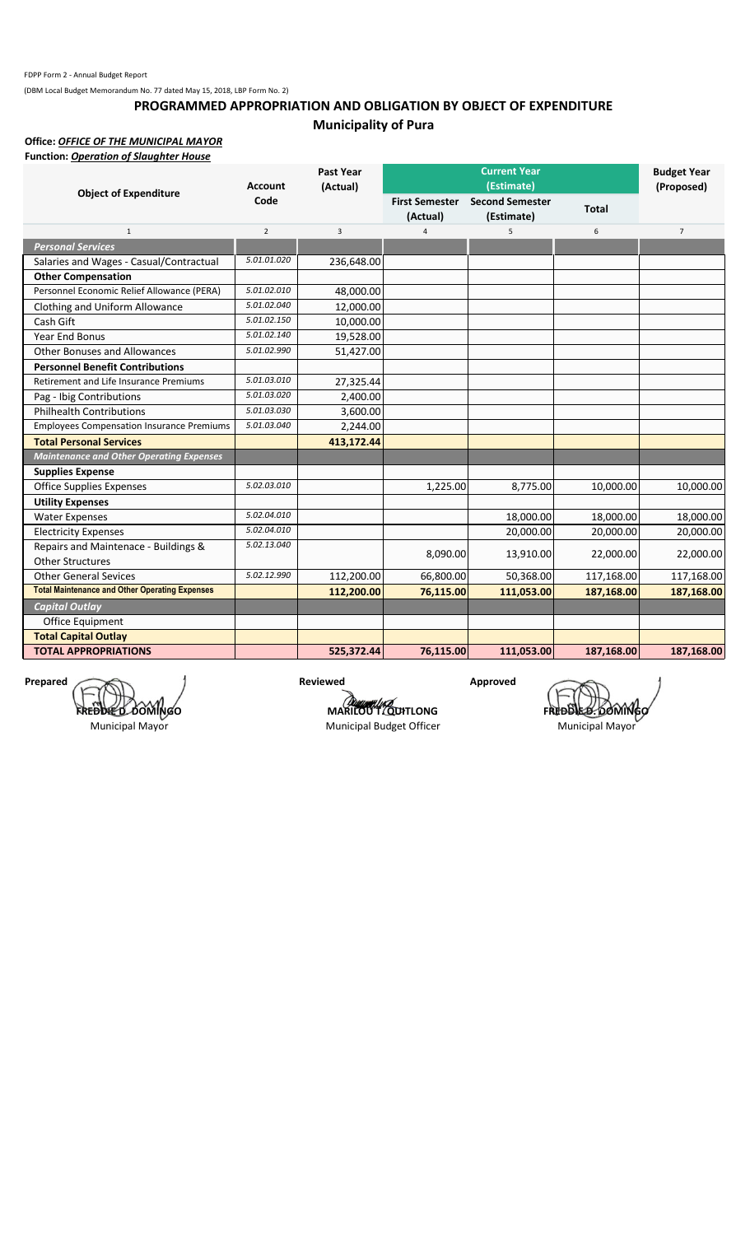## **PROGRAMMED APPROPRIATION AND OBLIGATION BY OBJECT OF EXPENDITURE Municipality of Pura**

**Office:** *OFFICE OF THE MUNICIPAL MAYOR*

| <b>Function: Operation of Slaughter House</b>         |                |            |                                   |                                      |              |                    |
|-------------------------------------------------------|----------------|------------|-----------------------------------|--------------------------------------|--------------|--------------------|
|                                                       |                | Past Year  |                                   | <b>Current Year</b>                  |              | <b>Budget Year</b> |
| <b>Object of Expenditure</b>                          | <b>Account</b> | (Actual)   |                                   | (Estimate)                           |              | (Proposed)         |
|                                                       | Code           |            | <b>First Semester</b><br>(Actual) | <b>Second Semester</b><br>(Estimate) | <b>Total</b> |                    |
| $\mathbf{1}$                                          | $\overline{2}$ | 3          | $\overline{4}$                    | 5                                    | 6            | $\overline{7}$     |
| <b>Personal Services</b>                              |                |            |                                   |                                      |              |                    |
| Salaries and Wages - Casual/Contractual               | 5.01.01.020    | 236,648.00 |                                   |                                      |              |                    |
| <b>Other Compensation</b>                             |                |            |                                   |                                      |              |                    |
| Personnel Economic Relief Allowance (PERA)            | 5.01.02.010    | 48,000.00  |                                   |                                      |              |                    |
| Clothing and Uniform Allowance                        | 5.01.02.040    | 12,000.00  |                                   |                                      |              |                    |
| Cash Gift                                             | 5.01.02.150    | 10,000.00  |                                   |                                      |              |                    |
| <b>Year End Bonus</b>                                 | 5.01.02.140    | 19,528.00  |                                   |                                      |              |                    |
| <b>Other Bonuses and Allowances</b>                   | 5.01.02.990    | 51,427.00  |                                   |                                      |              |                    |
| <b>Personnel Benefit Contributions</b>                |                |            |                                   |                                      |              |                    |
| Retirement and Life Insurance Premiums                | 5.01.03.010    | 27,325.44  |                                   |                                      |              |                    |
| Pag - Ibig Contributions                              | 5.01.03.020    | 2,400.00   |                                   |                                      |              |                    |
| <b>Philhealth Contributions</b>                       | 5.01.03.030    | 3,600.00   |                                   |                                      |              |                    |
| <b>Employees Compensation Insurance Premiums</b>      | 5.01.03.040    | 2,244.00   |                                   |                                      |              |                    |
| <b>Total Personal Services</b>                        |                | 413,172.44 |                                   |                                      |              |                    |
| <b>Maintenance and Other Operating Expenses</b>       |                |            |                                   |                                      |              |                    |
| <b>Supplies Expense</b>                               |                |            |                                   |                                      |              |                    |
| <b>Office Supplies Expenses</b>                       | 5.02.03.010    |            | 1,225.00                          | 8,775.00                             | 10,000.00    | 10,000.00          |
| <b>Utility Expenses</b>                               |                |            |                                   |                                      |              |                    |
| <b>Water Expenses</b>                                 | 5.02.04.010    |            |                                   | 18,000.00                            | 18,000.00    | 18,000.00          |
| <b>Electricity Expenses</b>                           | 5.02.04.010    |            |                                   | 20.000.00                            | 20,000.00    | 20,000.00          |
| Repairs and Maintenace - Buildings &                  | 5.02.13.040    |            | 8,090.00                          | 13,910.00                            | 22,000.00    | 22,000.00          |
| <b>Other Structures</b>                               |                |            |                                   |                                      |              |                    |
| <b>Other General Sevices</b>                          | 5.02.12.990    | 112,200.00 | 66,800.00                         | 50,368.00                            | 117,168.00   | 117,168.00         |
| <b>Total Maintenance and Other Operating Expenses</b> |                | 112,200.00 | 76,115.00                         | 111,053.00                           | 187,168.00   | 187,168.00         |
| <b>Capital Outlay</b>                                 |                |            |                                   |                                      |              |                    |
| <b>Office Equipment</b>                               |                |            |                                   |                                      |              |                    |
| <b>Total Capital Outlay</b>                           |                |            |                                   |                                      |              |                    |
| <b>TOTAL APPROPRIATIONS</b>                           |                | 525,372.44 | 76,115.00                         | 111,053.00                           | 187,168.00   | 187,168.00         |

Prepared **Approved Prepared** Approved **FREDDIE D. DOMINGO**

Municipal Mayor

**MARILOU T. QUITLONG**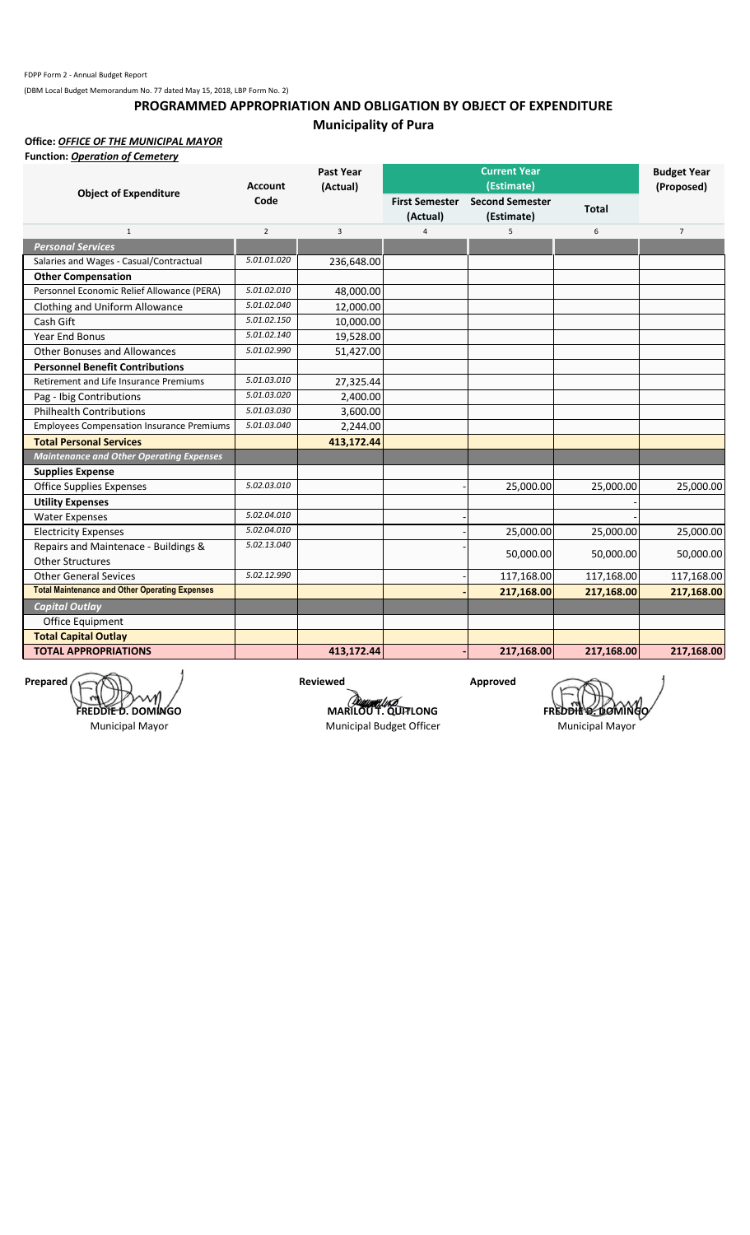## **PROGRAMMED APPROPRIATION AND OBLIGATION BY OBJECT OF EXPENDITURE Municipality of Pura**

**Office:** *OFFICE OF THE MUNICIPAL MAYOR*

| <b>Function: Operation of Cemetery</b>                |                |                  |                            |                                      |              |                    |
|-------------------------------------------------------|----------------|------------------|----------------------------|--------------------------------------|--------------|--------------------|
|                                                       |                | <b>Past Year</b> |                            | <b>Current Year</b>                  |              | <b>Budget Year</b> |
| <b>Object of Expenditure</b>                          | <b>Account</b> | (Actual)         |                            | (Estimate)                           |              | (Proposed)         |
|                                                       | Code           |                  | First Semester<br>(Actual) | <b>Second Semester</b><br>(Estimate) | <b>Total</b> |                    |
| $\mathbf{1}$                                          | $\overline{2}$ | 3                | $\overline{4}$             | 5                                    | 6            | $\overline{7}$     |
| <b>Personal Services</b>                              |                |                  |                            |                                      |              |                    |
| Salaries and Wages - Casual/Contractual               | 5.01.01.020    | 236,648.00       |                            |                                      |              |                    |
| <b>Other Compensation</b>                             |                |                  |                            |                                      |              |                    |
| Personnel Economic Relief Allowance (PERA)            | 5.01.02.010    | 48,000.00        |                            |                                      |              |                    |
| Clothing and Uniform Allowance                        | 5.01.02.040    | 12,000.00        |                            |                                      |              |                    |
| Cash Gift                                             | 5.01.02.150    | 10,000.00        |                            |                                      |              |                    |
| Year End Bonus                                        | 5.01.02.140    | 19,528.00        |                            |                                      |              |                    |
| <b>Other Bonuses and Allowances</b>                   | 5.01.02.990    | 51,427.00        |                            |                                      |              |                    |
| <b>Personnel Benefit Contributions</b>                |                |                  |                            |                                      |              |                    |
| <b>Retirement and Life Insurance Premiums</b>         | 5.01.03.010    | 27,325.44        |                            |                                      |              |                    |
| Pag - Ibig Contributions                              | 5.01.03.020    | 2,400.00         |                            |                                      |              |                    |
| <b>Philhealth Contributions</b>                       | 5.01.03.030    | 3,600.00         |                            |                                      |              |                    |
| <b>Employees Compensation Insurance Premiums</b>      | 5.01.03.040    | 2,244.00         |                            |                                      |              |                    |
| <b>Total Personal Services</b>                        |                | 413,172.44       |                            |                                      |              |                    |
| <b>Maintenance and Other Operating Expenses</b>       |                |                  |                            |                                      |              |                    |
| <b>Supplies Expense</b>                               |                |                  |                            |                                      |              |                    |
| <b>Office Supplies Expenses</b>                       | 5.02.03.010    |                  |                            | 25,000.00                            | 25,000.00    | 25,000.00          |
| <b>Utility Expenses</b>                               |                |                  |                            |                                      |              |                    |
| <b>Water Expenses</b>                                 | 5.02.04.010    |                  |                            |                                      |              |                    |
| <b>Electricity Expenses</b>                           | 5.02.04.010    |                  |                            | 25,000.00                            | 25,000.00    | 25,000.00          |
| Repairs and Maintenace - Buildings &                  | 5.02.13.040    |                  |                            |                                      |              |                    |
| <b>Other Structures</b>                               |                |                  |                            | 50,000.00                            | 50,000.00    | 50,000.00          |
| <b>Other General Sevices</b>                          | 5.02.12.990    |                  |                            | 117,168.00                           | 117,168.00   | 117,168.00         |
| <b>Total Maintenance and Other Operating Expenses</b> |                |                  |                            | 217,168.00                           | 217,168.00   | 217,168.00         |
| <b>Capital Outlay</b>                                 |                |                  |                            |                                      |              |                    |
| Office Equipment                                      |                |                  |                            |                                      |              |                    |
| <b>Total Capital Outlay</b>                           |                |                  |                            |                                      |              |                    |
| <b>TOTAL APPROPRIATIONS</b>                           |                | 413,172.44       |                            | 217,168.00                           | 217,168.00   | 217,168.00         |
|                                                       |                |                  |                            |                                      |              |                    |

Prepared **Reviewed Approved FREDDIE D. DOMINGO**

Municipal Mayor

**MARILOU T. QUITLONG FREDDIE DOMINGO** 

Municipal Budget Officer Municipal Mayor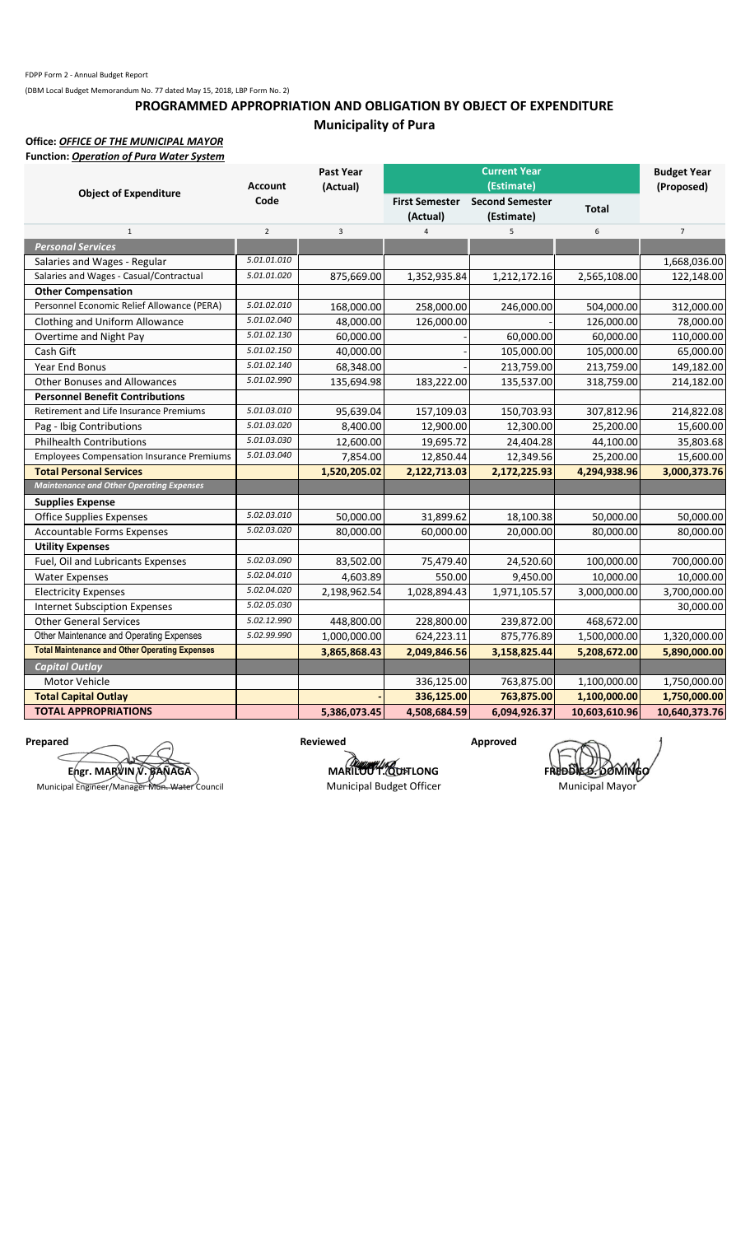## **PROGRAMMED APPROPRIATION AND OBLIGATION BY OBJECT OF EXPENDITURE Municipality of Pura**

# **Office:** *OFFICE OF THE MUNICIPAL MAYOR*

| <b>Function: Operation of Pura Water System</b>       |                |                |                                   |                                      |               |                    |
|-------------------------------------------------------|----------------|----------------|-----------------------------------|--------------------------------------|---------------|--------------------|
|                                                       |                | Past Year      |                                   | <b>Current Year</b>                  |               | <b>Budget Year</b> |
| <b>Object of Expenditure</b>                          | <b>Account</b> | (Actual)       |                                   | (Estimate)                           |               | (Proposed)         |
|                                                       | Code           |                | <b>First Semester</b><br>(Actual) | <b>Second Semester</b><br>(Estimate) | <b>Total</b>  |                    |
| $\mathbf 1$                                           | $\overline{2}$ | $\overline{3}$ | $\overline{4}$                    | 5                                    | 6             | $\overline{7}$     |
| <b>Personal Services</b>                              |                |                |                                   |                                      |               |                    |
| Salaries and Wages - Regular                          | 5.01.01.010    |                |                                   |                                      |               | 1,668,036.00       |
| Salaries and Wages - Casual/Contractual               | 5.01.01.020    | 875,669.00     | 1,352,935.84                      | 1,212,172.16                         | 2,565,108.00  | 122,148.00         |
| <b>Other Compensation</b>                             |                |                |                                   |                                      |               |                    |
| Personnel Economic Relief Allowance (PERA)            | 5.01.02.010    | 168,000.00     | 258,000.00                        | 246,000.00                           | 504,000.00    | 312,000.00         |
| Clothing and Uniform Allowance                        | 5.01.02.040    | 48,000.00      | 126,000.00                        |                                      | 126,000.00    | 78,000.00          |
| Overtime and Night Pay                                | 5.01.02.130    | 60,000.00      |                                   | 60,000.00                            | 60,000.00     | 110,000.00         |
| Cash Gift                                             | 5.01.02.150    | 40,000.00      |                                   | 105,000.00                           | 105,000.00    | 65,000.00          |
| Year End Bonus                                        | 5.01.02.140    | 68,348.00      |                                   | 213,759.00                           | 213,759.00    | 149,182.00         |
| <b>Other Bonuses and Allowances</b>                   | 5.01.02.990    | 135,694.98     | 183,222.00                        | 135,537.00                           | 318,759.00    | 214,182.00         |
| <b>Personnel Benefit Contributions</b>                |                |                |                                   |                                      |               |                    |
| Retirement and Life Insurance Premiums                | 5.01.03.010    | 95,639.04      | 157,109.03                        | 150,703.93                           | 307,812.96    | 214,822.08         |
| Pag - Ibig Contributions                              | 5.01.03.020    | 8,400.00       | 12,900.00                         | 12,300.00                            | 25,200.00     | 15,600.00          |
| <b>Philhealth Contributions</b>                       | 5.01.03.030    | 12,600.00      | 19,695.72                         | 24,404.28                            | 44,100.00     | 35,803.68          |
| <b>Employees Compensation Insurance Premiums</b>      | 5.01.03.040    | 7,854.00       | 12,850.44                         | 12,349.56                            | 25,200.00     | 15,600.00          |
| <b>Total Personal Services</b>                        |                | 1,520,205.02   | 2,122,713.03                      | 2,172,225.93                         | 4,294,938.96  | 3,000,373.76       |
| <b>Maintenance and Other Operating Expenses</b>       |                |                |                                   |                                      |               |                    |
| <b>Supplies Expense</b>                               |                |                |                                   |                                      |               |                    |
| <b>Office Supplies Expenses</b>                       | 5.02.03.010    | 50,000.00      | 31,899.62                         | 18,100.38                            | 50,000.00     | 50,000.00          |
| <b>Accountable Forms Expenses</b>                     | 5.02.03.020    | 80,000.00      | 60.000.00                         | 20,000.00                            | 80,000.00     | 80,000.00          |
| <b>Utility Expenses</b>                               |                |                |                                   |                                      |               |                    |
| Fuel, Oil and Lubricants Expenses                     | 5.02.03.090    | 83,502.00      | 75,479.40                         | 24,520.60                            | 100,000.00    | 700,000.00         |
| <b>Water Expenses</b>                                 | 5.02.04.010    | 4,603.89       | 550.00                            | 9,450.00                             | 10,000.00     | 10,000.00          |
| <b>Electricity Expenses</b>                           | 5.02.04.020    | 2,198,962.54   | 1,028,894.43                      | 1,971,105.57                         | 3,000,000.00  | 3,700,000.00       |
| <b>Internet Subsciption Expenses</b>                  | 5.02.05.030    |                |                                   |                                      |               | 30,000.00          |
| <b>Other General Services</b>                         | 5.02.12.990    | 448,800.00     | 228,800.00                        | 239,872.00                           | 468,672.00    |                    |
| Other Maintenance and Operating Expenses              | 5.02.99.990    | 1,000,000.00   | 624,223.11                        | 875,776.89                           | 1,500,000.00  | 1,320,000.00       |
| <b>Total Maintenance and Other Operating Expenses</b> |                | 3,865,868.43   | 2,049,846.56                      | 3,158,825.44                         | 5,208,672.00  | 5,890,000.00       |
| <b>Capital Outlay</b>                                 |                |                |                                   |                                      |               |                    |
| Motor Vehicle                                         |                |                | 336,125.00                        | 763,875.00                           | 1,100,000.00  | 1,750,000.00       |
| <b>Total Capital Outlay</b>                           |                |                | 336,125.00                        | 763,875.00                           | 1,100,000.00  | 1,750,000.00       |
| <b>TOTAL APPROPRIATIONS</b>                           |                | 5,386,073.45   | 4,508,684.59                      | 6,094,926.37                         | 10,603,610.96 | 10,640,373.76      |

**Prepared Approved Approved Approved Approved Approved Approved Approved Approved Approved Approved Approved Approved Approved Approved Approved Approved Approved Approved Approved Approved Approved Approved Approved Appro Engr. MARVIN V. BAÑAGA**

Municipal Engineer/Manager Mun. Water Council

**MARILOU T. QUITLONG**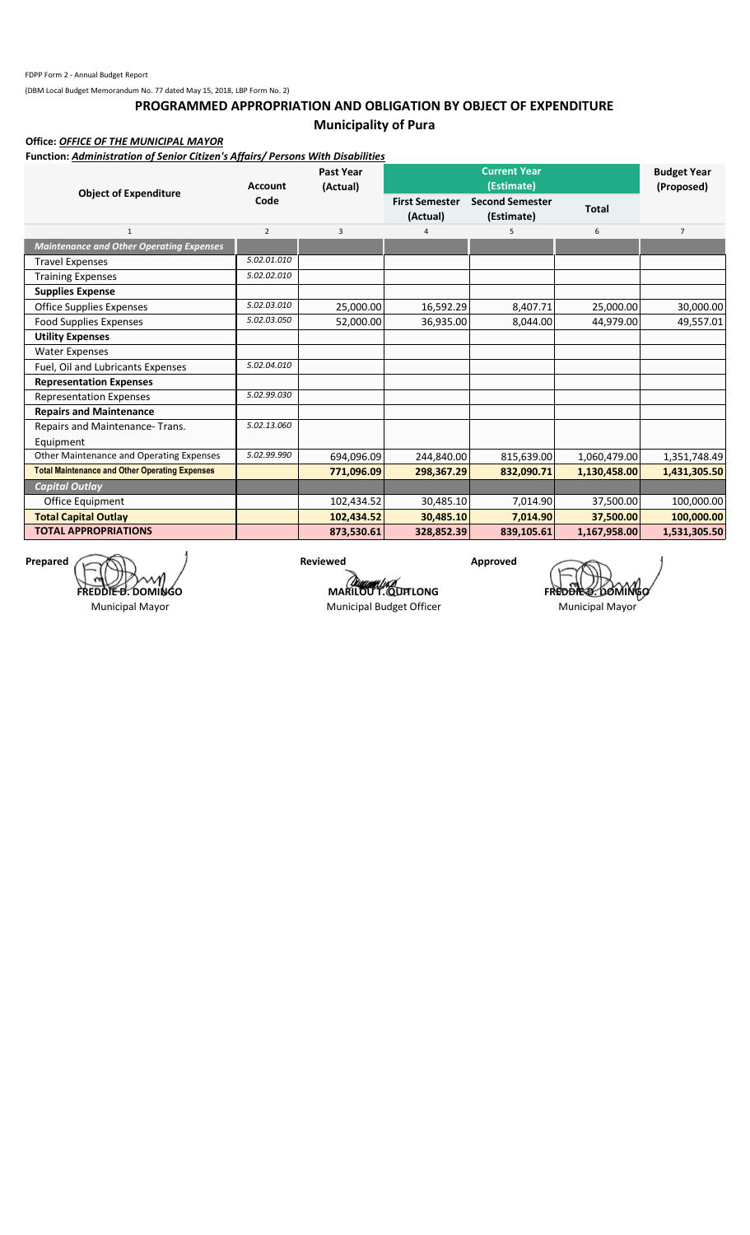## **PROGRAMMED APPROPRIATION AND OBLIGATION BY OBJECT OF EXPENDITURE Municipality of Pura**

**Office:** *OFFICE OF THE MUNICIPAL MAYOR*

**Function:** *Administration of Senior Citizen's Affairs/ Persons With Disabilities*

| <b>Object of Expenditure</b>                          | <b>Account</b> | <b>Past Year</b><br>(Actual) |                                   | <b>Current Year</b><br>(Estimate)    |              | <b>Budget Year</b><br>(Proposed) |
|-------------------------------------------------------|----------------|------------------------------|-----------------------------------|--------------------------------------|--------------|----------------------------------|
|                                                       | Code           |                              | <b>First Semester</b><br>(Actual) | <b>Second Semester</b><br>(Estimate) | <b>Total</b> |                                  |
| $\mathbf{1}$                                          | $\overline{2}$ | 3                            | 4                                 | 5                                    | 6            | $\overline{7}$                   |
| <b>Maintenance and Other Operating Expenses</b>       |                |                              |                                   |                                      |              |                                  |
| <b>Travel Expenses</b>                                | 5.02.01.010    |                              |                                   |                                      |              |                                  |
| <b>Training Expenses</b>                              | 5.02.02.010    |                              |                                   |                                      |              |                                  |
| <b>Supplies Expense</b>                               |                |                              |                                   |                                      |              |                                  |
| Office Supplies Expenses                              | 5.02.03.010    | 25,000.00                    | 16,592.29                         | 8,407.71                             | 25,000.00    | 30,000.00                        |
| <b>Food Supplies Expenses</b>                         | 5.02.03.050    | 52,000.00                    | 36,935.00                         | 8,044.00                             | 44,979.00    | 49,557.01                        |
| <b>Utility Expenses</b>                               |                |                              |                                   |                                      |              |                                  |
| <b>Water Expenses</b>                                 |                |                              |                                   |                                      |              |                                  |
| Fuel, Oil and Lubricants Expenses                     | 5.02.04.010    |                              |                                   |                                      |              |                                  |
| <b>Representation Expenses</b>                        |                |                              |                                   |                                      |              |                                  |
| <b>Representation Expenses</b>                        | 5.02.99.030    |                              |                                   |                                      |              |                                  |
| <b>Repairs and Maintenance</b>                        |                |                              |                                   |                                      |              |                                  |
| Repairs and Maintenance-Trans.                        | 5.02.13.060    |                              |                                   |                                      |              |                                  |
| Equipment                                             |                |                              |                                   |                                      |              |                                  |
| Other Maintenance and Operating Expenses              | 5.02.99.990    | 694,096.09                   | 244,840.00                        | 815,639.00                           | 1,060,479.00 | 1,351,748.49                     |
| <b>Total Maintenance and Other Operating Expenses</b> |                | 771,096.09                   | 298,367.29                        | 832,090.71                           | 1,130,458.00 | 1,431,305.50                     |
| <b>Capital Outlay</b>                                 |                |                              |                                   |                                      |              |                                  |
| Office Equipment                                      |                | 102,434.52                   | 30,485.10                         | 7,014.90                             | 37,500.00    | 100,000.00                       |
| <b>Total Capital Outlay</b>                           |                | 102,434.52                   | 30,485.10                         | 7,014.90                             | 37,500.00    | 100,000.00                       |
| <b>TOTAL APPROPRIATIONS</b>                           |                | 873,530.61                   | 328,852.39                        | 839,105.61                           | 1,167,958.00 | 1,531,305.50                     |

**Prepared Approved Approved Approved Approved Approved Approved Approved Approved Approved Approved Approved Approved Approved Approved Approved Approved Approved Approved Approved Approved Approved Approved Approved Appro FREDDIE D. DOMINGO**

Municipal Mayor

**MARILOU T. QUITLONG**<br>**MARILOU T. QUITLONG FREDDIE 2. DOMING**<br>Municipal Budget Officer **Municipal Mayor** Municipal Budget Officer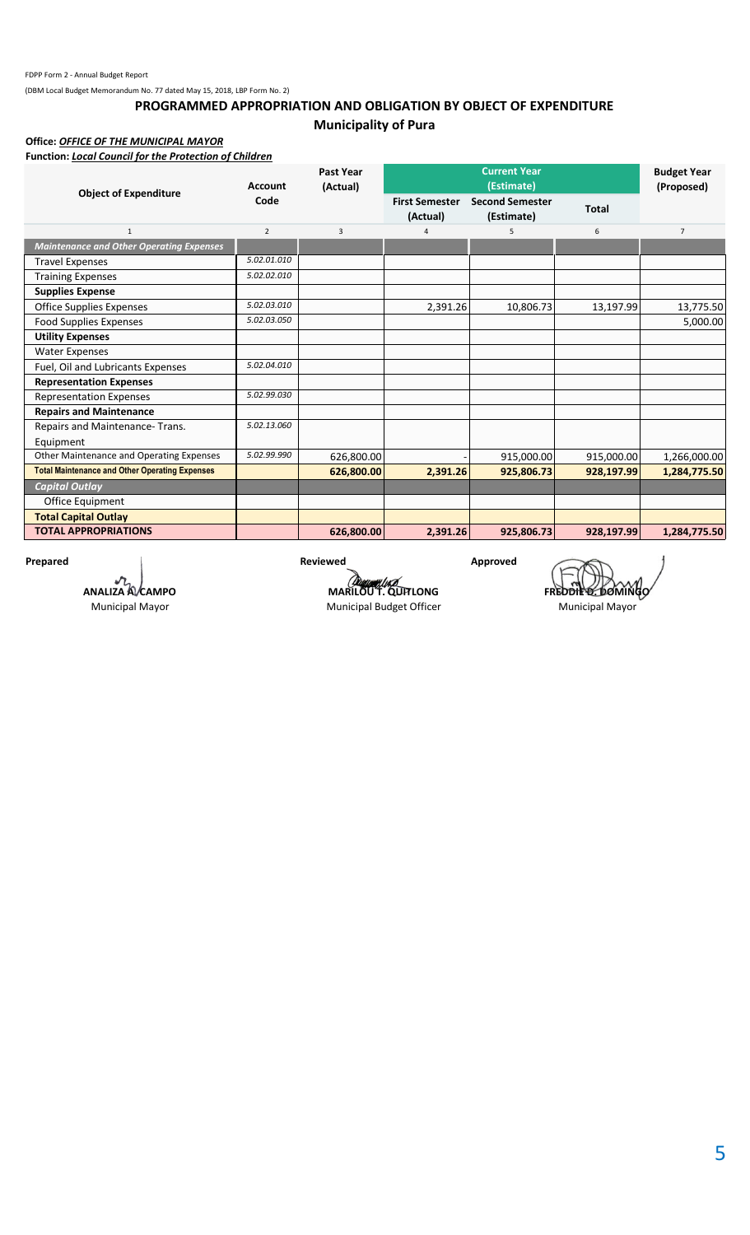## **PROGRAMMED APPROPRIATION AND OBLIGATION BY OBJECT OF EXPENDITURE Municipality of Pura**

**Office:** *OFFICE OF THE MUNICIPAL MAYOR*

**Function:** *Local Council for the Protection of Children*

| <b>Object of Expenditure</b>                          | <b>Account</b> | <b>Past Year</b><br>(Actual) |                                   | <b>Current Year</b><br>(Estimate)    |              | <b>Budget Year</b><br>(Proposed) |
|-------------------------------------------------------|----------------|------------------------------|-----------------------------------|--------------------------------------|--------------|----------------------------------|
|                                                       | Code           |                              | <b>First Semester</b><br>(Actual) | <b>Second Semester</b><br>(Estimate) | <b>Total</b> |                                  |
| $\mathbf{1}$                                          | $\overline{2}$ | 3                            |                                   | 5                                    | 6            | $\overline{7}$                   |
| <b>Maintenance and Other Operating Expenses</b>       |                |                              |                                   |                                      |              |                                  |
| <b>Travel Expenses</b>                                | 5.02.01.010    |                              |                                   |                                      |              |                                  |
| <b>Training Expenses</b>                              | 5.02.02.010    |                              |                                   |                                      |              |                                  |
| <b>Supplies Expense</b>                               |                |                              |                                   |                                      |              |                                  |
| <b>Office Supplies Expenses</b>                       | 5.02.03.010    |                              | 2,391.26                          | 10,806.73                            | 13,197.99    | 13,775.50                        |
| <b>Food Supplies Expenses</b>                         | 5.02.03.050    |                              |                                   |                                      |              | 5,000.00                         |
| <b>Utility Expenses</b>                               |                |                              |                                   |                                      |              |                                  |
| <b>Water Expenses</b>                                 |                |                              |                                   |                                      |              |                                  |
| Fuel, Oil and Lubricants Expenses                     | 5.02.04.010    |                              |                                   |                                      |              |                                  |
| <b>Representation Expenses</b>                        |                |                              |                                   |                                      |              |                                  |
| <b>Representation Expenses</b>                        | 5.02.99.030    |                              |                                   |                                      |              |                                  |
| <b>Repairs and Maintenance</b>                        |                |                              |                                   |                                      |              |                                  |
| Repairs and Maintenance-Trans.                        | 5.02.13.060    |                              |                                   |                                      |              |                                  |
| Equipment                                             |                |                              |                                   |                                      |              |                                  |
| Other Maintenance and Operating Expenses              | 5.02.99.990    | 626,800.00                   |                                   | 915,000.00                           | 915,000.00   | 1,266,000.00                     |
| <b>Total Maintenance and Other Operating Expenses</b> |                | 626,800.00                   | 2,391.26                          | 925,806.73                           | 928,197.99   | 1,284,775.50                     |
| <b>Capital Outlay</b>                                 |                |                              |                                   |                                      |              |                                  |
| Office Equipment                                      |                |                              |                                   |                                      |              |                                  |
| <b>Total Capital Outlay</b>                           |                |                              |                                   |                                      |              |                                  |
| <b>TOTAL APPROPRIATIONS</b>                           |                | 626,800.00                   | 2,391.26                          | 925,806.73                           | 928,197.99   | 1,284,775.50                     |

**ANALIZA A. CAMPO**

Municipal Mayor

Prepared **Reviewed Reviewed Approved** 

**MARILOU T. QUITLONG**<br>**MARILOU T. QUITLONG FREDDIE 2. DOMING**<br>Municipal Budget Officer **Municipal Mayor** Municipal Budget Officer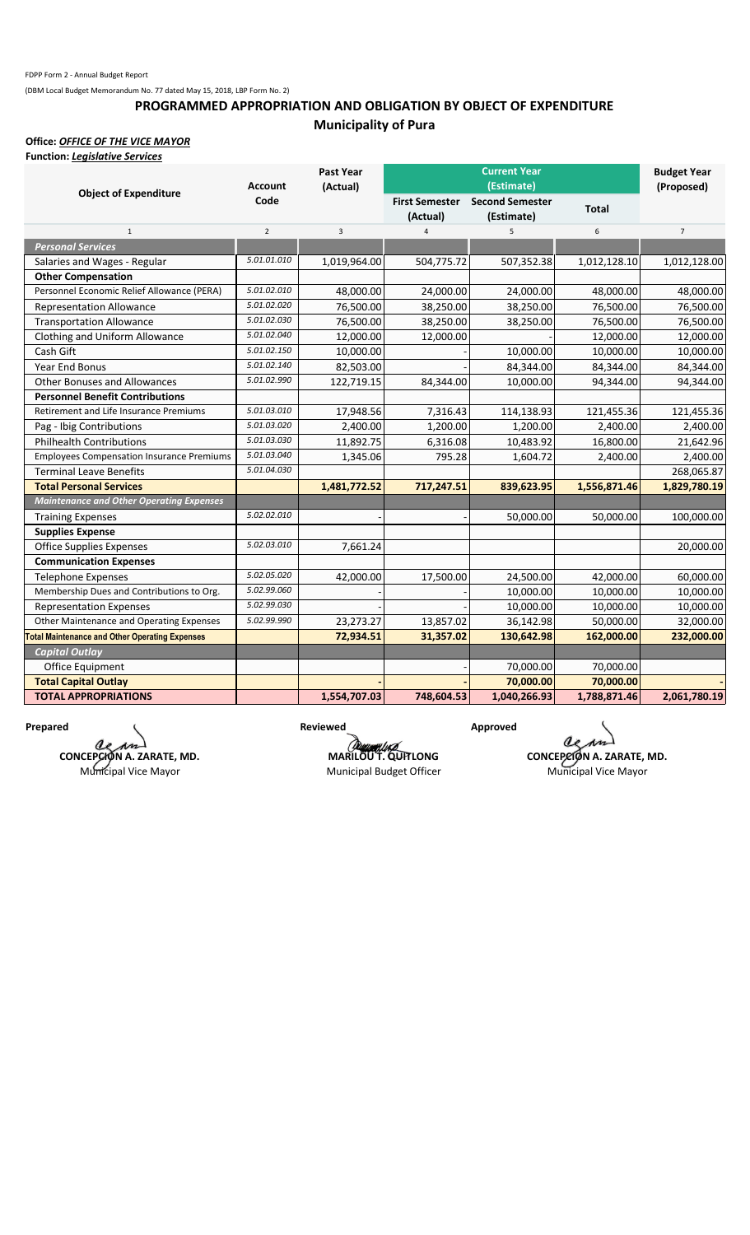## **PROGRAMMED APPROPRIATION AND OBLIGATION BY OBJECT OF EXPENDITURE Municipality of Pura**

**Office:** *OFFICE OF THE VICE MAYOR* **Function:** *Legislative Services*

| i uncuon. Legisiative sei vices                       | <b>Account</b> | Past Year<br>(Actual) |                       | <b>Current Year</b><br>(Estimate) |              | <b>Budget Year</b><br>(Proposed) |
|-------------------------------------------------------|----------------|-----------------------|-----------------------|-----------------------------------|--------------|----------------------------------|
| <b>Object of Expenditure</b>                          | Code           |                       | <b>First Semester</b> | <b>Second Semester</b>            | <b>Total</b> |                                  |
|                                                       |                |                       | (Actual)              | (Estimate)                        |              |                                  |
| $\mathbf{1}$                                          | $\overline{2}$ | 3                     | $\overline{4}$        | 5                                 | 6            | $\overline{7}$                   |
| <b>Personal Services</b>                              |                |                       |                       |                                   |              |                                  |
| Salaries and Wages - Regular                          | 5.01.01.010    | 1,019,964.00          | 504,775.72            | 507,352.38                        | 1,012,128.10 | 1,012,128.00                     |
| <b>Other Compensation</b>                             |                |                       |                       |                                   |              |                                  |
| Personnel Economic Relief Allowance (PERA)            | 5.01.02.010    | 48,000.00             | 24,000.00             | 24,000.00                         | 48,000.00    | 48,000.00                        |
| <b>Representation Allowance</b>                       | 5.01.02.020    | 76,500.00             | 38,250.00             | 38,250.00                         | 76,500.00    | 76,500.00                        |
| <b>Transportation Allowance</b>                       | 5.01.02.030    | 76,500.00             | 38,250.00             | 38,250.00                         | 76,500.00    | 76,500.00                        |
| Clothing and Uniform Allowance                        | 5.01.02.040    | 12,000.00             | 12,000.00             |                                   | 12,000.00    | 12,000.00                        |
| Cash Gift                                             | 5.01.02.150    | 10,000.00             |                       | 10,000.00                         | 10,000.00    | 10,000.00                        |
| Year End Bonus                                        | 5.01.02.140    | 82,503.00             |                       | 84,344.00                         | 84,344.00    | 84,344.00                        |
| <b>Other Bonuses and Allowances</b>                   | 5.01.02.990    | 122,719.15            | 84,344.00             | 10,000.00                         | 94,344.00    | 94,344.00                        |
| <b>Personnel Benefit Contributions</b>                |                |                       |                       |                                   |              |                                  |
| Retirement and Life Insurance Premiums                | 5.01.03.010    | 17,948.56             | 7,316.43              | 114,138.93                        | 121,455.36   | 121,455.36                       |
| Pag - Ibig Contributions                              | 5.01.03.020    | 2,400.00              | 1,200.00              | 1,200.00                          | 2,400.00     | 2,400.00                         |
| <b>Philhealth Contributions</b>                       | 5.01.03.030    | 11,892.75             | 6,316.08              | 10,483.92                         | 16,800.00    | 21,642.96                        |
| <b>Employees Compensation Insurance Premiums</b>      | 5.01.03.040    | 1,345.06              | 795.28                | 1,604.72                          | 2,400.00     | 2,400.00                         |
| <b>Terminal Leave Benefits</b>                        | 5.01.04.030    |                       |                       |                                   |              | 268,065.87                       |
| <b>Total Personal Services</b>                        |                | 1,481,772.52          | 717,247.51            | 839,623.95                        | 1,556,871.46 | 1,829,780.19                     |
| <b>Maintenance and Other Operating Expenses</b>       |                |                       |                       |                                   |              |                                  |
| <b>Training Expenses</b>                              | 5.02.02.010    |                       |                       | 50,000.00                         | 50,000.00    | 100,000.00                       |
| <b>Supplies Expense</b>                               |                |                       |                       |                                   |              |                                  |
| <b>Office Supplies Expenses</b>                       | 5.02.03.010    | 7,661.24              |                       |                                   |              | 20,000.00                        |
| <b>Communication Expenses</b>                         |                |                       |                       |                                   |              |                                  |
| <b>Telephone Expenses</b>                             | 5.02.05.020    | 42,000.00             | 17,500.00             | 24,500.00                         | 42,000.00    | 60,000.00                        |
| Membership Dues and Contributions to Org.             | 5.02.99.060    |                       |                       | 10,000.00                         | 10,000.00    | 10,000.00                        |
| <b>Representation Expenses</b>                        | 5.02.99.030    |                       |                       | 10,000.00                         | 10,000.00    | 10,000.00                        |
| Other Maintenance and Operating Expenses              | 5.02.99.990    | 23,273.27             | 13,857.02             | 36,142.98                         | 50,000.00    | 32,000.00                        |
| <b>Total Maintenance and Other Operating Expenses</b> |                | 72,934.51             | 31,357.02             | 130,642.98                        | 162,000.00   | 232,000.00                       |
| <b>Capital Outlay</b>                                 |                |                       |                       |                                   |              |                                  |
| Office Equipment                                      |                |                       |                       | 70,000.00                         | 70,000.00    |                                  |
| <b>Total Capital Outlay</b>                           |                |                       |                       | 70,000.00                         | 70,000.00    |                                  |
| <b>TOTAL APPROPRIATIONS</b>                           |                | 1,554,707.03          | 748,604.53            | 1,040,266.93                      | 1,788,871.46 | 2,061,780.19                     |

Prepared Approved Reviewed Approved Approved Reviewed Approved Approved Approved Approved **Reviewed** Approved **Reviewed** Approved **Reviewed** Approved **Reviewed** Approved **Approved Bullet Approved Approved Approved Approved CONCEPCION A. ZARATE, MD.** Municipal Vice Mayor

Municipal Budget Officer

**CONCEPCION A. ZARATE, MD.**<br> **Municipal Vice Mayor**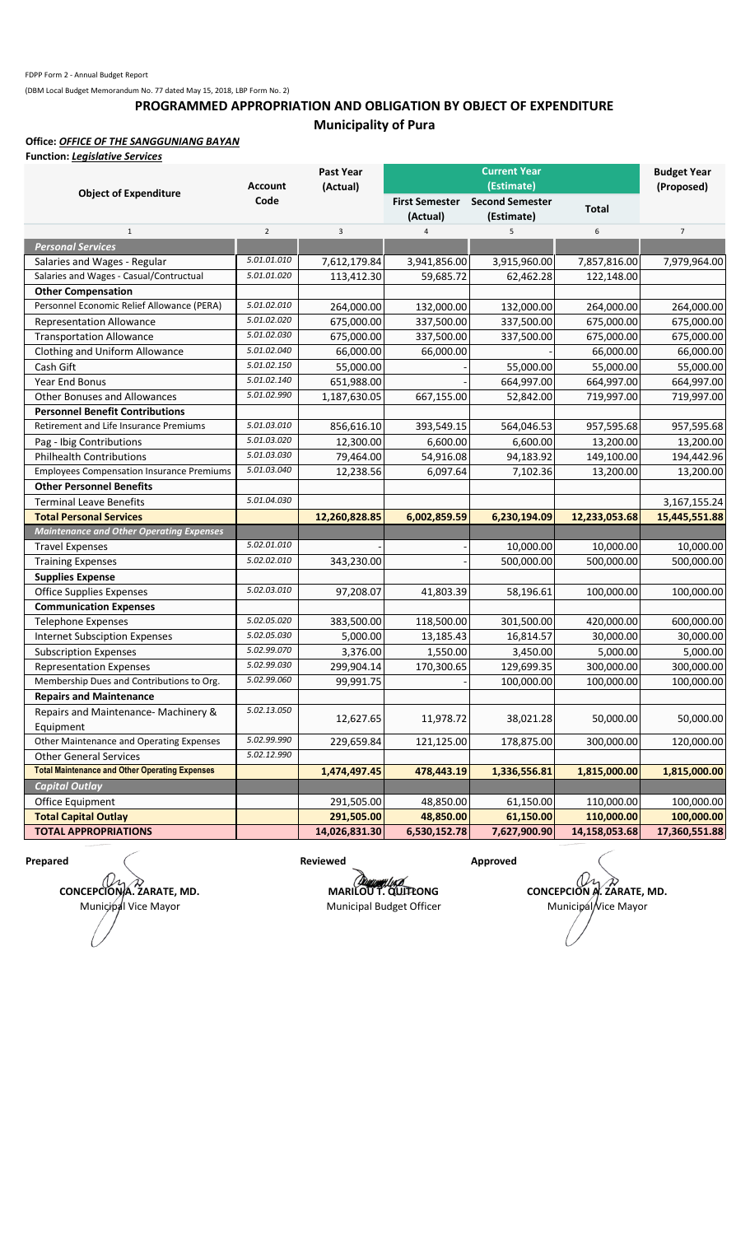## **PROGRAMMED APPROPRIATION AND OBLIGATION BY OBJECT OF EXPENDITURE Municipality of Pura**

### **Office:** *OFFICE OF THE SANGGUNIANG BAYAN*

**Function:** *Legislative Services*

|                                                       |                        | <b>Past Year</b> |                                   | <b>Current Year</b>                  |               | <b>Budget Year</b> |
|-------------------------------------------------------|------------------------|------------------|-----------------------------------|--------------------------------------|---------------|--------------------|
| <b>Object of Expenditure</b>                          | <b>Account</b><br>Code | (Actual)         |                                   | (Estimate)                           |               | (Proposed)         |
|                                                       |                        |                  | <b>First Semester</b><br>(Actual) | <b>Second Semester</b><br>(Estimate) | <b>Total</b>  |                    |
| $\mathbf{1}$                                          | $\overline{2}$         | 3                | 4                                 | 5                                    | 6             | $\overline{7}$     |
| <b>Personal Services</b>                              |                        |                  |                                   |                                      |               |                    |
| Salaries and Wages - Regular                          | 5.01.01.010            | 7,612,179.84     | 3,941,856.00                      | 3,915,960.00                         | 7,857,816.00  | 7,979,964.00       |
| Salaries and Wages - Casual/Contructual               | 5.01.01.020            | 113,412.30       | 59,685.72                         | 62,462.28                            | 122,148.00    |                    |
| <b>Other Compensation</b>                             |                        |                  |                                   |                                      |               |                    |
| Personnel Economic Relief Allowance (PERA)            | 5.01.02.010            | 264,000.00       | 132,000.00                        | 132,000.00                           | 264,000.00    | 264,000.00         |
| <b>Representation Allowance</b>                       | 5.01.02.020            | 675,000.00       | 337,500.00                        | 337,500.00                           | 675,000.00    | 675,000.00         |
| <b>Transportation Allowance</b>                       | 5.01.02.030            | 675,000.00       | 337,500.00                        | 337,500.00                           | 675,000.00    | 675,000.00         |
| Clothing and Uniform Allowance                        | 5.01.02.040            | 66,000.00        | 66,000.00                         |                                      | 66,000.00     | 66,000.00          |
| Cash Gift                                             | 5.01.02.150            | 55,000.00        |                                   | 55,000.00                            | 55,000.00     | 55,000.00          |
| Year End Bonus                                        | 5.01.02.140            | 651,988.00       |                                   | 664,997.00                           | 664,997.00    | 664,997.00         |
| <b>Other Bonuses and Allowances</b>                   | 5.01.02.990            | 1,187,630.05     | 667,155.00                        | 52,842.00                            | 719,997.00    | 719,997.00         |
| <b>Personnel Benefit Contributions</b>                |                        |                  |                                   |                                      |               |                    |
| Retirement and Life Insurance Premiums                | 5.01.03.010            | 856,616.10       | 393,549.15                        | 564,046.53                           | 957,595.68    | 957,595.68         |
| Pag - Ibig Contributions                              | 5.01.03.020            | 12,300.00        | 6,600.00                          | 6,600.00                             | 13,200.00     | 13,200.00          |
| <b>Philhealth Contributions</b>                       | 5.01.03.030            | 79,464.00        | 54,916.08                         | 94,183.92                            | 149,100.00    | 194,442.96         |
| <b>Employees Compensation Insurance Premiums</b>      | 5.01.03.040            | 12,238.56        | 6,097.64                          | 7,102.36                             | 13,200.00     | 13,200.00          |
| <b>Other Personnel Benefits</b>                       |                        |                  |                                   |                                      |               |                    |
| <b>Terminal Leave Benefits</b>                        | 5.01.04.030            |                  |                                   |                                      |               | 3, 167, 155. 24    |
| <b>Total Personal Services</b>                        |                        | 12,260,828.85    | 6,002,859.59                      | 6,230,194.09                         | 12,233,053.68 | 15,445,551.88      |
| <b>Maintenance and Other Operating Expenses</b>       |                        |                  |                                   |                                      |               |                    |
| <b>Travel Expenses</b>                                | 5.02.01.010            |                  |                                   | 10,000.00                            | 10,000.00     | 10,000.00          |
| <b>Training Expenses</b>                              | 5.02.02.010            | 343,230.00       |                                   | 500,000.00                           | 500,000.00    | 500,000.00         |
| <b>Supplies Expense</b>                               |                        |                  |                                   |                                      |               |                    |
| <b>Office Supplies Expenses</b>                       | 5.02.03.010            | 97,208.07        | 41,803.39                         | 58,196.61                            | 100,000.00    | 100,000.00         |
| <b>Communication Expenses</b>                         |                        |                  |                                   |                                      |               |                    |
| <b>Telephone Expenses</b>                             | 5.02.05.020            | 383,500.00       | 118,500.00                        | 301,500.00                           | 420,000.00    | 600,000.00         |
| <b>Internet Subsciption Expenses</b>                  | 5.02.05.030            | 5,000.00         | 13,185.43                         | 16,814.57                            | 30,000.00     | 30,000.00          |
| <b>Subscription Expenses</b>                          | 5.02.99.070            | 3,376.00         | 1,550.00                          | 3,450.00                             | 5,000.00      | 5,000.00           |
| <b>Representation Expenses</b>                        | 5.02.99.030            | 299,904.14       | 170,300.65                        | 129,699.35                           | 300,000.00    | 300,000.00         |
| Membership Dues and Contributions to Org.             | 5.02.99.060            | 99,991.75        |                                   | 100,000.00                           | 100,000.00    | 100,000.00         |
| <b>Repairs and Maintenance</b>                        |                        |                  |                                   |                                      |               |                    |
| Repairs and Maintenance- Machinery &                  | 5.02.13.050            | 12,627.65        | 11,978.72                         | 38,021.28                            | 50,000.00     | 50,000.00          |
| Equipment                                             |                        |                  |                                   |                                      |               |                    |
| Other Maintenance and Operating Expenses              | 5.02.99.990            | 229,659.84       | 121,125.00                        | 178,875.00                           | 300,000.00    | 120,000.00         |
| <b>Other General Services</b>                         | 5.02.12.990            |                  |                                   |                                      |               |                    |
| <b>Total Maintenance and Other Operating Expenses</b> |                        | 1,474,497.45     | 478,443.19                        | 1,336,556.81                         | 1,815,000.00  | 1,815,000.00       |
| <b>Capital Outlay</b>                                 |                        |                  |                                   |                                      |               |                    |
| Office Equipment                                      |                        | 291,505.00       | 48,850.00                         | 61,150.00                            | 110,000.00    | 100,000.00         |
| <b>Total Capital Outlay</b>                           |                        | 291,505.00       | 48,850.00                         | 61,150.00                            | 110,000.00    | 100,000.00         |
| <b>TOTAL APPROPRIATIONS</b>                           |                        | 14,026,831.30    | 6,530,152.78                      | 7,627,900.90                         | 14,158,053.68 | 17,360,551.88      |

**CONCEPCIONA. ZARATE, MD.** Municipal Vice Mayor

**Prepared Case Contract Approved Reviewed Approved Approved** 

**MARILOU T. QUITLONG CONCEPCION A. ZARATE, MD.** Municipal Budget Officer Municipal Vice Mayor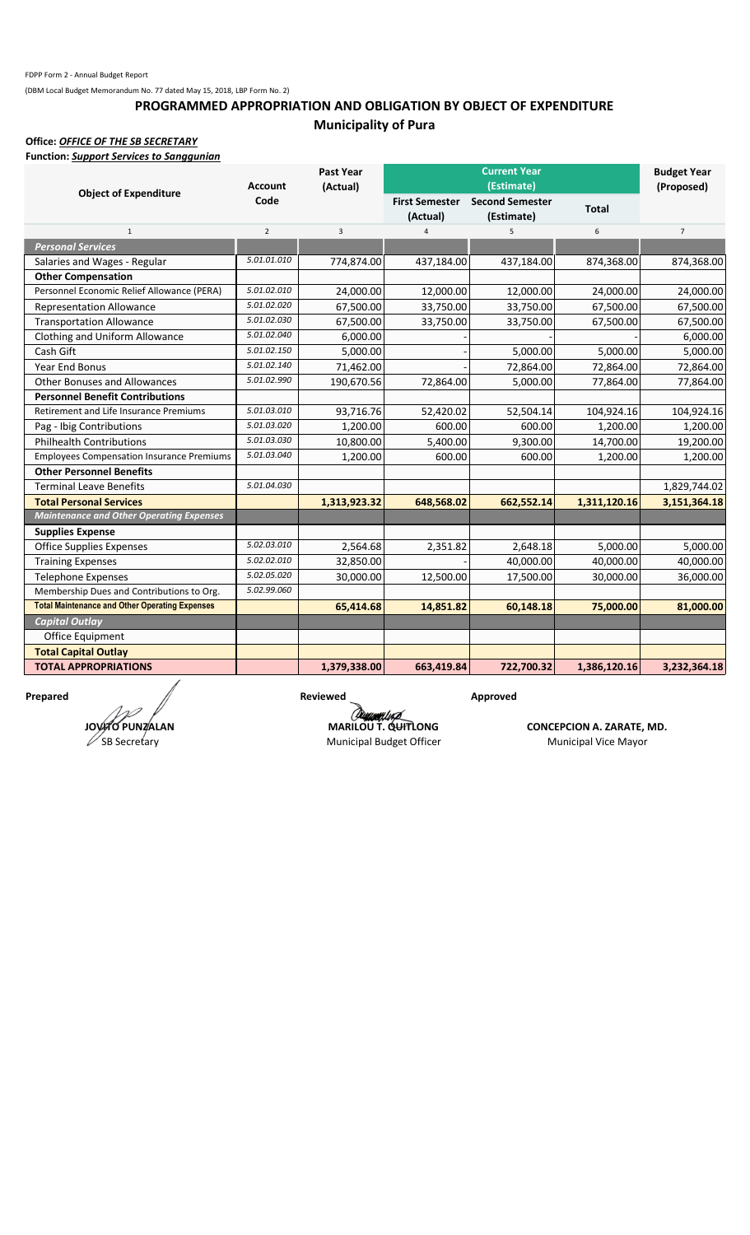## **PROGRAMMED APPROPRIATION AND OBLIGATION BY OBJECT OF EXPENDITURE Municipality of Pura**

**Office:** *OFFICE OF THE SB SECRETARY*

|--|

|                                                       |                | <b>Past Year</b> |                       | <b>Current Year</b>    |              | <b>Budget Year</b> |
|-------------------------------------------------------|----------------|------------------|-----------------------|------------------------|--------------|--------------------|
| <b>Object of Expenditure</b>                          | <b>Account</b> | (Actual)         |                       | (Estimate)             |              | (Proposed)         |
|                                                       | Code           |                  | <b>First Semester</b> | <b>Second Semester</b> | <b>Total</b> |                    |
|                                                       |                |                  | (Actual)              | (Estimate)             |              |                    |
| $\mathbf{1}$                                          | $\overline{2}$ | $\overline{3}$   | $\overline{4}$        | 5                      | 6            | $\overline{7}$     |
| <b>Personal Services</b>                              |                |                  |                       |                        |              |                    |
| Salaries and Wages - Regular                          | 5.01.01.010    | 774,874.00       | 437,184.00            | 437,184.00             | 874,368.00   | 874,368.00         |
| <b>Other Compensation</b>                             |                |                  |                       |                        |              |                    |
| Personnel Economic Relief Allowance (PERA)            | 5.01.02.010    | 24,000.00        | 12,000.00             | 12,000.00              | 24,000.00    | 24,000.00          |
| <b>Representation Allowance</b>                       | 5.01.02.020    | 67,500.00        | 33,750.00             | 33,750.00              | 67,500.00    | 67,500.00          |
| <b>Transportation Allowance</b>                       | 5.01.02.030    | 67,500.00        | 33,750.00             | 33,750.00              | 67,500.00    | 67,500.00          |
| Clothing and Uniform Allowance                        | 5.01.02.040    | 6,000.00         |                       |                        |              | 6,000.00           |
| Cash Gift                                             | 5.01.02.150    | 5,000.00         |                       | 5,000.00               | 5,000.00     | 5,000.00           |
| <b>Year End Bonus</b>                                 | 5.01.02.140    | 71,462.00        |                       | 72,864.00              | 72,864.00    | 72,864.00          |
| <b>Other Bonuses and Allowances</b>                   | 5.01.02.990    | 190,670.56       | 72,864.00             | 5,000.00               | 77,864.00    | 77,864.00          |
| <b>Personnel Benefit Contributions</b>                |                |                  |                       |                        |              |                    |
| <b>Retirement and Life Insurance Premiums</b>         | 5.01.03.010    | 93,716.76        | 52,420.02             | 52,504.14              | 104,924.16   | 104,924.16         |
| Pag - Ibig Contributions                              | 5.01.03.020    | 1,200.00         | 600.00                | 600.00                 | 1,200.00     | 1,200.00           |
| <b>Philhealth Contributions</b>                       | 5.01.03.030    | 10,800.00        | 5,400.00              | 9,300.00               | 14,700.00    | 19,200.00          |
| <b>Employees Compensation Insurance Premiums</b>      | 5.01.03.040    | 1,200.00         | 600.00                | 600.00                 | 1,200.00     | 1,200.00           |
| <b>Other Personnel Benefits</b>                       |                |                  |                       |                        |              |                    |
| <b>Terminal Leave Benefits</b>                        | 5.01.04.030    |                  |                       |                        |              | 1,829,744.02       |
| <b>Total Personal Services</b>                        |                | 1,313,923.32     | 648,568.02            | 662,552.14             | 1,311,120.16 | 3,151,364.18       |
| <b>Maintenance and Other Operating Expenses</b>       |                |                  |                       |                        |              |                    |
| <b>Supplies Expense</b>                               |                |                  |                       |                        |              |                    |
| <b>Office Supplies Expenses</b>                       | 5.02.03.010    | 2,564.68         | 2,351.82              | 2,648.18               | 5,000.00     | 5,000.00           |
| <b>Training Expenses</b>                              | 5.02.02.010    | 32,850.00        |                       | 40,000.00              | 40,000.00    | 40,000.00          |
| <b>Telephone Expenses</b>                             | 5.02.05.020    | 30,000.00        | 12,500.00             | 17,500.00              | 30,000.00    | 36,000.00          |
| Membership Dues and Contributions to Org.             | 5.02.99.060    |                  |                       |                        |              |                    |
| <b>Total Maintenance and Other Operating Expenses</b> |                | 65,414.68        | 14,851.82             | 60,148.18              | 75,000.00    | 81,000.00          |
| <b>Capital Outlay</b>                                 |                |                  |                       |                        |              |                    |
| Office Equipment                                      |                |                  |                       |                        |              |                    |
| <b>Total Capital Outlay</b>                           |                |                  |                       |                        |              |                    |
| <b>TOTAL APPROPRIATIONS</b>                           |                | 1,379,338.00     | 663,419.84            | 722,700.32             | 1,386,120.16 | 3,232,364.18       |

**JOVITO PUNZALAN**  $\mathscr{D}$ SB Secretary

Prepared Approved Reviewed Approved Approved Approved Approved Approved Approved Approved *Reviewed* Approved *Reviewed* Approved *Reviewed Reviewed Reviewed Approved <i>Reviewed Approved Reviewed Revie* 

**CONCEPCION A. ZARATE, MD.** Municipal Budget Officer Municipal Vice Mayor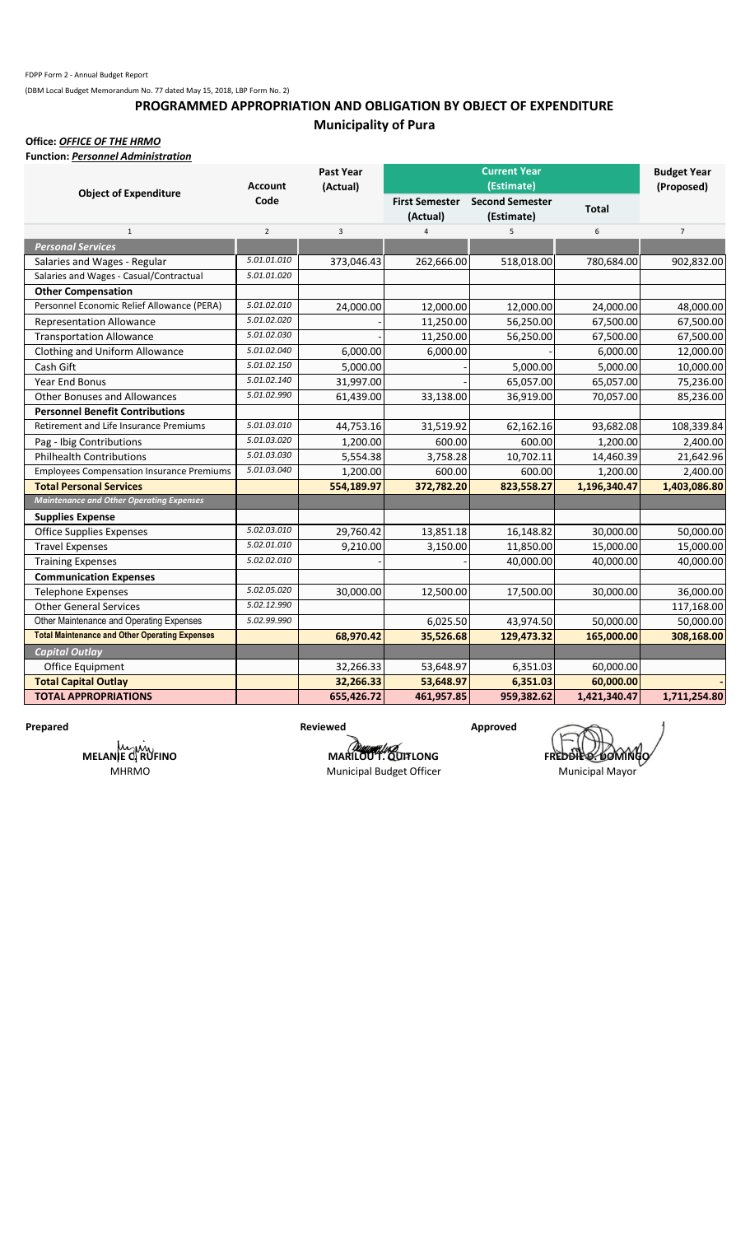## **PROGRAMMED APPROPRIATION AND OBLIGATION BY OBJECT OF EXPENDITURE Municipality of Pura**

### **Office:** *OFFICE OF THE HRMO*

**Function:** *Personnel Administration*

|                                                       |                | Past Year  |                       |                        | <b>Budget Year</b> |                |
|-------------------------------------------------------|----------------|------------|-----------------------|------------------------|--------------------|----------------|
|                                                       | <b>Account</b> | (Actual)   |                       | (Estimate)             |                    | (Proposed)     |
| <b>Object of Expenditure</b>                          | Code           |            | <b>First Semester</b> | <b>Second Semester</b> | <b>Total</b>       |                |
|                                                       |                |            | (Actual)              | (Estimate)             |                    |                |
| $\mathbf{1}$                                          | $\overline{2}$ | 3          | 4                     | 5                      | 6                  | $\overline{7}$ |
| <b>Personal Services</b>                              |                |            |                       |                        |                    |                |
| Salaries and Wages - Regular                          | 5.01.01.010    | 373,046.43 | 262,666.00            | 518,018.00             | 780,684.00         | 902,832.00     |
| Salaries and Wages - Casual/Contractual               | 5.01.01.020    |            |                       |                        |                    |                |
| <b>Other Compensation</b>                             |                |            |                       |                        |                    |                |
| Personnel Economic Relief Allowance (PERA)            | 5.01.02.010    | 24,000.00  | 12,000.00             | 12,000.00              | 24,000.00          | 48,000.00      |
| <b>Representation Allowance</b>                       | 5.01.02.020    |            | 11,250.00             | 56,250.00              | 67,500.00          | 67,500.00      |
| <b>Transportation Allowance</b>                       | 5.01.02.030    |            | 11,250.00             | 56,250.00              | 67,500.00          | 67,500.00      |
| Clothing and Uniform Allowance                        | 5.01.02.040    | 6,000.00   | 6,000.00              |                        | 6,000.00           | 12,000.00      |
| Cash Gift                                             | 5.01.02.150    | 5,000.00   |                       | 5,000.00               | 5,000.00           | 10,000.00      |
| Year End Bonus                                        | 5.01.02.140    | 31,997.00  |                       | 65,057.00              | 65,057.00          | 75,236.00      |
| <b>Other Bonuses and Allowances</b>                   | 5.01.02.990    | 61,439.00  | 33,138.00             | 36,919.00              | 70,057.00          | 85,236.00      |
| <b>Personnel Benefit Contributions</b>                |                |            |                       |                        |                    |                |
| Retirement and Life Insurance Premiums                | 5.01.03.010    | 44,753.16  | 31,519.92             | 62,162.16              | 93,682.08          | 108,339.84     |
| Pag - Ibig Contributions                              | 5.01.03.020    | 1,200.00   | 600.00                | 600.00                 | 1,200.00           | 2,400.00       |
| <b>Philhealth Contributions</b>                       | 5.01.03.030    | 5,554.38   | 3,758.28              | 10,702.11              | 14,460.39          | 21,642.96      |
| <b>Employees Compensation Insurance Premiums</b>      | 5.01.03.040    | 1,200.00   | 600.00                | 600.00                 | 1,200.00           | 2,400.00       |
| <b>Total Personal Services</b>                        |                | 554,189.97 | 372,782.20            | 823,558.27             | 1,196,340.47       | 1,403,086.80   |
| <b>Maintenance and Other Operating Expenses</b>       |                |            |                       |                        |                    |                |
| <b>Supplies Expense</b>                               |                |            |                       |                        |                    |                |
| <b>Office Supplies Expenses</b>                       | 5.02.03.010    | 29,760.42  | 13,851.18             | 16,148.82              | 30,000.00          | 50,000.00      |
| <b>Travel Expenses</b>                                | 5.02.01.010    | 9,210.00   | 3,150.00              | 11,850.00              | 15,000.00          | 15,000.00      |
| <b>Training Expenses</b>                              | 5.02.02.010    |            |                       | 40,000.00              | 40,000.00          | 40,000.00      |
| <b>Communication Expenses</b>                         |                |            |                       |                        |                    |                |
| <b>Telephone Expenses</b>                             | 5.02.05.020    | 30,000.00  | 12,500.00             | 17,500.00              | 30,000.00          | 36,000.00      |
| <b>Other General Services</b>                         | 5.02.12.990    |            |                       |                        |                    | 117,168.00     |
| Other Maintenance and Operating Expenses              | 5.02.99.990    |            | 6,025.50              | 43,974.50              | 50,000.00          | 50,000.00      |
| <b>Total Maintenance and Other Operating Expenses</b> |                | 68,970.42  | 35,526.68             | 129,473.32             | 165,000.00         | 308,168.00     |
| <b>Capital Outlay</b>                                 |                |            |                       |                        |                    |                |
| Office Equipment                                      |                | 32,266.33  | 53,648.97             | 6,351.03               | 60,000.00          |                |
| <b>Total Capital Outlay</b>                           |                | 32,266.33  | 53,648.97             | 6,351.03               | 60,000.00          |                |
| <b>TOTAL APPROPRIATIONS</b>                           |                | 655,426.72 | 461,957.85            | 959,382.62             | 1,421,340.47       | 1,711,254.80   |

**MELANIE C. RUFINO** MHRMO

**MARILOU T. QUITLONG FREDDIE 2. DOMINGO** Municipal Budget Officer Municipal Mayor

Prepared **Reviewed Reviewed Approved**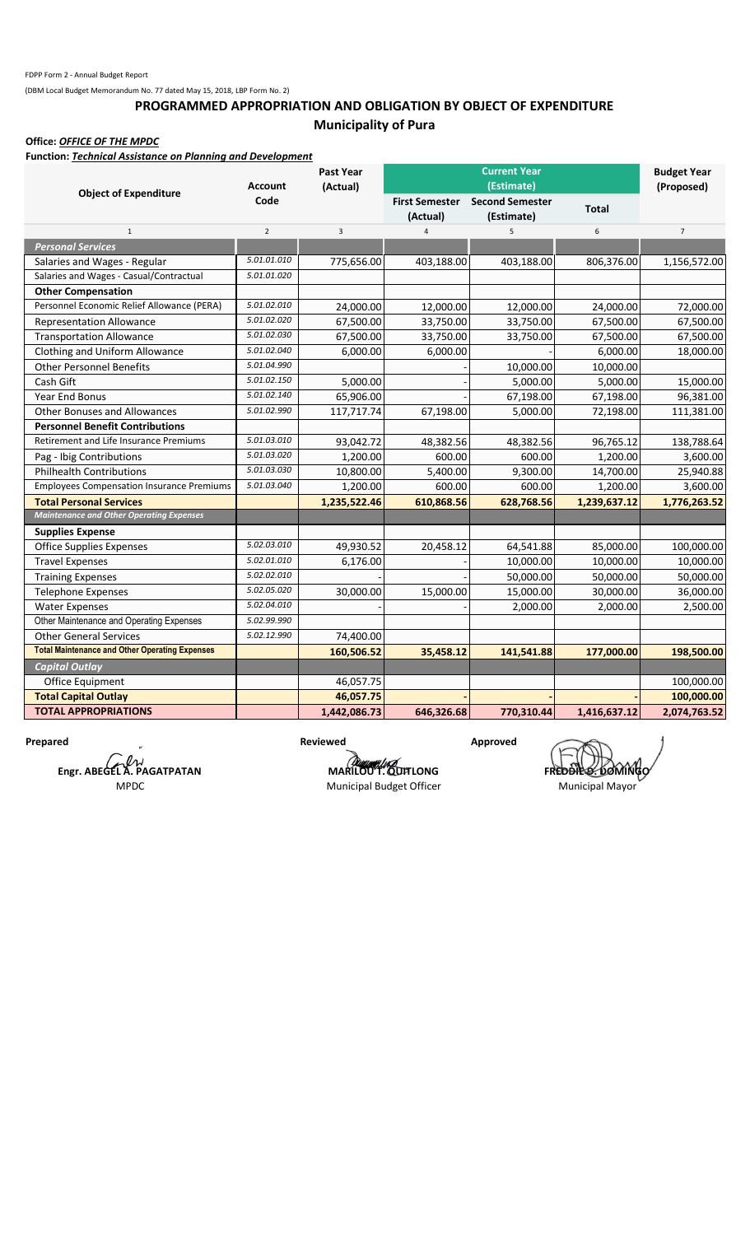## **PROGRAMMED APPROPRIATION AND OBLIGATION BY OBJECT OF EXPENDITURE Municipality of Pura**

**Office:** *OFFICE OF THE MPDC*

**Function:** *Technical Assistance on Planning and Development*

|                                                       | <b>Account</b> | <b>Past Year</b><br>(Actual) |                                   |                                                    | <b>Budget Year</b><br>(Proposed) |                |
|-------------------------------------------------------|----------------|------------------------------|-----------------------------------|----------------------------------------------------|----------------------------------|----------------|
| <b>Object of Expenditure</b>                          | Code           |                              | <b>First Semester</b><br>(Actual) | (Estimate)<br><b>Second Semester</b><br>(Estimate) | <b>Total</b>                     |                |
| $\mathbf 1$                                           | $\overline{2}$ | 3                            | $\Delta$                          | 5                                                  | 6                                | $\overline{7}$ |
| <b>Personal Services</b>                              |                |                              |                                   |                                                    |                                  |                |
| Salaries and Wages - Regular                          | 5.01.01.010    | 775,656.00                   | 403,188.00                        | 403,188.00                                         | 806,376.00                       | 1,156,572.00   |
| Salaries and Wages - Casual/Contractual               | 5.01.01.020    |                              |                                   |                                                    |                                  |                |
| <b>Other Compensation</b>                             |                |                              |                                   |                                                    |                                  |                |
| Personnel Economic Relief Allowance (PERA)            | 5.01.02.010    | 24,000.00                    | 12,000.00                         | 12,000.00                                          | 24,000.00                        | 72,000.00      |
| <b>Representation Allowance</b>                       | 5.01.02.020    | 67,500.00                    | 33,750.00                         | 33,750.00                                          | 67,500.00                        | 67,500.00      |
| <b>Transportation Allowance</b>                       | 5.01.02.030    | 67,500.00                    | 33,750.00                         | 33,750.00                                          | 67,500.00                        | 67,500.00      |
| Clothing and Uniform Allowance                        | 5.01.02.040    | 6,000.00                     | 6,000.00                          |                                                    | 6,000.00                         | 18,000.00      |
| <b>Other Personnel Benefits</b>                       | 5.01.04.990    |                              |                                   | 10,000.00                                          | 10,000.00                        |                |
| Cash Gift                                             | 5.01.02.150    | 5,000.00                     |                                   | 5,000.00                                           | 5,000.00                         | 15,000.00      |
| Year End Bonus                                        | 5.01.02.140    | 65,906.00                    |                                   | 67,198.00                                          | 67,198.00                        | 96,381.00      |
| <b>Other Bonuses and Allowances</b>                   | 5.01.02.990    | 117,717.74                   | 67,198.00                         | 5,000.00                                           | 72,198.00                        | 111,381.00     |
| <b>Personnel Benefit Contributions</b>                |                |                              |                                   |                                                    |                                  |                |
| Retirement and Life Insurance Premiums                | 5.01.03.010    | 93,042.72                    | 48,382.56                         | 48,382.56                                          | 96,765.12                        | 138,788.64     |
| Pag - Ibig Contributions                              | 5.01.03.020    | 1,200.00                     | 600.00                            | 600.00                                             | 1,200.00                         | 3,600.00       |
| <b>Philhealth Contributions</b>                       | 5.01.03.030    | 10,800.00                    | 5,400.00                          | 9,300.00                                           | 14,700.00                        | 25,940.88      |
| <b>Employees Compensation Insurance Premiums</b>      | 5.01.03.040    | 1,200.00                     | 600.00                            | 600.00                                             | 1,200.00                         | 3,600.00       |
| <b>Total Personal Services</b>                        |                | 1,235,522.46                 | 610,868.56                        | 628,768.56                                         | 1,239,637.12                     | 1,776,263.52   |
| <b>Maintenance and Other Operating Expenses</b>       |                |                              |                                   |                                                    |                                  |                |
| <b>Supplies Expense</b>                               |                |                              |                                   |                                                    |                                  |                |
| <b>Office Supplies Expenses</b>                       | 5.02.03.010    | 49,930.52                    | 20,458.12                         | 64,541.88                                          | 85,000.00                        | 100,000.00     |
| <b>Travel Expenses</b>                                | 5.02.01.010    | 6,176.00                     |                                   | 10,000.00                                          | 10,000.00                        | 10,000.00      |
| <b>Training Expenses</b>                              | 5.02.02.010    |                              |                                   | 50,000.00                                          | 50,000.00                        | 50,000.00      |
| <b>Telephone Expenses</b>                             | 5.02.05.020    | 30,000.00                    | 15,000.00                         | 15,000.00                                          | 30,000.00                        | 36,000.00      |
| <b>Water Expenses</b>                                 | 5.02.04.010    |                              |                                   | 2,000.00                                           | 2,000.00                         | 2,500.00       |
| Other Maintenance and Operating Expenses              | 5.02.99.990    |                              |                                   |                                                    |                                  |                |
| <b>Other General Services</b>                         | 5.02.12.990    | 74,400.00                    |                                   |                                                    |                                  |                |
| <b>Total Maintenance and Other Operating Expenses</b> |                | 160,506.52                   | 35,458.12                         | 141,541.88                                         | 177,000.00                       | 198,500.00     |
| <b>Capital Outlay</b>                                 |                |                              |                                   |                                                    |                                  |                |
| Office Equipment                                      |                | 46,057.75                    |                                   |                                                    |                                  | 100,000.00     |
| <b>Total Capital Outlay</b>                           |                | 46,057.75                    |                                   |                                                    |                                  | 100,000.00     |
| <b>TOTAL APPROPRIATIONS</b>                           |                | 1,442,086.73                 | 646,326.68                        | 770,310.44                                         | 1,416,637.12                     | 2,074,763.52   |

**Prepared Approved Approved Reviewed Approved Approved Engr. ABEGEL A. PAGATPATAN** MPDC

Municipal Budget Officer Municipal Mayor

**MARILOU T. QUITLONG FREDDIE DOMING**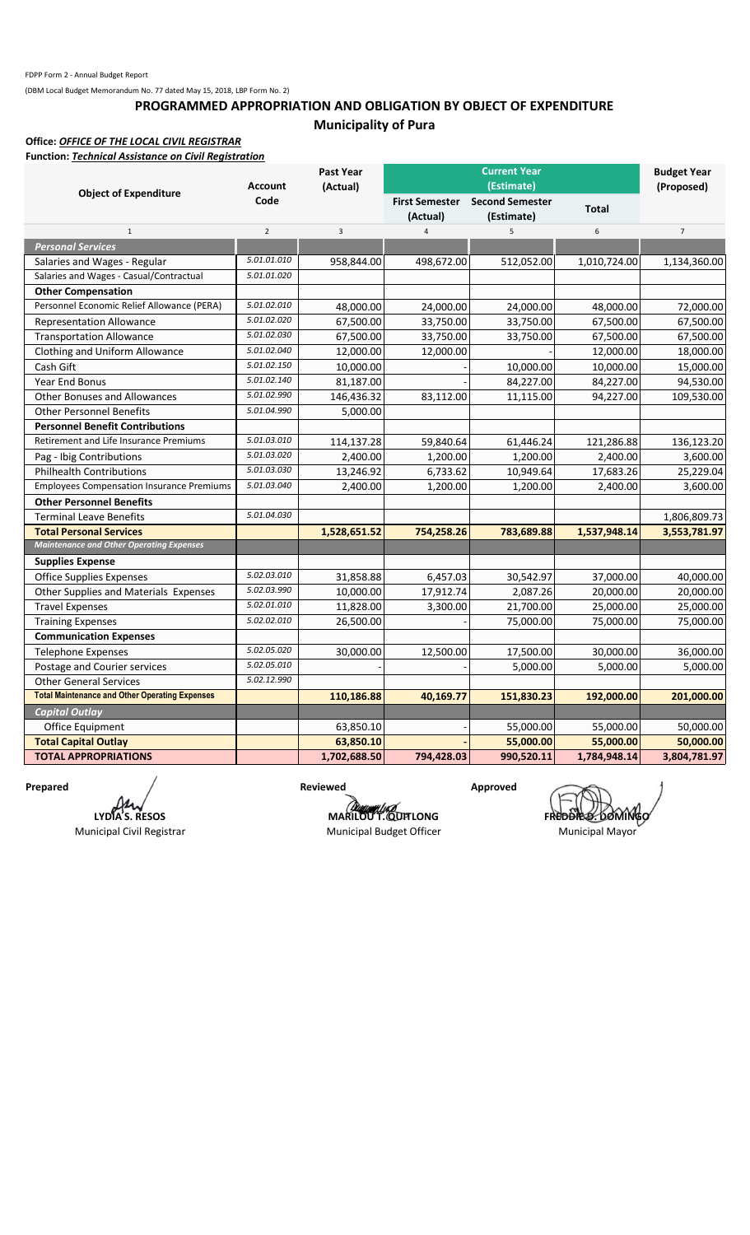## **PROGRAMMED APPROPRIATION AND OBLIGATION BY OBJECT OF EXPENDITURE Municipality of Pura**

#### **Office:** *OFFICE OF THE LOCAL CIVIL REGISTRAR* **Function:** *Technical Assistance on Civil Registration*

|                                                       |                | <b>Past Year</b> |                                   | <b>Current Year</b>                  |              | <b>Budget Year</b> |  |
|-------------------------------------------------------|----------------|------------------|-----------------------------------|--------------------------------------|--------------|--------------------|--|
| <b>Object of Expenditure</b>                          | <b>Account</b> | (Actual)         |                                   | (Estimate)                           |              | (Proposed)         |  |
|                                                       | Code           |                  | <b>First Semester</b><br>(Actual) | <b>Second Semester</b><br>(Estimate) | <b>Total</b> |                    |  |
| $1\,$                                                 | $\overline{2}$ | 3                | $\overline{4}$                    | 5                                    | 6            | $\overline{7}$     |  |
| <b>Personal Services</b>                              |                |                  |                                   |                                      |              |                    |  |
| Salaries and Wages - Regular                          | 5.01.01.010    | 958,844.00       | 498,672.00                        | 512,052.00                           | 1,010,724.00 | 1,134,360.00       |  |
| Salaries and Wages - Casual/Contractual               | 5.01.01.020    |                  |                                   |                                      |              |                    |  |
| <b>Other Compensation</b>                             |                |                  |                                   |                                      |              |                    |  |
| Personnel Economic Relief Allowance (PERA)            | 5.01.02.010    | 48,000.00        | 24,000.00                         | 24,000.00                            | 48,000.00    | 72,000.00          |  |
| <b>Representation Allowance</b>                       | 5.01.02.020    | 67,500.00        | 33,750.00                         | 33,750.00                            | 67,500.00    | 67,500.00          |  |
| <b>Transportation Allowance</b>                       | 5.01.02.030    | 67,500.00        | 33,750.00                         | 33,750.00                            | 67,500.00    | 67,500.00          |  |
| Clothing and Uniform Allowance                        | 5.01.02.040    | 12,000.00        | 12,000.00                         |                                      | 12,000.00    | 18,000.00          |  |
| Cash Gift                                             | 5.01.02.150    | 10,000.00        |                                   | 10,000.00                            | 10,000.00    | 15,000.00          |  |
| Year End Bonus                                        | 5.01.02.140    | 81,187.00        |                                   | 84,227.00                            | 84,227.00    | 94,530.00          |  |
| <b>Other Bonuses and Allowances</b>                   | 5.01.02.990    | 146,436.32       | 83,112.00                         | 11,115.00                            | 94,227.00    | 109,530.00         |  |
| <b>Other Personnel Benefits</b>                       | 5.01.04.990    | 5,000.00         |                                   |                                      |              |                    |  |
| <b>Personnel Benefit Contributions</b>                |                |                  |                                   |                                      |              |                    |  |
| Retirement and Life Insurance Premiums                | 5.01.03.010    | 114,137.28       | 59,840.64                         | 61,446.24                            | 121,286.88   | 136,123.20         |  |
| Pag - Ibig Contributions                              | 5.01.03.020    | 2,400.00         | 1,200.00                          | 1,200.00                             | 2,400.00     | 3,600.00           |  |
| <b>Philhealth Contributions</b>                       | 5.01.03.030    | 13,246.92        | 6,733.62                          | 10,949.64                            | 17,683.26    | 25,229.04          |  |
| <b>Employees Compensation Insurance Premiums</b>      | 5.01.03.040    | 2,400.00         | 1,200.00                          | 1,200.00                             | 2,400.00     | 3,600.00           |  |
| <b>Other Personnel Benefits</b>                       |                |                  |                                   |                                      |              |                    |  |
| <b>Terminal Leave Benefits</b>                        | 5.01.04.030    |                  |                                   |                                      |              | 1,806,809.73       |  |
| <b>Total Personal Services</b>                        |                | 1,528,651.52     | 754,258.26                        | 783,689.88                           | 1,537,948.14 | 3,553,781.97       |  |
| <b>Maintenance and Other Operating Expenses</b>       |                |                  |                                   |                                      |              |                    |  |
| <b>Supplies Expense</b>                               |                |                  |                                   |                                      |              |                    |  |
| <b>Office Supplies Expenses</b>                       | 5.02.03.010    | 31,858.88        | 6,457.03                          | 30,542.97                            | 37,000.00    | 40,000.00          |  |
| Other Supplies and Materials Expenses                 | 5.02.03.990    | 10,000.00        | 17,912.74                         | 2,087.26                             | 20,000.00    | 20,000.00          |  |
| <b>Travel Expenses</b>                                | 5.02.01.010    | 11,828.00        | 3,300.00                          | 21,700.00                            | 25,000.00    | 25,000.00          |  |
| <b>Training Expenses</b>                              | 5.02.02.010    | 26,500.00        |                                   | 75,000.00                            | 75,000.00    | 75,000.00          |  |
| <b>Communication Expenses</b>                         |                |                  |                                   |                                      |              |                    |  |
| <b>Telephone Expenses</b>                             | 5.02.05.020    | 30,000.00        | 12,500.00                         | 17,500.00                            | 30,000.00    | 36,000.00          |  |
| Postage and Courier services                          | 5.02.05.010    |                  |                                   | 5,000.00                             | 5,000.00     | 5,000.00           |  |
| <b>Other General Services</b>                         | 5.02.12.990    |                  |                                   |                                      |              |                    |  |
| <b>Total Maintenance and Other Operating Expenses</b> |                | 110,186.88       | 40,169.77                         | 151,830.23                           | 192,000.00   | 201,000.00         |  |
| <b>Capital Outlay</b>                                 |                |                  |                                   |                                      |              |                    |  |
| Office Equipment                                      |                | 63,850.10        |                                   | 55,000.00                            | 55,000.00    | 50,000.00          |  |
| <b>Total Capital Outlay</b>                           |                | 63,850.10        |                                   | 55,000.00                            | 55,000.00    | 50,000.00          |  |
| <b>TOTAL APPROPRIATIONS</b>                           |                | 1,702,688.50     | 794,428.03                        | 990,520.11                           | 1,784,948.14 | 3,804,781.97       |  |

Prepared */* Reviewed Approved Ю **LYDIA S. RESOS**

Municipal Civil Registrar

**MARILOU T. QUITLONG FREDDIE DOMINGO** Municipal Budget Officer Municipal Mayor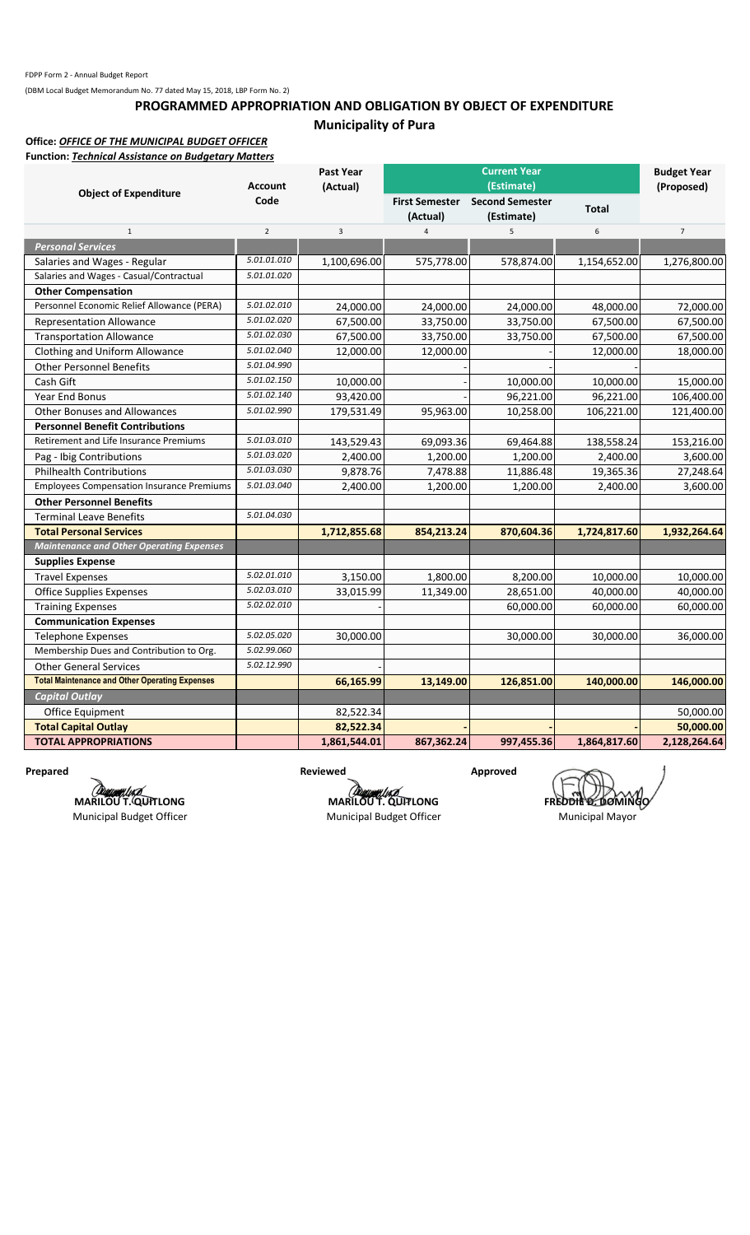## **PROGRAMMED APPROPRIATION AND OBLIGATION BY OBJECT OF EXPENDITURE Municipality of Pura**

#### **Office:** *OFFICE OF THE MUNICIPAL BUDGET OFFICER* **Function:** *Technical Assistance on Budgetary Matters*

|                                                       | <b>Account</b> | Past Year<br>(Actual) |                                   | <b>Current Year</b><br>(Estimate)    |              | <b>Budget Year</b><br>(Proposed) |
|-------------------------------------------------------|----------------|-----------------------|-----------------------------------|--------------------------------------|--------------|----------------------------------|
| <b>Object of Expenditure</b>                          | Code           |                       | <b>First Semester</b><br>(Actual) | <b>Second Semester</b><br>(Estimate) | <b>Total</b> |                                  |
| $1\,$                                                 | $\overline{2}$ | 3                     | $\overline{4}$                    | 5                                    | 6            | $\overline{7}$                   |
| <b>Personal Services</b>                              |                |                       |                                   |                                      |              |                                  |
| Salaries and Wages - Regular                          | 5.01.01.010    | 1,100,696.00          | 575,778.00                        | 578,874.00                           | 1,154,652.00 | 1,276,800.00                     |
| Salaries and Wages - Casual/Contractual               | 5.01.01.020    |                       |                                   |                                      |              |                                  |
| <b>Other Compensation</b>                             |                |                       |                                   |                                      |              |                                  |
| Personnel Economic Relief Allowance (PERA)            | 5.01.02.010    | 24,000.00             | 24,000.00                         | 24,000.00                            | 48,000.00    | 72,000.00                        |
| <b>Representation Allowance</b>                       | 5.01.02.020    | 67,500.00             | 33,750.00                         | 33,750.00                            | 67,500.00    | 67,500.00                        |
| <b>Transportation Allowance</b>                       | 5.01.02.030    | 67,500.00             | 33,750.00                         | 33,750.00                            | 67,500.00    | 67,500.00                        |
| Clothing and Uniform Allowance                        | 5.01.02.040    | 12,000.00             | 12,000.00                         |                                      | 12,000.00    | 18,000.00                        |
| <b>Other Personnel Benefits</b>                       | 5.01.04.990    |                       |                                   |                                      |              |                                  |
| Cash Gift                                             | 5.01.02.150    | 10,000.00             |                                   | 10,000.00                            | 10,000.00    | 15,000.00                        |
| Year End Bonus                                        | 5.01.02.140    | 93,420.00             |                                   | 96,221.00                            | 96,221.00    | 106,400.00                       |
| <b>Other Bonuses and Allowances</b>                   | 5.01.02.990    | 179,531.49            | 95,963.00                         | 10,258.00                            | 106,221.00   | 121,400.00                       |
| <b>Personnel Benefit Contributions</b>                |                |                       |                                   |                                      |              |                                  |
| <b>Retirement and Life Insurance Premiums</b>         | 5.01.03.010    | 143,529.43            | 69,093.36                         | 69,464.88                            | 138,558.24   | 153,216.00                       |
| Pag - Ibig Contributions                              | 5.01.03.020    | 2,400.00              | 1,200.00                          | 1,200.00                             | 2,400.00     | 3,600.00                         |
| <b>Philhealth Contributions</b>                       | 5.01.03.030    | 9,878.76              | 7,478.88                          | 11,886.48                            | 19,365.36    | 27,248.64                        |
| <b>Employees Compensation Insurance Premiums</b>      | 5.01.03.040    | 2,400.00              | 1,200.00                          | 1,200.00                             | 2,400.00     | 3,600.00                         |
| <b>Other Personnel Benefits</b>                       |                |                       |                                   |                                      |              |                                  |
| <b>Terminal Leave Benefits</b>                        | 5.01.04.030    |                       |                                   |                                      |              |                                  |
| <b>Total Personal Services</b>                        |                | 1,712,855.68          | 854,213.24                        | 870,604.36                           | 1,724,817.60 | 1,932,264.64                     |
| <b>Maintenance and Other Operating Expenses</b>       |                |                       |                                   |                                      |              |                                  |
| <b>Supplies Expense</b>                               |                |                       |                                   |                                      |              |                                  |
| <b>Travel Expenses</b>                                | 5.02.01.010    | 3,150.00              | 1,800.00                          | 8,200.00                             | 10,000.00    | 10,000.00                        |
| <b>Office Supplies Expenses</b>                       | 5.02.03.010    | 33,015.99             | 11,349.00                         | 28,651.00                            | 40,000.00    | 40,000.00                        |
| <b>Training Expenses</b>                              | 5.02.02.010    |                       |                                   | 60,000.00                            | 60,000.00    | 60,000.00                        |
| <b>Communication Expenses</b>                         |                |                       |                                   |                                      |              |                                  |
| <b>Telephone Expenses</b>                             | 5.02.05.020    | 30,000.00             |                                   | 30,000.00                            | 30,000.00    | 36,000.00                        |
| Membership Dues and Contribution to Org.              | 5.02.99.060    |                       |                                   |                                      |              |                                  |
| <b>Other General Services</b>                         | 5.02.12.990    |                       |                                   |                                      |              |                                  |
| <b>Total Maintenance and Other Operating Expenses</b> |                | 66,165.99             | 13,149.00                         | 126,851.00                           | 140,000.00   | 146,000.00                       |
| <b>Capital Outlay</b>                                 |                |                       |                                   |                                      |              |                                  |
| Office Equipment                                      |                | 82,522.34             |                                   |                                      |              | 50,000.00                        |
| <b>Total Capital Outlay</b>                           |                | 82,522.34             |                                   |                                      |              | 50,000.00                        |
| <b>TOTAL APPROPRIATIONS</b>                           |                | 1,861,544.01          | 867,362.24                        | 997,455.36                           | 1,864,817.60 | 2,128,264.64                     |

*COMMANDE*<br>MARILOU T. QUITLONG

Municipal Budget Officer

Prepared **Reviewed Reviewed Approved** 

**MARILOU T. QUITLONG**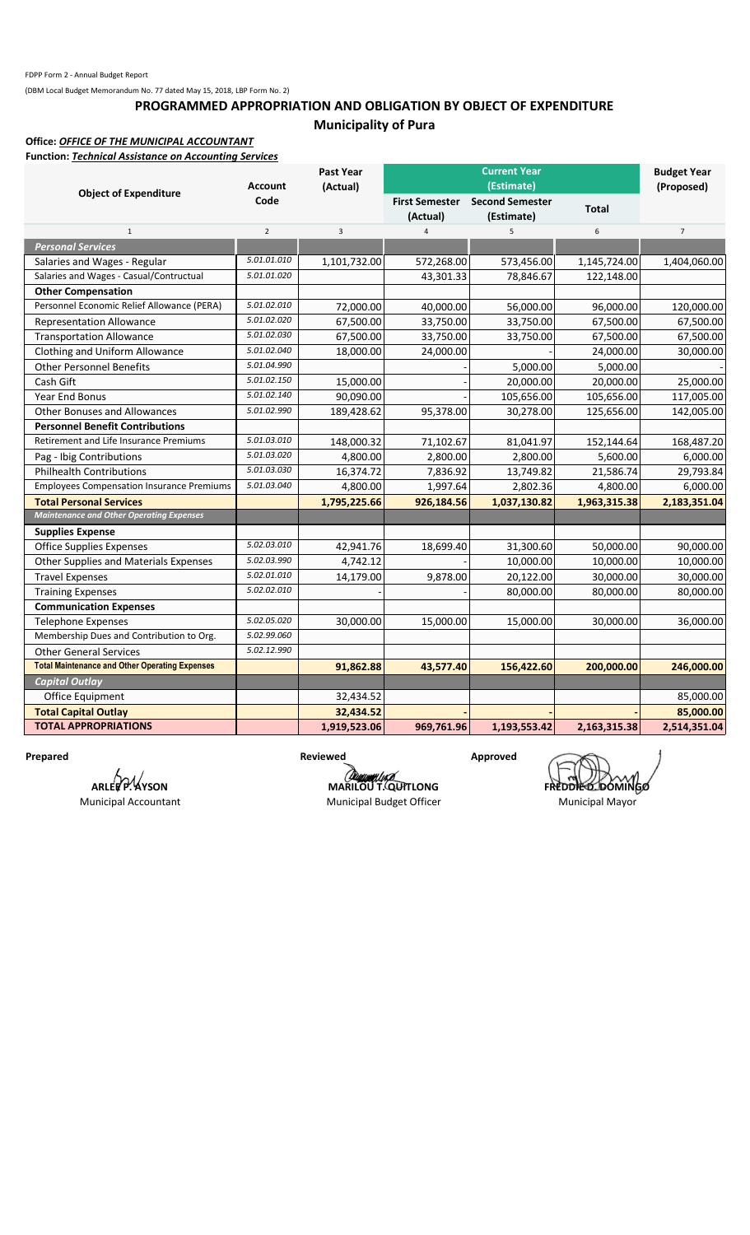## **PROGRAMMED APPROPRIATION AND OBLIGATION BY OBJECT OF EXPENDITURE Municipality of Pura**

## **Office:** *OFFICE OF THE MUNICIPAL ACCOUNTANT*

**Function:** *Technical Assistance on Accounting Services*

|                                                       | <b>Account</b> | Past Year<br>(Actual) |                            |                                                    | <b>Budget Year</b><br>(Proposed) |                |
|-------------------------------------------------------|----------------|-----------------------|----------------------------|----------------------------------------------------|----------------------------------|----------------|
| <b>Object of Expenditure</b>                          | Code           |                       | First Semester<br>(Actual) | (Estimate)<br><b>Second Semester</b><br>(Estimate) | <b>Total</b>                     |                |
| $\mathbf{1}$                                          | $\overline{2}$ | 3                     | $\overline{4}$             | 5                                                  | $\boldsymbol{6}$                 | $\overline{7}$ |
| <b>Personal Services</b>                              |                |                       |                            |                                                    |                                  |                |
| Salaries and Wages - Regular                          | 5.01.01.010    | 1,101,732.00          | 572,268.00                 | 573,456.00                                         | 1,145,724.00                     | 1,404,060.00   |
| Salaries and Wages - Casual/Contructual               | 5.01.01.020    |                       | 43,301.33                  | 78,846.67                                          | 122,148.00                       |                |
| <b>Other Compensation</b>                             |                |                       |                            |                                                    |                                  |                |
| Personnel Economic Relief Allowance (PERA)            | 5.01.02.010    | 72,000.00             | 40,000.00                  | 56,000.00                                          | 96,000.00                        | 120,000.00     |
| <b>Representation Allowance</b>                       | 5.01.02.020    | 67,500.00             | 33,750.00                  | 33,750.00                                          | 67,500.00                        | 67,500.00      |
| <b>Transportation Allowance</b>                       | 5.01.02.030    | 67,500.00             | 33,750.00                  | 33,750.00                                          | 67,500.00                        | 67,500.00      |
| Clothing and Uniform Allowance                        | 5.01.02.040    | 18,000.00             | 24,000.00                  |                                                    | 24,000.00                        | 30,000.00      |
| <b>Other Personnel Benefits</b>                       | 5.01.04.990    |                       |                            | 5,000.00                                           | 5,000.00                         |                |
| Cash Gift                                             | 5.01.02.150    | 15,000.00             |                            | 20,000.00                                          | 20,000.00                        | 25,000.00      |
| <b>Year End Bonus</b>                                 | 5.01.02.140    | 90,090.00             |                            | 105,656.00                                         | 105,656.00                       | 117,005.00     |
| <b>Other Bonuses and Allowances</b>                   | 5.01.02.990    | 189,428.62            | 95,378.00                  | 30,278.00                                          | 125,656.00                       | 142,005.00     |
| <b>Personnel Benefit Contributions</b>                |                |                       |                            |                                                    |                                  |                |
| Retirement and Life Insurance Premiums                | 5.01.03.010    | 148,000.32            | 71,102.67                  | 81,041.97                                          | 152,144.64                       | 168,487.20     |
| Pag - Ibig Contributions                              | 5.01.03.020    | 4,800.00              | 2,800.00                   | 2,800.00                                           | 5,600.00                         | 6,000.00       |
| <b>Philhealth Contributions</b>                       | 5.01.03.030    | 16,374.72             | 7,836.92                   | 13,749.82                                          | 21,586.74                        | 29,793.84      |
| <b>Employees Compensation Insurance Premiums</b>      | 5.01.03.040    | 4,800.00              | 1,997.64                   | 2,802.36                                           | 4,800.00                         | 6,000.00       |
| <b>Total Personal Services</b>                        |                | 1,795,225.66          | 926,184.56                 | 1,037,130.82                                       | 1,963,315.38                     | 2,183,351.04   |
| <b>Maintenance and Other Operating Expenses</b>       |                |                       |                            |                                                    |                                  |                |
| <b>Supplies Expense</b>                               |                |                       |                            |                                                    |                                  |                |
| <b>Office Supplies Expenses</b>                       | 5.02.03.010    | 42,941.76             | 18,699.40                  | 31,300.60                                          | 50,000.00                        | 90,000.00      |
| Other Supplies and Materials Expenses                 | 5.02.03.990    | 4,742.12              |                            | 10,000.00                                          | 10,000.00                        | 10,000.00      |
| <b>Travel Expenses</b>                                | 5.02.01.010    | 14,179.00             | 9,878.00                   | 20,122.00                                          | 30,000.00                        | 30,000.00      |
| <b>Training Expenses</b>                              | 5.02.02.010    |                       |                            | 80,000.00                                          | 80,000.00                        | 80,000.00      |
| <b>Communication Expenses</b>                         |                |                       |                            |                                                    |                                  |                |
| <b>Telephone Expenses</b>                             | 5.02.05.020    | 30,000.00             | 15,000.00                  | 15,000.00                                          | 30,000.00                        | 36,000.00      |
| Membership Dues and Contribution to Org.              | 5.02.99.060    |                       |                            |                                                    |                                  |                |
| <b>Other General Services</b>                         | 5.02.12.990    |                       |                            |                                                    |                                  |                |
| <b>Total Maintenance and Other Operating Expenses</b> |                | 91,862.88             | 43,577.40                  | 156,422.60                                         | 200,000.00                       | 246,000.00     |
| <b>Capital Outlay</b>                                 |                |                       |                            |                                                    |                                  |                |
| Office Equipment                                      |                | 32,434.52             |                            |                                                    |                                  | 85,000.00      |
| <b>Total Capital Outlay</b>                           |                | 32,434.52             |                            |                                                    |                                  | 85,000.00      |
| <b>TOTAL APPROPRIATIONS</b>                           |                | 1,919,523.06          | 969,761.96                 | 1,193,553.42                                       | 2,163,315.38                     | 2,514,351.04   |

**ARLEE P. AYSON** Municipal Accountant

Prepared **Reviewed Reviewed Approved** 

Municipal Budget Officer Municipal Mayor

**MARILOU T. QUITLONG**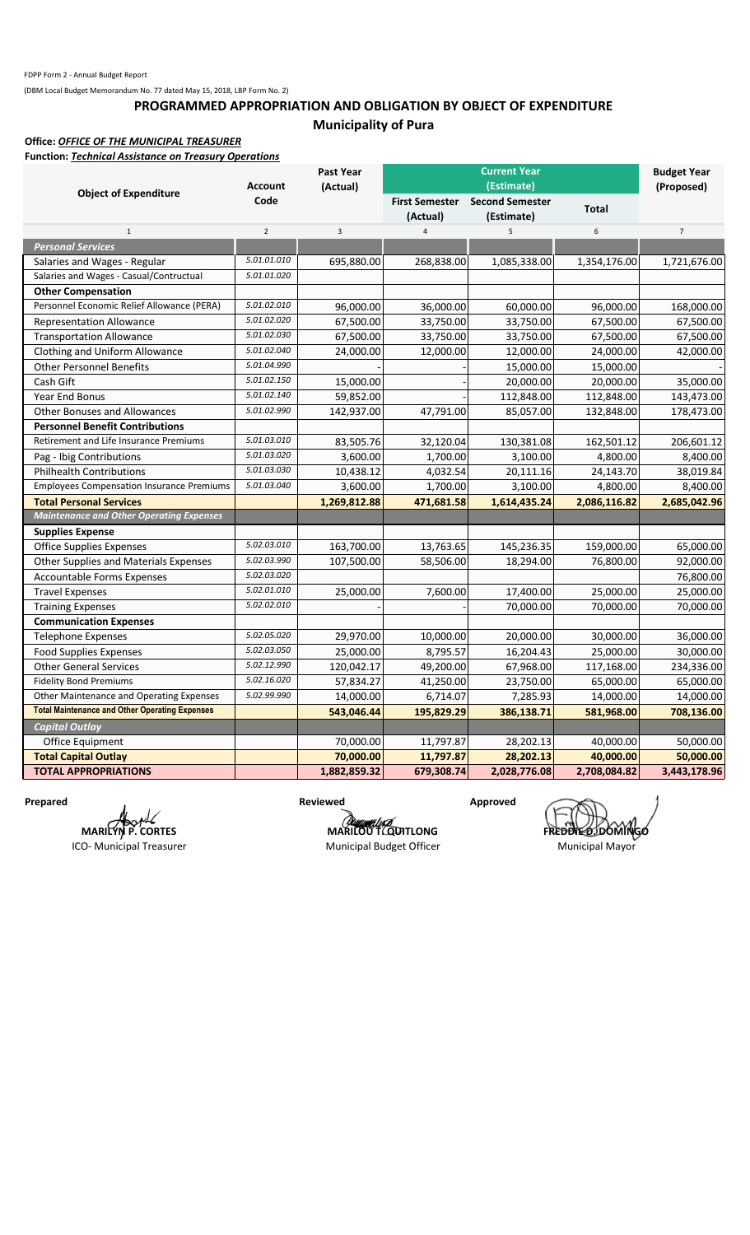## **PROGRAMMED APPROPRIATION AND OBLIGATION BY OBJECT OF EXPENDITURE Municipality of Pura**

#### **Office:** *OFFICE OF THE MUNICIPAL TREASURER*

**Function:** *Technical Assistance on Treasury Operations*

|                                                       | <b>Account</b> | <b>Past Year</b><br>(Actual) |                | <b>Current Year</b><br>(Estimate)            |              | <b>Budget Year</b><br>(Proposed) |
|-------------------------------------------------------|----------------|------------------------------|----------------|----------------------------------------------|--------------|----------------------------------|
| <b>Object of Expenditure</b>                          | Code           |                              | (Actual)       | First Semester Second Semester<br>(Estimate) | <b>Total</b> |                                  |
| $\mathbf 1$                                           | $\overline{2}$ | $\overline{3}$               | $\overline{4}$ | 5 <sup>1</sup>                               | 6            | $\overline{7}$                   |
| <b>Personal Services</b>                              |                |                              |                |                                              |              |                                  |
| Salaries and Wages - Regular                          | 5.01.01.010    | 695,880.00                   | 268,838.00     | 1,085,338.00                                 | 1,354,176.00 | 1,721,676.00                     |
| Salaries and Wages - Casual/Contructual               | 5.01.01.020    |                              |                |                                              |              |                                  |
| <b>Other Compensation</b>                             |                |                              |                |                                              |              |                                  |
| Personnel Economic Relief Allowance (PERA)            | 5.01.02.010    | 96,000.00                    | 36,000.00      | 60,000.00                                    | 96,000.00    | 168,000.00                       |
| <b>Representation Allowance</b>                       | 5.01.02.020    | 67,500.00                    | 33,750.00      | 33,750.00                                    | 67,500.00    | 67,500.00                        |
| <b>Transportation Allowance</b>                       | 5.01.02.030    | 67,500.00                    | 33,750.00      | 33,750.00                                    | 67,500.00    | 67,500.00                        |
| Clothing and Uniform Allowance                        | 5.01.02.040    | 24,000.00                    | 12,000.00      | 12,000.00                                    | 24,000.00    | 42,000.00                        |
| <b>Other Personnel Benefits</b>                       | 5.01.04.990    |                              |                | 15,000.00                                    | 15,000.00    |                                  |
| Cash Gift                                             | 5.01.02.150    | 15,000.00                    |                | 20,000.00                                    | 20,000.00    | 35,000.00                        |
| Year End Bonus                                        | 5.01.02.140    | 59,852.00                    |                | 112,848.00                                   | 112,848.00   | 143,473.00                       |
| <b>Other Bonuses and Allowances</b>                   | 5.01.02.990    | 142,937.00                   | 47,791.00      | 85,057.00                                    | 132,848.00   | 178,473.00                       |
| <b>Personnel Benefit Contributions</b>                |                |                              |                |                                              |              |                                  |
| Retirement and Life Insurance Premiums                | 5.01.03.010    | 83,505.76                    | 32,120.04      | 130,381.08                                   | 162,501.12   | 206,601.12                       |
| Pag - Ibig Contributions                              | 5.01.03.020    | 3,600.00                     | 1,700.00       | 3,100.00                                     | 4,800.00     | 8,400.00                         |
| <b>Philhealth Contributions</b>                       | 5.01.03.030    | 10,438.12                    | 4,032.54       | 20,111.16                                    | 24,143.70    | 38,019.84                        |
| <b>Employees Compensation Insurance Premiums</b>      | 5.01.03.040    | 3,600.00                     | 1,700.00       | 3,100.00                                     | 4,800.00     | 8,400.00                         |
| <b>Total Personal Services</b>                        |                | 1,269,812.88                 | 471,681.58     | 1,614,435.24                                 | 2,086,116.82 | 2,685,042.96                     |
| <b>Maintenance and Other Operating Expenses</b>       |                |                              |                |                                              |              |                                  |
| <b>Supplies Expense</b>                               |                |                              |                |                                              |              |                                  |
| <b>Office Supplies Expenses</b>                       | 5.02.03.010    | 163,700.00                   | 13,763.65      | 145,236.35                                   | 159,000.00   | 65,000.00                        |
| <b>Other Supplies and Materials Expenses</b>          | 5.02.03.990    | 107,500.00                   | 58,506.00      | 18,294.00                                    | 76,800.00    | 92,000.00                        |
| <b>Accountable Forms Expenses</b>                     | 5.02.03.020    |                              |                |                                              |              | 76,800.00                        |
| <b>Travel Expenses</b>                                | 5.02.01.010    | 25,000.00                    | 7,600.00       | 17,400.00                                    | 25,000.00    | 25,000.00                        |
| <b>Training Expenses</b>                              | 5.02.02.010    |                              |                | 70,000.00                                    | 70,000.00    | 70,000.00                        |
| <b>Communication Expenses</b>                         |                |                              |                |                                              |              |                                  |
| <b>Telephone Expenses</b>                             | 5.02.05.020    | 29,970.00                    | 10,000.00      | 20,000.00                                    | 30,000.00    | 36,000.00                        |
| <b>Food Supplies Expenses</b>                         | 5.02.03.050    | 25,000.00                    | 8,795.57       | 16,204.43                                    | 25,000.00    | 30,000.00                        |
| <b>Other General Services</b>                         | 5.02.12.990    | 120,042.17                   | 49,200.00      | 67,968.00                                    | 117,168.00   | 234,336.00                       |
| <b>Fidelity Bond Premiums</b>                         | 5.02.16.020    | 57,834.27                    | 41,250.00      | 23,750.00                                    | 65,000.00    | 65,000.00                        |
| Other Maintenance and Operating Expenses              | 5.02.99.990    | 14,000.00                    | 6,714.07       | 7,285.93                                     | 14,000.00    | 14,000.00                        |
| <b>Total Maintenance and Other Operating Expenses</b> |                | 543,046.44                   | 195,829.29     | 386,138.71                                   | 581,968.00   | 708,136.00                       |
| <b>Capital Outlay</b>                                 |                |                              |                |                                              |              |                                  |
| Office Equipment                                      |                | 70,000.00                    | 11,797.87      | 28,202.13                                    | 40,000.00    | 50,000.00                        |
| <b>Total Capital Outlay</b>                           |                | 70,000.00                    | 11,797.87      | 28,202.13                                    | 40,000.00    | 50,000.00                        |
| <b>TOTAL APPROPRIATIONS</b>                           |                | 1,882,859.32                 | 679,308.74     | 2,028,776.08                                 | 2,708,084.82 | 3,443,178.96                     |

Prepared **Reviewed Reviewed Approved MARILYN P. CORTES**

ICO- Municipal Treasurer

**MARILOU T. QUITLONG**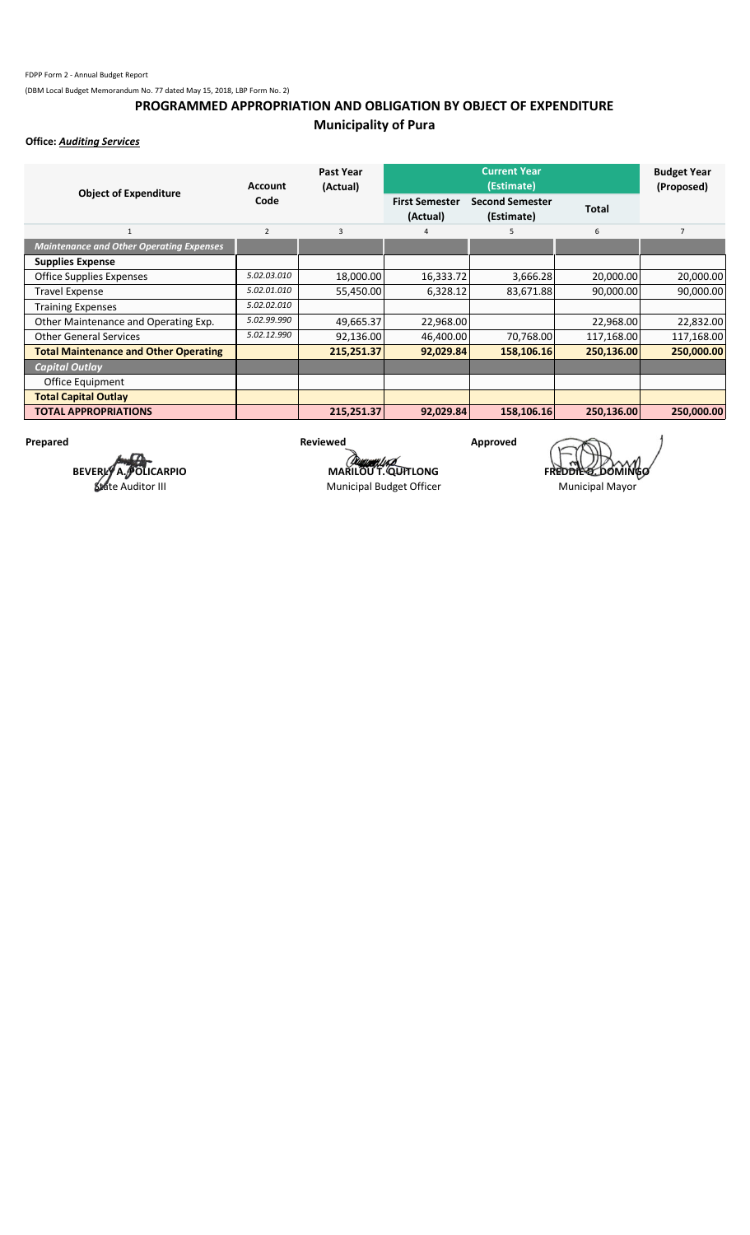## **PROGRAMMED APPROPRIATION AND OBLIGATION BY OBJECT OF EXPENDITURE Municipality of Pura**

**Office:** *Auditing Services*

| <b>Object of Expenditure</b>                    | <b>Account</b> | Past Year<br>(Actual) |                                   | <b>Budget Year</b><br>(Proposed)     |              |                |
|-------------------------------------------------|----------------|-----------------------|-----------------------------------|--------------------------------------|--------------|----------------|
|                                                 | Code           |                       | <b>First Semester</b><br>(Actual) | <b>Second Semester</b><br>(Estimate) | <b>Total</b> |                |
| $\mathbf{1}$                                    | $\overline{2}$ | 3                     | 4                                 | 5                                    | 6            | $\overline{7}$ |
| <b>Maintenance and Other Operating Expenses</b> |                |                       |                                   |                                      |              |                |
| <b>Supplies Expense</b>                         |                |                       |                                   |                                      |              |                |
| Office Supplies Expenses                        | 5.02.03.010    | 18,000.00             | 16,333.72                         | 3,666.28                             | 20,000.00    | 20,000.00      |
| <b>Travel Expense</b>                           | 5.02.01.010    | 55,450.00             | 6,328.12                          | 83,671.88                            | 90,000.00    | 90,000.00      |
| <b>Training Expenses</b>                        | 5.02.02.010    |                       |                                   |                                      |              |                |
| Other Maintenance and Operating Exp.            | 5.02.99.990    | 49,665.37             | 22,968.00                         |                                      | 22,968.00    | 22,832.00      |
| <b>Other General Services</b>                   | 5.02.12.990    | 92,136.00             | 46,400.00                         | 70,768.00                            | 117,168.00   | 117,168.00     |
| <b>Total Maintenance and Other Operating</b>    |                | 215,251.37            | 92,029.84                         | 158,106.16                           | 250,136.00   | 250,000.00     |
| <b>Capital Outlay</b>                           |                |                       |                                   |                                      |              |                |
| Office Equipment                                |                |                       |                                   |                                      |              |                |
| <b>Total Capital Outlay</b>                     |                |                       |                                   |                                      |              |                |
| <b>TOTAL APPROPRIATIONS</b>                     |                | 215,251.37            | 92,029.84                         | 158,106.16                           | 250,136.00   | 250.000.00     |

**BEVERLY A. POLICARPIO** State Auditor III

Prepared **Reviewed Reviewed Approved** 

Municipal Budget Officer Municipal Mayor

**MARILOU T. QUITLONG**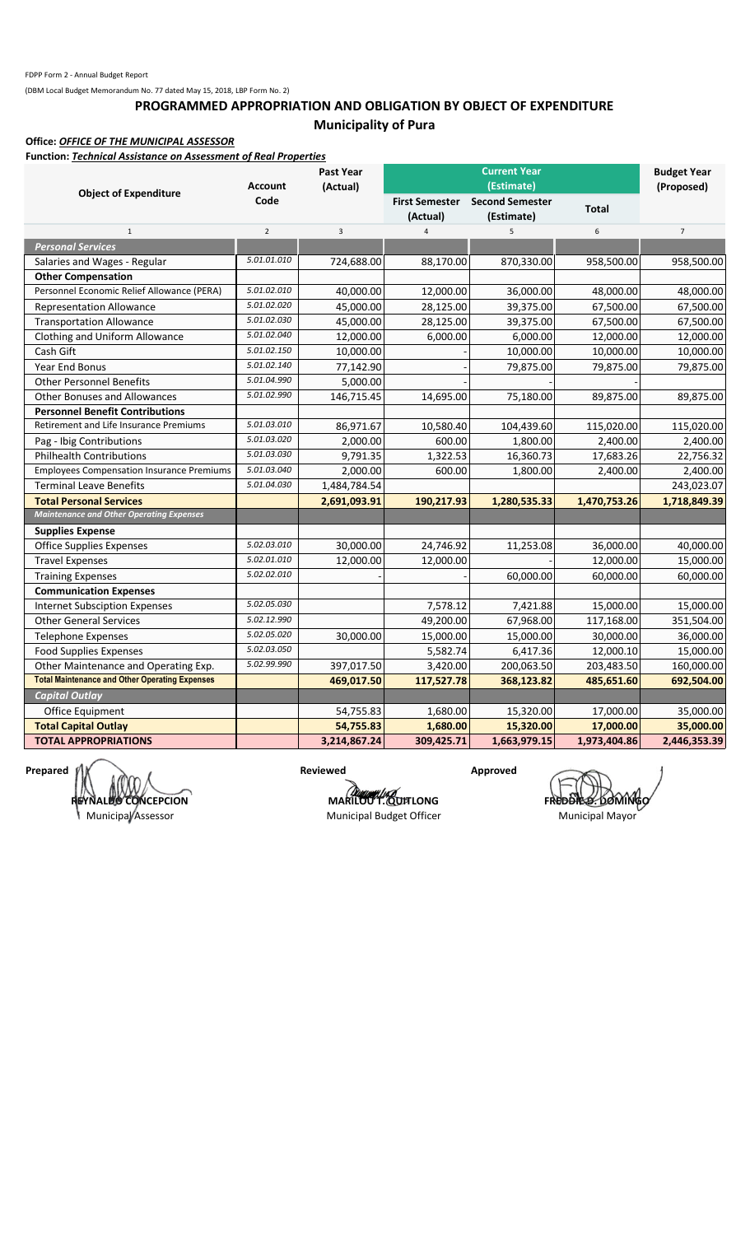## **PROGRAMMED APPROPRIATION AND OBLIGATION BY OBJECT OF EXPENDITURE Municipality of Pura**

**Office:** *OFFICE OF THE MUNICIPAL ASSESSOR*

**Function:** *Technical Assistance on Assessment of Real Properties*

|                                                       | <b>Account</b> | Past Year<br>(Actual) |                                   | <b>Current Year</b><br>(Estimate)    |              | <b>Budget Year</b><br>(Proposed) |  |
|-------------------------------------------------------|----------------|-----------------------|-----------------------------------|--------------------------------------|--------------|----------------------------------|--|
| <b>Object of Expenditure</b>                          | Code           |                       | <b>First Semester</b><br>(Actual) | <b>Second Semester</b><br>(Estimate) | <b>Total</b> |                                  |  |
| $\mathbf{1}$                                          | $\overline{2}$ | $\overline{3}$        | $\overline{4}$                    | 5                                    | 6            | $\overline{7}$                   |  |
| <b>Personal Services</b>                              |                |                       |                                   |                                      |              |                                  |  |
| Salaries and Wages - Regular                          | 5.01.01.010    | 724,688.00            | 88,170.00                         | 870,330.00                           | 958,500.00   | 958,500.00                       |  |
| <b>Other Compensation</b>                             |                |                       |                                   |                                      |              |                                  |  |
| Personnel Economic Relief Allowance (PERA)            | 5.01.02.010    | 40,000.00             | 12,000.00                         | 36,000.00                            | 48,000.00    | 48,000.00                        |  |
| <b>Representation Allowance</b>                       | 5.01.02.020    | 45,000.00             | 28,125.00                         | 39,375.00                            | 67,500.00    | 67,500.00                        |  |
| <b>Transportation Allowance</b>                       | 5.01.02.030    | 45,000.00             | 28,125.00                         | 39,375.00                            | 67,500.00    | 67,500.00                        |  |
| Clothing and Uniform Allowance                        | 5.01.02.040    | 12,000.00             | 6,000.00                          | 6,000.00                             | 12,000.00    | 12,000.00                        |  |
| Cash Gift                                             | 5.01.02.150    | 10,000.00             |                                   | 10,000.00                            | 10,000.00    | 10,000.00                        |  |
| Year End Bonus                                        | 5.01.02.140    | 77,142.90             |                                   | 79,875.00                            | 79,875.00    | 79,875.00                        |  |
| <b>Other Personnel Benefits</b>                       | 5.01.04.990    | 5,000.00              |                                   |                                      |              |                                  |  |
| <b>Other Bonuses and Allowances</b>                   | 5.01.02.990    | 146,715.45            | 14,695.00                         | 75,180.00                            | 89,875.00    | 89,875.00                        |  |
| <b>Personnel Benefit Contributions</b>                |                |                       |                                   |                                      |              |                                  |  |
| Retirement and Life Insurance Premiums                | 5.01.03.010    | 86,971.67             | 10,580.40                         | 104,439.60                           | 115,020.00   | 115,020.00                       |  |
| Pag - Ibig Contributions                              | 5.01.03.020    | 2,000.00              | 600.00                            | 1,800.00                             | 2,400.00     | 2,400.00                         |  |
| <b>Philhealth Contributions</b>                       | 5.01.03.030    | 9,791.35              | 1,322.53                          | 16,360.73                            | 17,683.26    | 22,756.32                        |  |
| <b>Employees Compensation Insurance Premiums</b>      | 5.01.03.040    | 2,000.00              | 600.00                            | 1,800.00                             | 2,400.00     | 2,400.00                         |  |
| <b>Terminal Leave Benefits</b>                        | 5.01.04.030    | 1,484,784.54          |                                   |                                      |              | 243,023.07                       |  |
| <b>Total Personal Services</b>                        |                | 2,691,093.91          | 190,217.93                        | 1,280,535.33                         | 1,470,753.26 | 1,718,849.39                     |  |
| <b>Maintenance and Other Operating Expenses</b>       |                |                       |                                   |                                      |              |                                  |  |
| <b>Supplies Expense</b>                               |                |                       |                                   |                                      |              |                                  |  |
| <b>Office Supplies Expenses</b>                       | 5.02.03.010    | 30,000.00             | 24,746.92                         | 11,253.08                            | 36,000.00    | 40,000.00                        |  |
| <b>Travel Expenses</b>                                | 5.02.01.010    | 12,000.00             | 12,000.00                         |                                      | 12,000.00    | 15,000.00                        |  |
| <b>Training Expenses</b>                              | 5.02.02.010    |                       |                                   | 60,000.00                            | 60,000.00    | 60,000.00                        |  |
| <b>Communication Expenses</b>                         |                |                       |                                   |                                      |              |                                  |  |
| <b>Internet Subsciption Expenses</b>                  | 5.02.05.030    |                       | 7,578.12                          | 7,421.88                             | 15,000.00    | 15,000.00                        |  |
| <b>Other General Services</b>                         | 5.02.12.990    |                       | 49,200.00                         | 67,968.00                            | 117,168.00   | 351,504.00                       |  |
| Telephone Expenses                                    | 5.02.05.020    | 30,000.00             | 15,000.00                         | 15,000.00                            | 30,000.00    | 36,000.00                        |  |
| <b>Food Supplies Expenses</b>                         | 5.02.03.050    |                       | 5,582.74                          | 6,417.36                             | 12,000.10    | 15,000.00                        |  |
| Other Maintenance and Operating Exp.                  | 5.02.99.990    | 397,017.50            | 3,420.00                          | 200,063.50                           | 203,483.50   | 160,000.00                       |  |
| <b>Total Maintenance and Other Operating Expenses</b> |                | 469,017.50            | 117,527.78                        | 368,123.82                           | 485,651.60   | 692,504.00                       |  |
| <b>Capital Outlay</b>                                 |                |                       |                                   |                                      |              |                                  |  |
| Office Equipment                                      |                | 54,755.83             | 1,680.00                          | 15,320.00                            | 17,000.00    | 35,000.00                        |  |
| <b>Total Capital Outlay</b>                           |                | 54,755.83             | 1,680.00                          | 15,320.00                            | 17,000.00    | 35,000.00                        |  |
| <b>TOTAL APPROPRIATIONS</b>                           |                | 3,214,867.24          | 309,425.71                        | 1,663,979.15                         | 1,973,404.86 | 2,446,353.39                     |  |

**Prepared**  $\mathcal{V}|\mathcal{X} = \mathcal{X}$  **and**  $\mathcal{X}$  **are vectors are vectors of the contract of the contract of the contract of the contract of the contract of the contract of the contract of the contract of the contract of the co REYNALDO CONCEPCION** 

Municipal Assessor

**MARILOUT.** QUITLONG **FREDDIE DOMINGO** 

Municipal Budget Officer Municipal Mayor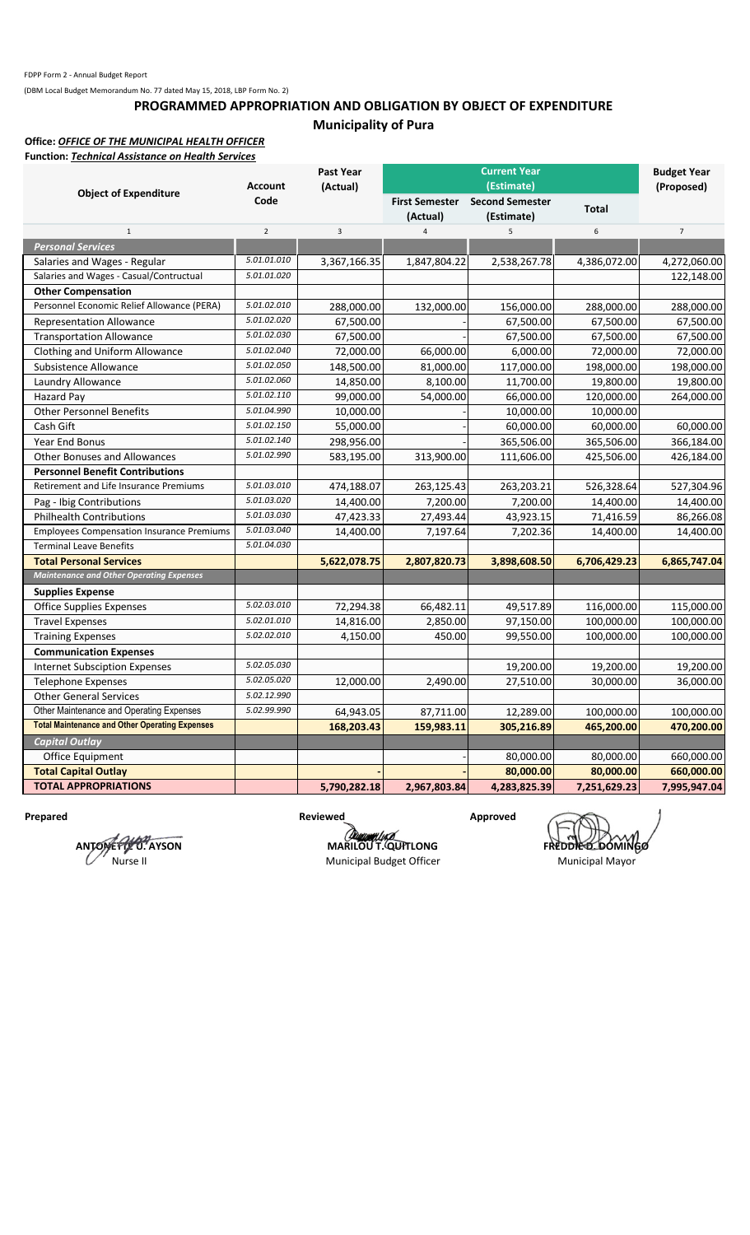## **PROGRAMMED APPROPRIATION AND OBLIGATION BY OBJECT OF EXPENDITURE Municipality of Pura**

#### **Office:** *OFFICE OF THE MUNICIPAL HEALTH OFFICER* **Function:** *Technical Assistance on Health Services*

| i unction. <i>Technical Assistance on Heuthi Services</i> |                        | <b>Past Year</b> |                                   | <b>Current Year</b>                                |              | <b>Budget Year</b> |  |
|-----------------------------------------------------------|------------------------|------------------|-----------------------------------|----------------------------------------------------|--------------|--------------------|--|
| <b>Object of Expenditure</b>                              | <b>Account</b><br>Code | (Actual)         | <b>First Semester</b><br>(Actual) | (Estimate)<br><b>Second Semester</b><br>(Estimate) | <b>Total</b> | (Proposed)         |  |
| $\mathbf 1$                                               | $\overline{2}$         | $\overline{3}$   | $\overline{4}$                    | 5                                                  | $\,$ 6 $\,$  | $\overline{7}$     |  |
| <b>Personal Services</b>                                  |                        |                  |                                   |                                                    |              |                    |  |
| Salaries and Wages - Regular                              | 5.01.01.010            | 3,367,166.35     | 1,847,804.22                      | 2,538,267.78                                       | 4,386,072.00 | 4,272,060.00       |  |
| Salaries and Wages - Casual/Contructual                   | 5.01.01.020            |                  |                                   |                                                    |              | 122,148.00         |  |
| <b>Other Compensation</b>                                 |                        |                  |                                   |                                                    |              |                    |  |
| Personnel Economic Relief Allowance (PERA)                | 5.01.02.010            | 288,000.00       | 132,000.00                        | 156,000.00                                         | 288,000.00   | 288,000.00         |  |
| <b>Representation Allowance</b>                           | 5.01.02.020            | 67,500.00        |                                   | 67,500.00                                          | 67,500.00    | 67,500.00          |  |
| <b>Transportation Allowance</b>                           | 5.01.02.030            | 67,500.00        |                                   | 67,500.00                                          | 67,500.00    | 67,500.00          |  |
| Clothing and Uniform Allowance                            | 5.01.02.040            | 72,000.00        | 66,000.00                         | 6,000.00                                           | 72,000.00    | 72,000.00          |  |
| Subsistence Allowance                                     | 5.01.02.050            | 148,500.00       | 81,000.00                         | 117,000.00                                         | 198,000.00   | 198,000.00         |  |
| Laundry Allowance                                         | 5.01.02.060            | 14,850.00        | 8,100.00                          | 11,700.00                                          | 19,800.00    | 19,800.00          |  |
| <b>Hazard Pay</b>                                         | 5.01.02.110            | 99,000.00        | 54,000.00                         | 66,000.00                                          | 120,000.00   | 264,000.00         |  |
| <b>Other Personnel Benefits</b>                           | 5.01.04.990            | 10,000.00        |                                   | 10,000.00                                          | 10,000.00    |                    |  |
| Cash Gift                                                 | 5.01.02.150            | 55,000.00        |                                   | 60,000.00                                          | 60,000.00    | 60,000.00          |  |
| Year End Bonus                                            | 5.01.02.140            | 298,956.00       |                                   | 365,506.00                                         | 365,506.00   | 366,184.00         |  |
| <b>Other Bonuses and Allowances</b>                       | 5.01.02.990            | 583,195.00       | 313,900.00                        | 111,606.00                                         | 425,506.00   | 426,184.00         |  |
| <b>Personnel Benefit Contributions</b>                    |                        |                  |                                   |                                                    |              |                    |  |
| Retirement and Life Insurance Premiums                    | 5.01.03.010            | 474,188.07       | 263,125.43                        | 263,203.21                                         | 526,328.64   | 527,304.96         |  |
| Pag - Ibig Contributions                                  | 5.01.03.020            | 14,400.00        | 7,200.00                          | 7,200.00                                           | 14,400.00    | 14,400.00          |  |
| <b>Philhealth Contributions</b>                           | 5.01.03.030            | 47,423.33        | 27,493.44                         | 43,923.15                                          | 71,416.59    | 86,266.08          |  |
| <b>Employees Compensation Insurance Premiums</b>          | 5.01.03.040            | 14,400.00        | 7,197.64                          | 7,202.36                                           | 14,400.00    | 14,400.00          |  |
| <b>Terminal Leave Benefits</b>                            | 5.01.04.030            |                  |                                   |                                                    |              |                    |  |
| <b>Total Personal Services</b>                            |                        | 5,622,078.75     | 2,807,820.73                      | 3,898,608.50                                       | 6,706,429.23 | 6,865,747.04       |  |
| <b>Maintenance and Other Operating Expenses</b>           |                        |                  |                                   |                                                    |              |                    |  |
| <b>Supplies Expense</b>                                   |                        |                  |                                   |                                                    |              |                    |  |
| <b>Office Supplies Expenses</b>                           | 5.02.03.010            | 72,294.38        | 66,482.11                         | 49,517.89                                          | 116,000.00   | 115,000.00         |  |
| <b>Travel Expenses</b>                                    | 5.02.01.010            | 14,816.00        | 2,850.00                          | 97,150.00                                          | 100,000.00   | 100,000.00         |  |
| <b>Training Expenses</b>                                  | 5.02.02.010            | 4,150.00         | 450.00                            | 99,550.00                                          | 100,000.00   | 100,000.00         |  |
| <b>Communication Expenses</b>                             |                        |                  |                                   |                                                    |              |                    |  |
| <b>Internet Subsciption Expenses</b>                      | 5.02.05.030            |                  |                                   | 19,200.00                                          | 19,200.00    | 19,200.00          |  |
| <b>Telephone Expenses</b>                                 | 5.02.05.020            | 12,000.00        | 2,490.00                          | 27,510.00                                          | 30,000.00    | 36,000.00          |  |
| <b>Other General Services</b>                             | 5.02.12.990            |                  |                                   |                                                    |              |                    |  |
| Other Maintenance and Operating Expenses                  | 5.02.99.990            | 64,943.05        | 87,711.00                         | 12,289.00                                          | 100,000.00   | 100,000.00         |  |
| <b>Total Maintenance and Other Operating Expenses</b>     |                        | 168,203.43       | 159,983.11                        | 305,216.89                                         | 465,200.00   | 470,200.00         |  |
| <b>Capital Outlay</b>                                     |                        |                  |                                   |                                                    |              |                    |  |
| Office Equipment                                          |                        |                  |                                   | 80,000.00                                          | 80,000.00    | 660,000.00         |  |
| <b>Total Capital Outlay</b>                               |                        |                  |                                   | 80,000.00                                          | 80,000.00    | 660,000.00         |  |
| <b>TOTAL APPROPRIATIONS</b>                               |                        | 5,790,282.18     | 2,967,803.84                      | 4,283,825.39                                       | 7,251,629.23 | 7,995,947.04       |  |

**ANTONETTE U. AYSON** Nurse II

Prepared **Reviewed Reviewed Approved** 

**MARILOU T. QUITLONG** 

Municipal Budget Officer Municipal Mayor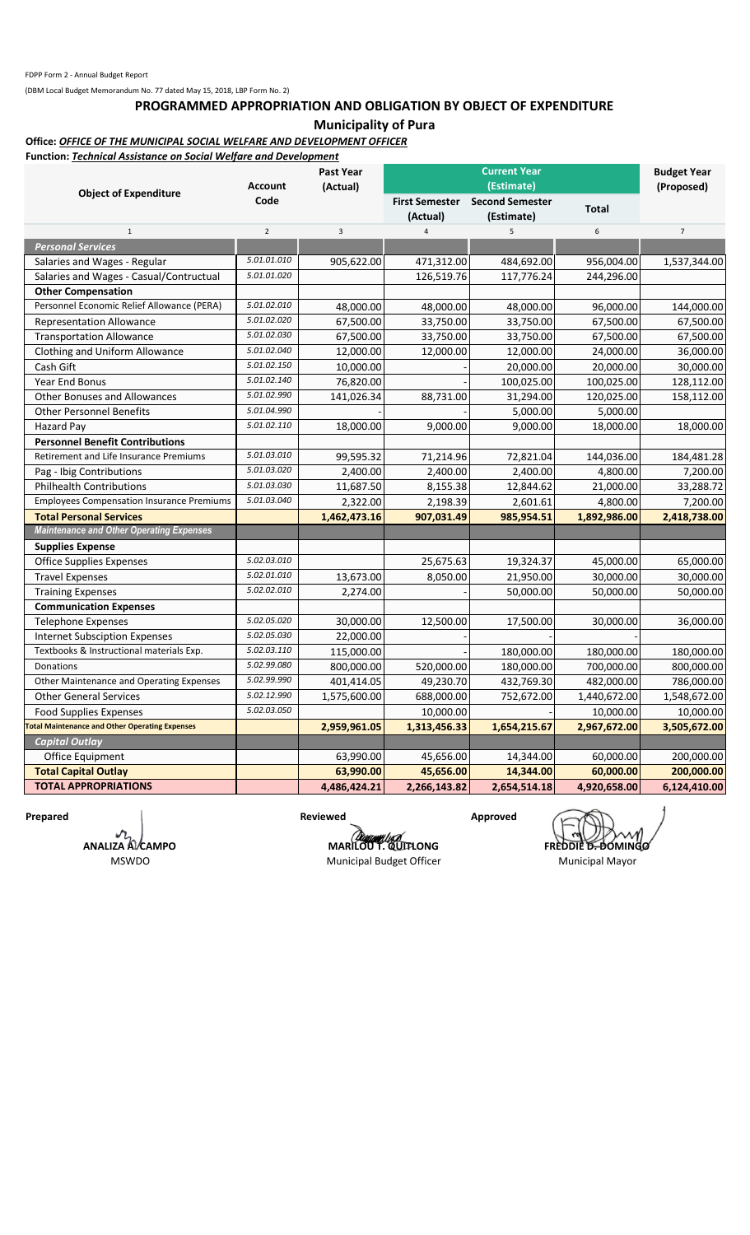#### **PROGRAMMED APPROPRIATION AND OBLIGATION BY OBJECT OF EXPENDITURE**

**Municipality of Pura**

### **Office:** *OFFICE OF THE MUNICIPAL SOCIAL WELFARE AND DEVELOPMENT OFFICER*

**Function:** *Technical Assistance on Social Welfare and Development*

|                                                       | <b>Account</b> | Past Year<br>(Actual) |                                   | <b>Current Year</b><br>(Estimate)    |              | <b>Budget Year</b><br>(Proposed) |  |
|-------------------------------------------------------|----------------|-----------------------|-----------------------------------|--------------------------------------|--------------|----------------------------------|--|
| <b>Object of Expenditure</b>                          | Code           |                       | <b>First Semester</b><br>(Actual) | <b>Second Semester</b><br>(Estimate) | <b>Total</b> |                                  |  |
| $1\,$                                                 | $\overline{2}$ | $\overline{3}$        | $\overline{4}$                    | 5                                    | $\sf 6$      | $\overline{7}$                   |  |
| <b>Personal Services</b>                              |                |                       |                                   |                                      |              |                                  |  |
| Salaries and Wages - Regular                          | 5.01.01.010    | 905,622.00            | 471,312.00                        | 484,692.00                           | 956,004.00   | 1,537,344.00                     |  |
| Salaries and Wages - Casual/Contructual               | 5.01.01.020    |                       | 126,519.76                        | 117,776.24                           | 244,296.00   |                                  |  |
| <b>Other Compensation</b>                             |                |                       |                                   |                                      |              |                                  |  |
| Personnel Economic Relief Allowance (PERA)            | 5.01.02.010    | 48,000.00             | 48,000.00                         | 48,000.00                            | 96,000.00    | 144,000.00                       |  |
| <b>Representation Allowance</b>                       | 5.01.02.020    | 67,500.00             | 33,750.00                         | 33,750.00                            | 67,500.00    | 67,500.00                        |  |
| <b>Transportation Allowance</b>                       | 5.01.02.030    | 67,500.00             | 33,750.00                         | 33,750.00                            | 67,500.00    | 67,500.00                        |  |
| Clothing and Uniform Allowance                        | 5.01.02.040    | 12,000.00             | 12,000.00                         | 12,000.00                            | 24,000.00    | 36,000.00                        |  |
| Cash Gift                                             | 5.01.02.150    | 10,000.00             |                                   | 20,000.00                            | 20,000.00    | 30,000.00                        |  |
| Year End Bonus                                        | 5.01.02.140    | 76,820.00             |                                   | 100,025.00                           | 100,025.00   | 128,112.00                       |  |
| Other Bonuses and Allowances                          | 5.01.02.990    | 141,026.34            | 88,731.00                         | 31,294.00                            | 120,025.00   | 158,112.00                       |  |
| <b>Other Personnel Benefits</b>                       | 5.01.04.990    |                       |                                   | 5,000.00                             | 5,000.00     |                                  |  |
| Hazard Pay                                            | 5.01.02.110    | 18,000.00             | 9,000.00                          | 9,000.00                             | 18,000.00    | 18,000.00                        |  |
| <b>Personnel Benefit Contributions</b>                |                |                       |                                   |                                      |              |                                  |  |
| Retirement and Life Insurance Premiums                | 5.01.03.010    | 99,595.32             | 71,214.96                         | 72,821.04                            | 144,036.00   | 184,481.28                       |  |
| Pag - Ibig Contributions                              | 5.01.03.020    | 2,400.00              | 2,400.00                          | 2,400.00                             | 4,800.00     | 7,200.00                         |  |
| <b>Philhealth Contributions</b>                       | 5.01.03.030    | 11,687.50             | 8,155.38                          | 12,844.62                            | 21,000.00    | 33,288.72                        |  |
| <b>Employees Compensation Insurance Premiums</b>      | 5.01.03.040    | 2,322.00              | 2,198.39                          | 2,601.61                             | 4,800.00     | 7,200.00                         |  |
| <b>Total Personal Services</b>                        |                | 1,462,473.16          | 907,031.49                        | 985,954.51                           | 1,892,986.00 | 2,418,738.00                     |  |
| <b>Maintenance and Other Operating Expenses</b>       |                |                       |                                   |                                      |              |                                  |  |
| <b>Supplies Expense</b>                               |                |                       |                                   |                                      |              |                                  |  |
| <b>Office Supplies Expenses</b>                       | 5.02.03.010    |                       | 25,675.63                         | 19,324.37                            | 45,000.00    | 65,000.00                        |  |
| <b>Travel Expenses</b>                                | 5.02.01.010    | 13,673.00             | 8,050.00                          | 21,950.00                            | 30,000.00    | 30,000.00                        |  |
| <b>Training Expenses</b>                              | 5.02.02.010    | 2,274.00              |                                   | 50,000.00                            | 50,000.00    | 50,000.00                        |  |
| <b>Communication Expenses</b>                         |                |                       |                                   |                                      |              |                                  |  |
| <b>Telephone Expenses</b>                             | 5.02.05.020    | 30,000.00             | 12,500.00                         | 17,500.00                            | 30,000.00    | 36,000.00                        |  |
| <b>Internet Subsciption Expenses</b>                  | 5.02.05.030    | 22,000.00             |                                   |                                      |              |                                  |  |
| Textbooks & Instructional materials Exp.              | 5.02.03.110    | 115,000.00            |                                   | 180,000.00                           | 180,000.00   | 180,000.00                       |  |
| Donations                                             | 5.02.99.080    | 800,000.00            | 520,000.00                        | 180,000.00                           | 700,000.00   | 800,000.00                       |  |
| Other Maintenance and Operating Expenses              | 5.02.99.990    | 401,414.05            | 49,230.70                         | 432,769.30                           | 482,000.00   | 786,000.00                       |  |
| <b>Other General Services</b>                         | 5.02.12.990    | 1,575,600.00          | 688,000.00                        | 752,672.00                           | 1,440,672.00 | 1,548,672.00                     |  |
| <b>Food Supplies Expenses</b>                         | 5.02.03.050    |                       | 10,000.00                         |                                      | 10,000.00    | 10,000.00                        |  |
| <b>Total Maintenance and Other Operating Expenses</b> |                | 2,959,961.05          | 1,313,456.33                      | 1,654,215.67                         | 2,967,672.00 | 3,505,672.00                     |  |
| <b>Capital Outlay</b>                                 |                |                       |                                   |                                      |              |                                  |  |
| Office Equipment                                      |                | 63,990.00             | 45,656.00                         | 14,344.00                            | 60,000.00    | 200,000.00                       |  |
| <b>Total Capital Outlay</b>                           |                | 63,990.00             | 45,656.00                         | 14,344.00                            | 60,000.00    | 200,000.00                       |  |
| <b>TOTAL APPROPRIATIONS</b>                           |                | 4,486,424.21          | 2,266,143.82                      | 2,654,514.18                         | 4,920,658.00 | 6,124,410.00                     |  |

 $\boldsymbol{\eta}$ **ANALIZA A. CAMPO** MSWDO

Prepared **Reviewed** Approved

**MARILOU T. QUITLONG FREDDIE D. DOMINGO** 

Municipal Budget Officer Municipal Mayor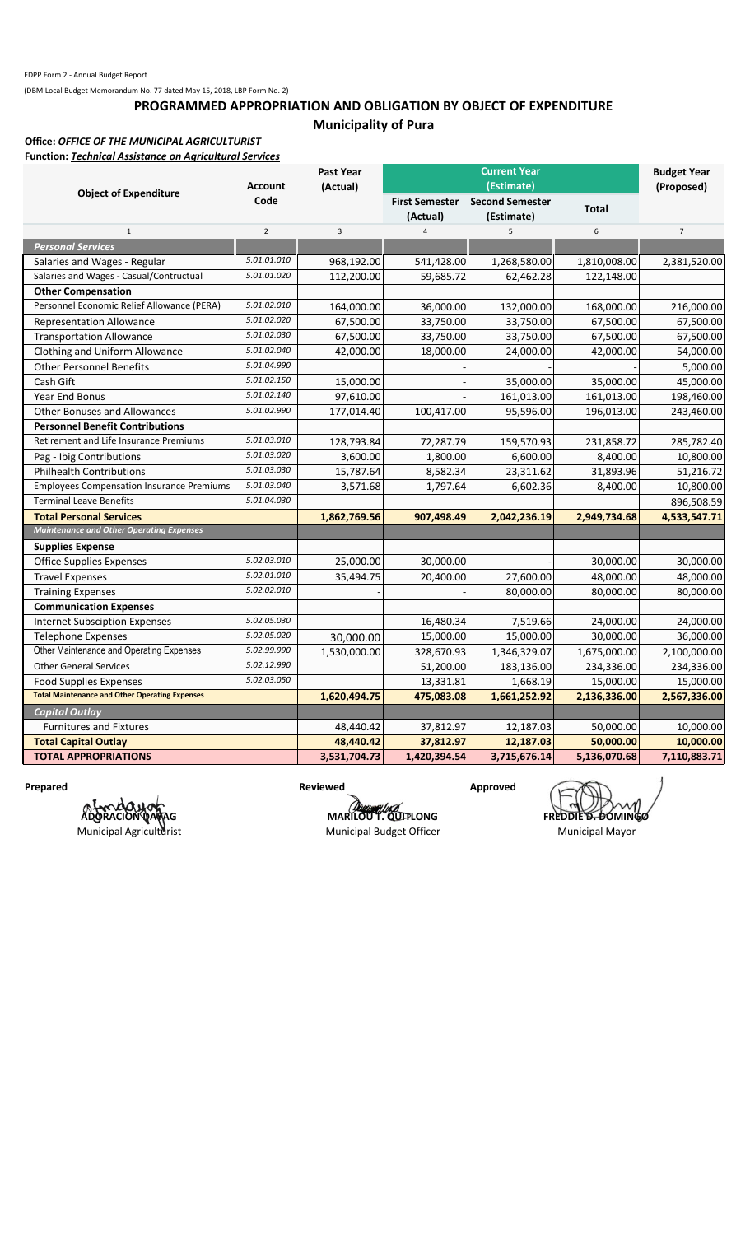## **PROGRAMMED APPROPRIATION AND OBLIGATION BY OBJECT OF EXPENDITURE Municipality of Pura**

### **Office:** *OFFICE OF THE MUNICIPAL AGRICULTURIST*

**Function:** *Technical Assistance on Agricultural Services*

|                                                       | <b>Account</b> | <b>Past Year</b><br>(Actual) |                                   |                                                    | <b>Budget Year</b><br>(Proposed) |                |
|-------------------------------------------------------|----------------|------------------------------|-----------------------------------|----------------------------------------------------|----------------------------------|----------------|
| <b>Object of Expenditure</b>                          | Code           |                              | <b>First Semester</b><br>(Actual) | (Estimate)<br><b>Second Semester</b><br>(Estimate) | <b>Total</b>                     |                |
| $1\,$                                                 | $\overline{2}$ | 3                            | $\overline{4}$                    | 5                                                  | 6                                | $\overline{7}$ |
| <b>Personal Services</b>                              |                |                              |                                   |                                                    |                                  |                |
| Salaries and Wages - Regular                          | 5.01.01.010    | 968,192.00                   | 541,428.00                        | 1,268,580.00                                       | 1,810,008.00                     | 2,381,520.00   |
| Salaries and Wages - Casual/Contructual               | 5.01.01.020    | 112,200.00                   | 59,685.72                         | 62,462.28                                          | 122,148.00                       |                |
| <b>Other Compensation</b>                             |                |                              |                                   |                                                    |                                  |                |
| Personnel Economic Relief Allowance (PERA)            | 5.01.02.010    | 164,000.00                   | 36,000.00                         | 132,000.00                                         | 168,000.00                       | 216,000.00     |
| <b>Representation Allowance</b>                       | 5.01.02.020    | 67,500.00                    | 33,750.00                         | 33,750.00                                          | 67,500.00                        | 67,500.00      |
| <b>Transportation Allowance</b>                       | 5.01.02.030    | 67,500.00                    | 33,750.00                         | 33,750.00                                          | 67,500.00                        | 67,500.00      |
| Clothing and Uniform Allowance                        | 5.01.02.040    | 42,000.00                    | 18,000.00                         | 24,000.00                                          | 42,000.00                        | 54,000.00      |
| <b>Other Personnel Benefits</b>                       | 5.01.04.990    |                              |                                   |                                                    |                                  | 5,000.00       |
| Cash Gift                                             | 5.01.02.150    | 15,000.00                    |                                   | 35,000.00                                          | 35,000.00                        | 45,000.00      |
| Year End Bonus                                        | 5.01.02.140    | 97,610.00                    |                                   | 161,013.00                                         | 161,013.00                       | 198,460.00     |
| <b>Other Bonuses and Allowances</b>                   | 5.01.02.990    | 177,014.40                   | 100,417.00                        | 95,596.00                                          | 196,013.00                       | 243,460.00     |
| <b>Personnel Benefit Contributions</b>                |                |                              |                                   |                                                    |                                  |                |
| Retirement and Life Insurance Premiums                | 5.01.03.010    | 128,793.84                   | 72,287.79                         | 159,570.93                                         | 231,858.72                       | 285,782.40     |
| Pag - Ibig Contributions                              | 5.01.03.020    | 3,600.00                     | 1,800.00                          | 6,600.00                                           | 8,400.00                         | 10,800.00      |
| <b>Philhealth Contributions</b>                       | 5.01.03.030    | 15,787.64                    | 8,582.34                          | 23,311.62                                          | 31,893.96                        | 51,216.72      |
| <b>Employees Compensation Insurance Premiums</b>      | 5.01.03.040    | 3,571.68                     | 1,797.64                          | 6,602.36                                           | 8,400.00                         | 10,800.00      |
| <b>Terminal Leave Benefits</b>                        | 5.01.04.030    |                              |                                   |                                                    |                                  | 896,508.59     |
| <b>Total Personal Services</b>                        |                | 1,862,769.56                 | 907,498.49                        | 2,042,236.19                                       | 2,949,734.68                     | 4,533,547.71   |
| <b>Maintenance and Other Operating Expenses</b>       |                |                              |                                   |                                                    |                                  |                |
| <b>Supplies Expense</b>                               |                |                              |                                   |                                                    |                                  |                |
| <b>Office Supplies Expenses</b>                       | 5.02.03.010    | 25,000.00                    | 30,000.00                         |                                                    | 30,000.00                        | 30,000.00      |
| <b>Travel Expenses</b>                                | 5.02.01.010    | 35,494.75                    | 20,400.00                         | 27,600.00                                          | 48,000.00                        | 48,000.00      |
| <b>Training Expenses</b>                              | 5.02.02.010    |                              |                                   | 80,000.00                                          | 80,000.00                        | 80,000.00      |
| <b>Communication Expenses</b>                         |                |                              |                                   |                                                    |                                  |                |
| <b>Internet Subsciption Expenses</b>                  | 5.02.05.030    |                              | 16,480.34                         | 7,519.66                                           | 24,000.00                        | 24,000.00      |
| <b>Telephone Expenses</b>                             | 5.02.05.020    | 30,000.00                    | 15,000.00                         | 15,000.00                                          | 30,000.00                        | 36,000.00      |
| Other Maintenance and Operating Expenses              | 5.02.99.990    | 1,530,000.00                 | 328,670.93                        | 1,346,329.07                                       | 1,675,000.00                     | 2,100,000.00   |
| <b>Other General Services</b>                         | 5.02.12.990    |                              | 51,200.00                         | 183,136.00                                         | 234,336.00                       | 234,336.00     |
| <b>Food Supplies Expenses</b>                         | 5.02.03.050    |                              | 13,331.81                         | 1,668.19                                           | 15,000.00                        | 15,000.00      |
| <b>Total Maintenance and Other Operating Expenses</b> |                | 1,620,494.75                 | 475,083.08                        | 1,661,252.92                                       | 2,136,336.00                     | 2,567,336.00   |
| <b>Capital Outlay</b>                                 |                |                              |                                   |                                                    |                                  |                |
| <b>Furnitures and Fixtures</b>                        |                | 48,440.42                    | 37,812.97                         | 12,187.03                                          | 50,000.00                        | 10,000.00      |
| <b>Total Capital Outlay</b>                           |                | 48,440.42                    | 37,812.97                         | 12,187.03                                          | 50,000.00                        | 10,000.00      |
| <b>TOTAL APPROPRIATIONS</b>                           |                | 3,531,704.73                 | 1,420,394.54                      | 3,715,676.14                                       | 5,136,070.68                     | 7,110,883.71   |

A **La da yak**<br>ADORACION QAQAG Municipal Agriculturist

**Prepared Approved Approved Approved Approved Approved Approved Approved Approved Approved Approved Approved Approved Approved Approved Approved Approved Approved Approved Approved Approved Approved Approved Approved Appro** 

Municipal Budget Officer Municipal Mayor

**MARILOU T. QUITLONG FREDDIE D. DOMINGO**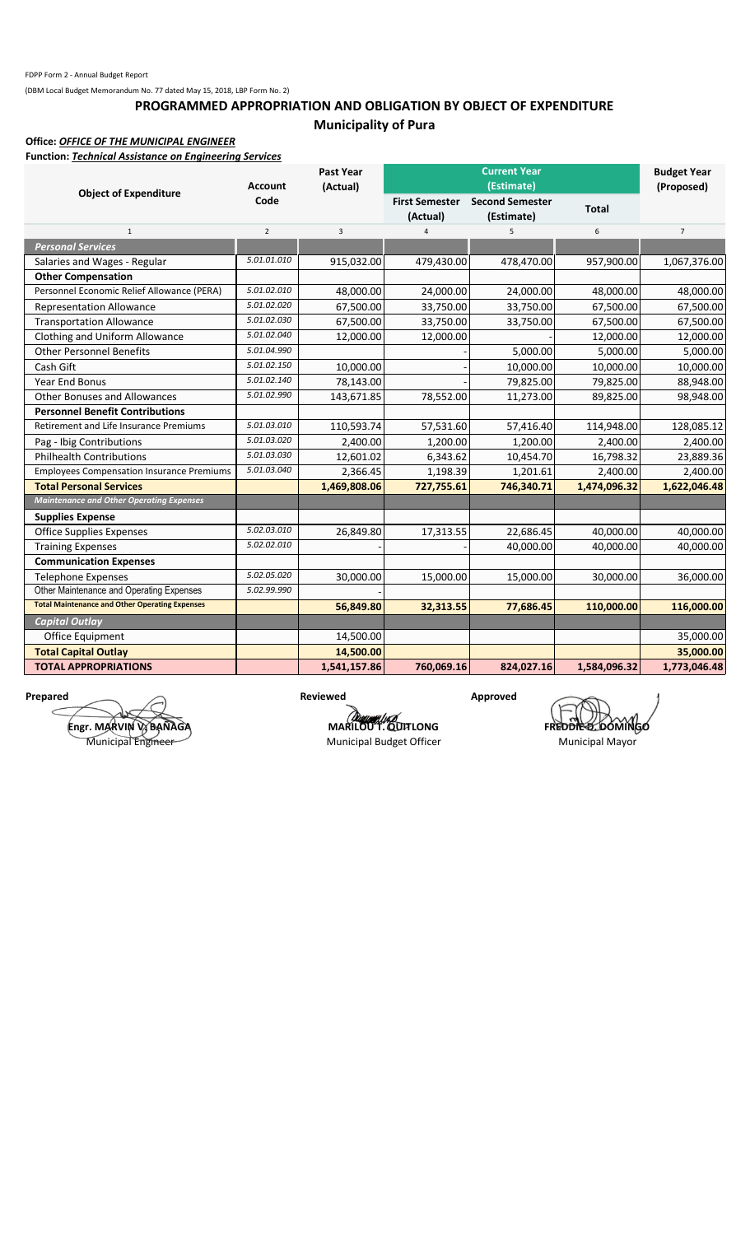## **PROGRAMMED APPROPRIATION AND OBLIGATION BY OBJECT OF EXPENDITURE Municipality of Pura**

**Office:** *OFFICE OF THE MUNICIPAL ENGINEER*

**Function:** *Technical Assistance on Engineering Services*

|                                                       | <b>Account</b> | <b>Past Year</b><br>(Actual) | <b>Current Year</b><br>(Estimate) |                        |              | <b>Budget Year</b><br>(Proposed) |
|-------------------------------------------------------|----------------|------------------------------|-----------------------------------|------------------------|--------------|----------------------------------|
| <b>Object of Expenditure</b>                          | Code           |                              | <b>First Semester</b>             | <b>Second Semester</b> |              |                                  |
|                                                       |                |                              | (Actual)                          | (Estimate)             | <b>Total</b> |                                  |
| $\mathbf{1}$                                          | $\overline{2}$ | 3                            | $\overline{4}$                    | 5                      | 6            | $\overline{7}$                   |
| <b>Personal Services</b>                              |                |                              |                                   |                        |              |                                  |
| Salaries and Wages - Regular                          | 5.01.01.010    | 915,032.00                   | 479,430.00                        | 478,470.00             | 957,900.00   | 1,067,376.00                     |
| <b>Other Compensation</b>                             |                |                              |                                   |                        |              |                                  |
| Personnel Economic Relief Allowance (PERA)            | 5.01.02.010    | 48,000.00                    | 24,000.00                         | 24,000.00              | 48,000.00    | 48,000.00                        |
| <b>Representation Allowance</b>                       | 5.01.02.020    | 67,500.00                    | 33,750.00                         | 33,750.00              | 67,500.00    | 67,500.00                        |
| <b>Transportation Allowance</b>                       | 5.01.02.030    | 67,500.00                    | 33,750.00                         | 33,750.00              | 67,500.00    | 67,500.00                        |
| Clothing and Uniform Allowance                        | 5.01.02.040    | 12,000.00                    | 12,000.00                         |                        | 12,000.00    | 12,000.00                        |
| <b>Other Personnel Benefits</b>                       | 5.01.04.990    |                              |                                   | 5,000.00               | 5,000.00     | 5,000.00                         |
| Cash Gift                                             | 5.01.02.150    | 10,000.00                    |                                   | 10,000.00              | 10,000.00    | 10,000.00                        |
| <b>Year End Bonus</b>                                 | 5.01.02.140    | 78,143.00                    |                                   | 79,825.00              | 79,825.00    | 88,948.00                        |
| <b>Other Bonuses and Allowances</b>                   | 5.01.02.990    | 143,671.85                   | 78,552.00                         | 11,273.00              | 89,825.00    | 98,948.00                        |
| <b>Personnel Benefit Contributions</b>                |                |                              |                                   |                        |              |                                  |
| Retirement and Life Insurance Premiums                | 5.01.03.010    | 110,593.74                   | 57,531.60                         | 57,416.40              | 114,948.00   | 128,085.12                       |
| Pag - Ibig Contributions                              | 5.01.03.020    | 2,400.00                     | 1,200.00                          | 1,200.00               | 2,400.00     | 2,400.00                         |
| <b>Philhealth Contributions</b>                       | 5.01.03.030    | 12,601.02                    | 6,343.62                          | 10,454.70              | 16,798.32    | 23,889.36                        |
| <b>Employees Compensation Insurance Premiums</b>      | 5.01.03.040    | 2,366.45                     | 1,198.39                          | 1,201.61               | 2,400.00     | 2,400.00                         |
| <b>Total Personal Services</b>                        |                | 1,469,808.06                 | 727,755.61                        | 746,340.71             | 1,474,096.32 | 1,622,046.48                     |
| <b>Maintenance and Other Operating Expenses</b>       |                |                              |                                   |                        |              |                                  |
| <b>Supplies Expense</b>                               |                |                              |                                   |                        |              |                                  |
| <b>Office Supplies Expenses</b>                       | 5.02.03.010    | 26,849.80                    | 17,313.55                         | 22,686.45              | 40,000.00    | 40,000.00                        |
| <b>Training Expenses</b>                              | 5.02.02.010    |                              |                                   | 40,000.00              | 40,000.00    | 40,000.00                        |
| <b>Communication Expenses</b>                         |                |                              |                                   |                        |              |                                  |
| <b>Telephone Expenses</b>                             | 5.02.05.020    | 30,000.00                    | 15,000.00                         | 15,000.00              | 30,000.00    | 36,000.00                        |
| Other Maintenance and Operating Expenses              | 5.02.99.990    |                              |                                   |                        |              |                                  |
| <b>Total Maintenance and Other Operating Expenses</b> |                | 56,849.80                    | 32,313.55                         | 77,686.45              | 110,000.00   | 116,000.00                       |
| <b>Capital Outlay</b>                                 |                |                              |                                   |                        |              |                                  |
| Office Equipment                                      |                | 14,500.00                    |                                   |                        |              | 35,000.00                        |
| <b>Total Capital Outlay</b>                           |                | 14,500.00                    |                                   |                        |              | 35,000.00                        |
| <b>TOTAL APPROPRIATIONS</b>                           |                | 1,541,157.86                 | 760,069.16                        | 824,027.16             | 1,584,096.32 | 1,773,046.48                     |

**Engr. MARVIN V. BAÑAGA** Municipal Engineer

**Prepared Approved Approved Approved Approved Approved Approved Approved Approved Approved Approved Approved Approved Approved Approved Approved Approved Approved Approved Approved Approved Approved Approved Approved Appro** 

**MARILOU T. QUITLONG**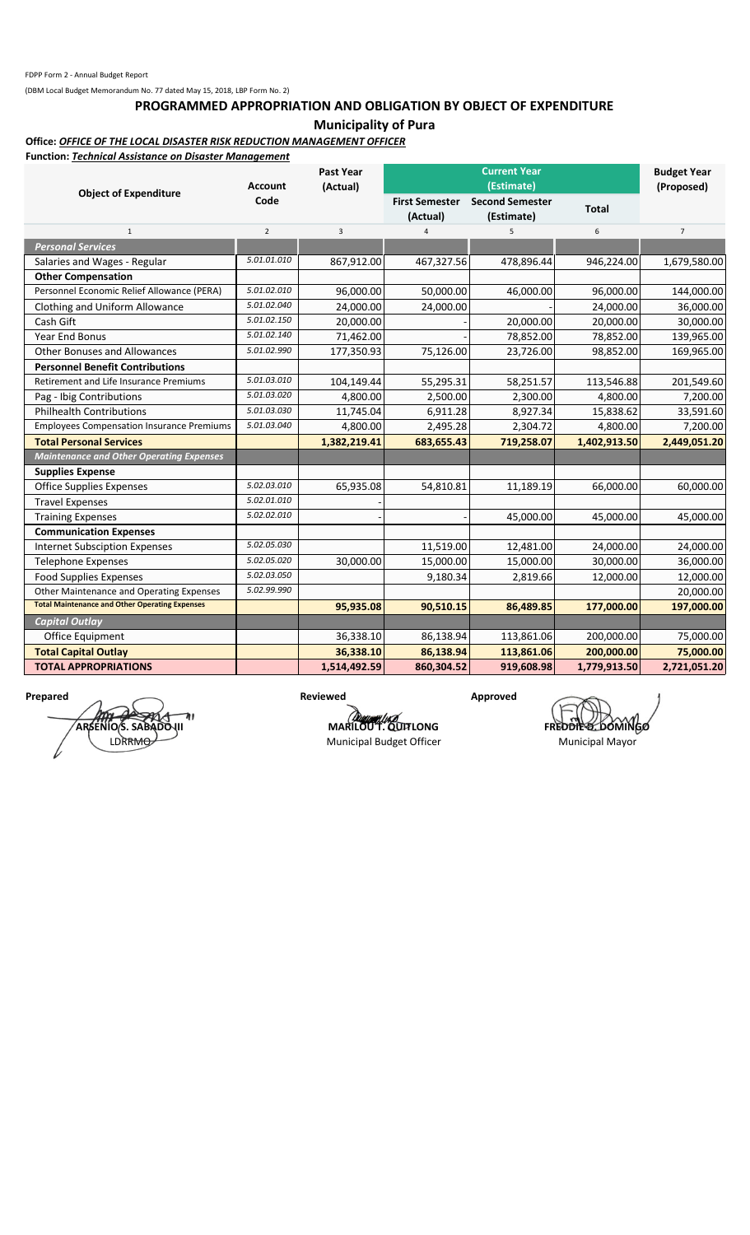#### **PROGRAMMED APPROPRIATION AND OBLIGATION BY OBJECT OF EXPENDITURE**

**Municipality of Pura**

### **Office:** *OFFICE OF THE LOCAL DISASTER RISK REDUCTION MANAGEMENT OFFICER*

**Function:** *Technical Assistance on Disaster Management*

| Function: <i>rechnical Assistance on Disaster Wanagement</i> | <b>Current Year</b><br>Past Year<br>(Estimate)<br><b>Account</b><br>(Actual) |                | <b>Budget Year</b><br>(Proposed)  |                                      |              |                |
|--------------------------------------------------------------|------------------------------------------------------------------------------|----------------|-----------------------------------|--------------------------------------|--------------|----------------|
| <b>Object of Expenditure</b>                                 | Code                                                                         |                | <b>First Semester</b><br>(Actual) | <b>Second Semester</b><br>(Estimate) | <b>Total</b> |                |
| $\mathbf{1}$                                                 | $\overline{2}$                                                               | $\overline{3}$ |                                   | 5                                    | 6            | $\overline{7}$ |
| <b>Personal Services</b>                                     |                                                                              |                |                                   |                                      |              |                |
| Salaries and Wages - Regular                                 | 5.01.01.010                                                                  | 867,912.00     | 467,327.56                        | 478,896.44                           | 946,224.00   | 1,679,580.00   |
| <b>Other Compensation</b>                                    |                                                                              |                |                                   |                                      |              |                |
| Personnel Economic Relief Allowance (PERA)                   | 5.01.02.010                                                                  | 96,000.00      | 50,000.00                         | 46,000.00                            | 96,000.00    | 144,000.00     |
| Clothing and Uniform Allowance                               | 5.01.02.040                                                                  | 24,000.00      | 24,000.00                         |                                      | 24,000.00    | 36,000.00      |
| Cash Gift                                                    | 5.01.02.150                                                                  | 20,000.00      |                                   | 20,000.00                            | 20,000.00    | 30,000.00      |
| Year End Bonus                                               | 5.01.02.140                                                                  | 71,462.00      |                                   | 78,852.00                            | 78,852.00    | 139,965.00     |
| <b>Other Bonuses and Allowances</b>                          | 5.01.02.990                                                                  | 177,350.93     | 75,126.00                         | 23,726.00                            | 98,852.00    | 169,965.00     |
| <b>Personnel Benefit Contributions</b>                       |                                                                              |                |                                   |                                      |              |                |
| Retirement and Life Insurance Premiums                       | 5.01.03.010                                                                  | 104,149.44     | 55,295.31                         | 58,251.57                            | 113,546.88   | 201,549.60     |
| Pag - Ibig Contributions                                     | 5.01.03.020                                                                  | 4,800.00       | 2,500.00                          | 2,300.00                             | 4,800.00     | 7,200.00       |
| <b>Philhealth Contributions</b>                              | 5.01.03.030                                                                  | 11,745.04      | 6,911.28                          | 8,927.34                             | 15,838.62    | 33,591.60      |
| <b>Employees Compensation Insurance Premiums</b>             | 5.01.03.040                                                                  | 4,800.00       | 2,495.28                          | 2,304.72                             | 4,800.00     | 7,200.00       |
| <b>Total Personal Services</b>                               |                                                                              | 1,382,219.41   | 683,655.43                        | 719,258.07                           | 1,402,913.50 | 2,449,051.20   |
| <b>Maintenance and Other Operating Expenses</b>              |                                                                              |                |                                   |                                      |              |                |
| <b>Supplies Expense</b>                                      |                                                                              |                |                                   |                                      |              |                |
| <b>Office Supplies Expenses</b>                              | 5.02.03.010                                                                  | 65,935.08      | 54,810.81                         | 11,189.19                            | 66,000.00    | 60,000.00      |
| <b>Travel Expenses</b>                                       | 5.02.01.010                                                                  |                |                                   |                                      |              |                |
| <b>Training Expenses</b>                                     | 5.02.02.010                                                                  |                |                                   | 45,000.00                            | 45,000.00    | 45,000.00      |
| <b>Communication Expenses</b>                                |                                                                              |                |                                   |                                      |              |                |
| <b>Internet Subsciption Expenses</b>                         | 5.02.05.030                                                                  |                | 11,519.00                         | 12,481.00                            | 24,000.00    | 24,000.00      |
| <b>Telephone Expenses</b>                                    | 5.02.05.020                                                                  | 30,000.00      | 15,000.00                         | 15,000.00                            | 30,000.00    | 36,000.00      |
| <b>Food Supplies Expenses</b>                                | 5.02.03.050                                                                  |                | 9,180.34                          | 2,819.66                             | 12,000.00    | 12,000.00      |
| Other Maintenance and Operating Expenses                     | 5.02.99.990                                                                  |                |                                   |                                      |              | 20,000.00      |
| <b>Total Maintenance and Other Operating Expenses</b>        |                                                                              | 95,935.08      | 90,510.15                         | 86,489.85                            | 177,000.00   | 197,000.00     |
| <b>Capital Outlay</b>                                        |                                                                              |                |                                   |                                      |              |                |
| Office Equipment                                             |                                                                              | 36,338.10      | 86,138.94                         | 113,861.06                           | 200,000.00   | 75,000.00      |
| <b>Total Capital Outlay</b>                                  |                                                                              | 36,338.10      | 86,138.94                         | 113,861.06                           | 200,000.00   | 75,000.00      |
| <b>TOTAL APPROPRIATIONS</b>                                  |                                                                              | 1,514,492.59   | 860,304.52                        | 919,608.98                           | 1,779,913.50 | 2,721,051.20   |

**Prepared Approved Approved Approved Approved Approved Approved Approved Approved Approved Approved Approved Approved Approved Approved Approved Approved Approved Approved Approved Approved Approved Approved Approved Appro** ١ı ARSENIO S. SABADO III LDRRM<del>O</del>

**MARILOUT.QUITLONG FREDDIE DOMINGO** Municipal Budget Officer Municipal Mayor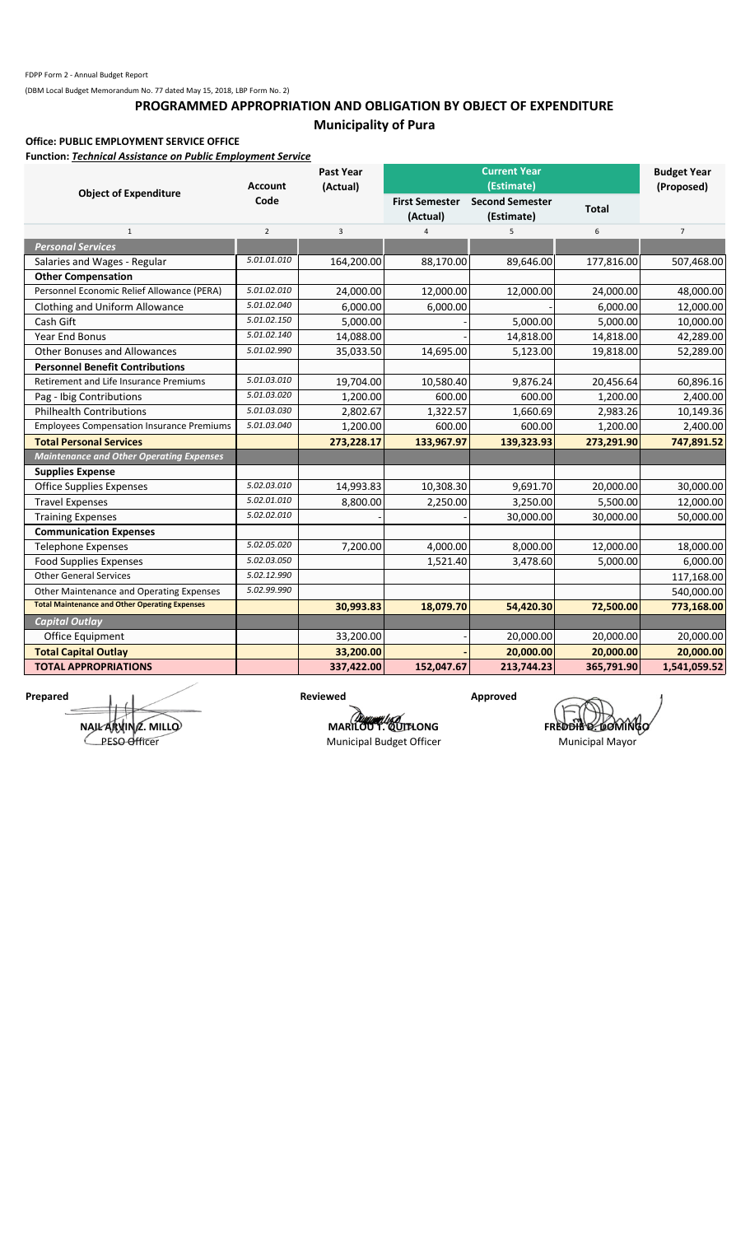## **PROGRAMMED APPROPRIATION AND OBLIGATION BY OBJECT OF EXPENDITURE Municipality of Pura**

#### **Office: PUBLIC EMPLOYMENT SERVICE OFFICE**

**Function:** *Technical Assistance on Public Employment Service*

|                                                       | <b>Account</b> | <b>Past Year</b><br>(Actual) | <b>Current Year</b><br>(Estimate) |                                      |              | <b>Budget Year</b><br>(Proposed) |
|-------------------------------------------------------|----------------|------------------------------|-----------------------------------|--------------------------------------|--------------|----------------------------------|
| <b>Object of Expenditure</b>                          | Code           |                              | <b>First Semester</b><br>(Actual) | <b>Second Semester</b><br>(Estimate) | <b>Total</b> |                                  |
| $\mathbf{1}$                                          | $\overline{2}$ | 3                            | $\overline{4}$                    | 5                                    | 6            | $\overline{7}$                   |
| <b>Personal Services</b>                              |                |                              |                                   |                                      |              |                                  |
| Salaries and Wages - Regular                          | 5.01.01.010    | 164,200.00                   | 88,170.00                         | 89,646.00                            | 177,816.00   | 507,468.00                       |
| <b>Other Compensation</b>                             |                |                              |                                   |                                      |              |                                  |
| Personnel Economic Relief Allowance (PERA)            | 5.01.02.010    | 24,000.00                    | 12,000.00                         | 12,000.00                            | 24,000.00    | 48,000.00                        |
| Clothing and Uniform Allowance                        | 5.01.02.040    | 6,000.00                     | 6,000.00                          |                                      | 6,000.00     | 12,000.00                        |
| Cash Gift                                             | 5.01.02.150    | 5,000.00                     |                                   | 5,000.00                             | 5,000.00     | 10,000.00                        |
| <b>Year End Bonus</b>                                 | 5.01.02.140    | 14,088.00                    |                                   | 14,818.00                            | 14,818.00    | 42,289.00                        |
| <b>Other Bonuses and Allowances</b>                   | 5.01.02.990    | 35,033.50                    | 14,695.00                         | 5,123.00                             | 19,818.00    | 52,289.00                        |
| <b>Personnel Benefit Contributions</b>                |                |                              |                                   |                                      |              |                                  |
| Retirement and Life Insurance Premiums                | 5.01.03.010    | 19,704.00                    | 10,580.40                         | 9,876.24                             | 20,456.64    | 60,896.16                        |
| Pag - Ibig Contributions                              | 5.01.03.020    | 1,200.00                     | 600.00                            | 600.00                               | 1,200.00     | 2,400.00                         |
| <b>Philhealth Contributions</b>                       | 5.01.03.030    | 2,802.67                     | 1,322.57                          | 1,660.69                             | 2,983.26     | 10,149.36                        |
| <b>Employees Compensation Insurance Premiums</b>      | 5.01.03.040    | 1,200.00                     | 600.00                            | 600.00                               | 1,200.00     | 2,400.00                         |
| <b>Total Personal Services</b>                        |                | 273,228.17                   | 133,967.97                        | 139,323.93                           | 273,291.90   | 747,891.52                       |
| <b>Maintenance and Other Operating Expenses</b>       |                |                              |                                   |                                      |              |                                  |
| <b>Supplies Expense</b>                               |                |                              |                                   |                                      |              |                                  |
| <b>Office Supplies Expenses</b>                       | 5.02.03.010    | 14,993.83                    | 10,308.30                         | 9,691.70                             | 20,000.00    | 30,000.00                        |
| <b>Travel Expenses</b>                                | 5.02.01.010    | 8,800.00                     | 2,250.00                          | 3,250.00                             | 5,500.00     | 12,000.00                        |
| <b>Training Expenses</b>                              | 5.02.02.010    |                              |                                   | 30,000.00                            | 30,000.00    | 50,000.00                        |
| <b>Communication Expenses</b>                         |                |                              |                                   |                                      |              |                                  |
| <b>Telephone Expenses</b>                             | 5.02.05.020    | 7,200.00                     | 4,000.00                          | 8,000.00                             | 12,000.00    | 18,000.00                        |
| <b>Food Supplies Expenses</b>                         | 5.02.03.050    |                              | 1,521.40                          | 3,478.60                             | 5,000.00     | 6,000.00                         |
| <b>Other General Services</b>                         | 5.02.12.990    |                              |                                   |                                      |              | 117,168.00                       |
| Other Maintenance and Operating Expenses              | 5.02.99.990    |                              |                                   |                                      |              | 540,000.00                       |
| <b>Total Maintenance and Other Operating Expenses</b> |                | 30,993.83                    | 18,079.70                         | 54,420.30                            | 72,500.00    | 773,168.00                       |
| <b>Capital Outlay</b>                                 |                |                              |                                   |                                      |              |                                  |
| Office Equipment                                      |                | 33,200.00                    |                                   | 20,000.00                            | 20,000.00    | 20,000.00                        |
| <b>Total Capital Outlay</b>                           |                | 33,200.00                    |                                   | 20,000.00                            | 20,000.00    | 20,000.00                        |
| <b>TOTAL APPROPRIATIONS</b>                           |                | 337,422.00                   | 152,047.67                        | 213,744.23                           | 365,791.90   | 1,541,059.52                     |

**Prepared Approved Approved Approved Approved Approved Approved Approved Approved Approved Approved Approved Approved Approved Approved Approved Approved Approved Approved Approved Approved Approved Approved Approved Appro** 

**MARILOU T. QUITLONG FREDDIE DOMINGO** 

**NAIL ARVIN Z. MILLO** PESO Officer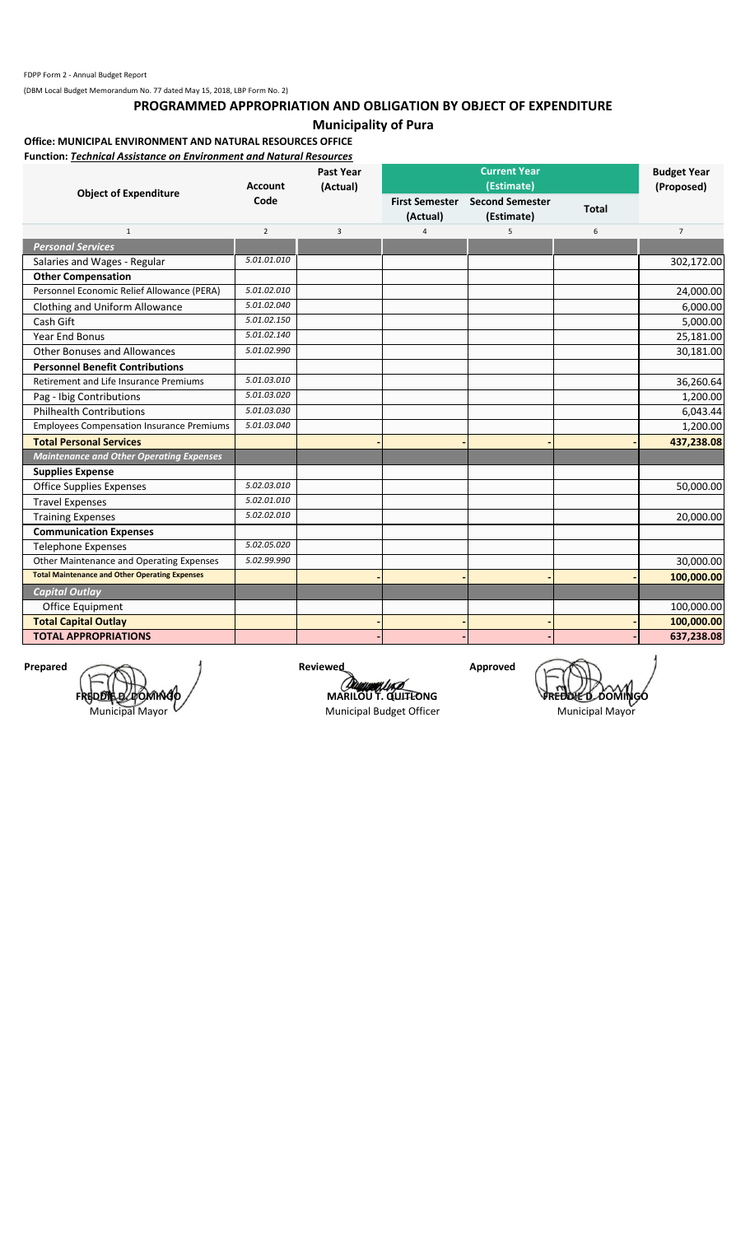## **PROGRAMMED APPROPRIATION AND OBLIGATION BY OBJECT OF EXPENDITURE**

### **Municipality of Pura**

### **Office: MUNICIPAL ENVIRONMENT AND NATURAL RESOURCES OFFICE**

**Function:** *Technical Assistance on Environment and Natural Resources*

|                                                       | <b>Account</b> | (Actual) | <b>Current Year</b><br>(Estimate) |                                      |              | <b>Budget Year</b><br>(Proposed) |
|-------------------------------------------------------|----------------|----------|-----------------------------------|--------------------------------------|--------------|----------------------------------|
| <b>Object of Expenditure</b>                          | Code           |          | <b>First Semester</b><br>(Actual) | <b>Second Semester</b><br>(Estimate) | <b>Total</b> |                                  |
| $\mathbf{1}$                                          | $\overline{2}$ | 3        | $\overline{a}$                    | 5                                    | 6            | $\overline{7}$                   |
| <b>Personal Services</b>                              |                |          |                                   |                                      |              |                                  |
| Salaries and Wages - Regular                          | 5.01.01.010    |          |                                   |                                      |              | 302,172.00                       |
| <b>Other Compensation</b>                             |                |          |                                   |                                      |              |                                  |
| Personnel Economic Relief Allowance (PERA)            | 5.01.02.010    |          |                                   |                                      |              | 24,000.00                        |
| Clothing and Uniform Allowance                        | 5.01.02.040    |          |                                   |                                      |              | 6,000.00                         |
| Cash Gift                                             | 5.01.02.150    |          |                                   |                                      |              | 5,000.00                         |
| <b>Year End Bonus</b>                                 | 5.01.02.140    |          |                                   |                                      |              | 25,181.00                        |
| <b>Other Bonuses and Allowances</b>                   | 5.01.02.990    |          |                                   |                                      |              | 30,181.00                        |
| <b>Personnel Benefit Contributions</b>                |                |          |                                   |                                      |              |                                  |
| <b>Retirement and Life Insurance Premiums</b>         | 5.01.03.010    |          |                                   |                                      |              | 36,260.64                        |
| Pag - Ibig Contributions                              | 5.01.03.020    |          |                                   |                                      |              | 1,200.00                         |
| <b>Philhealth Contributions</b>                       | 5.01.03.030    |          |                                   |                                      |              | 6,043.44                         |
| <b>Employees Compensation Insurance Premiums</b>      | 5.01.03.040    |          |                                   |                                      |              | 1,200.00                         |
| <b>Total Personal Services</b>                        |                |          |                                   |                                      |              | 437,238.08                       |
| <b>Maintenance and Other Operating Expenses</b>       |                |          |                                   |                                      |              |                                  |
| <b>Supplies Expense</b>                               |                |          |                                   |                                      |              |                                  |
| <b>Office Supplies Expenses</b>                       | 5.02.03.010    |          |                                   |                                      |              | 50,000.00                        |
| <b>Travel Expenses</b>                                | 5.02.01.010    |          |                                   |                                      |              |                                  |
| <b>Training Expenses</b>                              | 5.02.02.010    |          |                                   |                                      |              | 20,000.00                        |
| <b>Communication Expenses</b>                         |                |          |                                   |                                      |              |                                  |
| <b>Telephone Expenses</b>                             | 5.02.05.020    |          |                                   |                                      |              |                                  |
| Other Maintenance and Operating Expenses              | 5.02.99.990    |          |                                   |                                      |              | 30,000.00                        |
| <b>Total Maintenance and Other Operating Expenses</b> |                |          |                                   |                                      |              | 100,000.00                       |
| <b>Capital Outlay</b>                                 |                |          |                                   |                                      |              |                                  |
| Office Equipment                                      |                |          |                                   |                                      |              | 100,000.00                       |
| <b>Total Capital Outlay</b>                           |                |          |                                   |                                      |              | 100,000.00                       |
| <b>TOTAL APPROPRIATIONS</b>                           |                |          |                                   |                                      |              | 637,238.08                       |

Prepared **Approved Reviewed Approved FREDDIE D. DOMING** 

Municipal Mayor

*COMMERCIAL*<br>**MARILOU T. QUITLONG**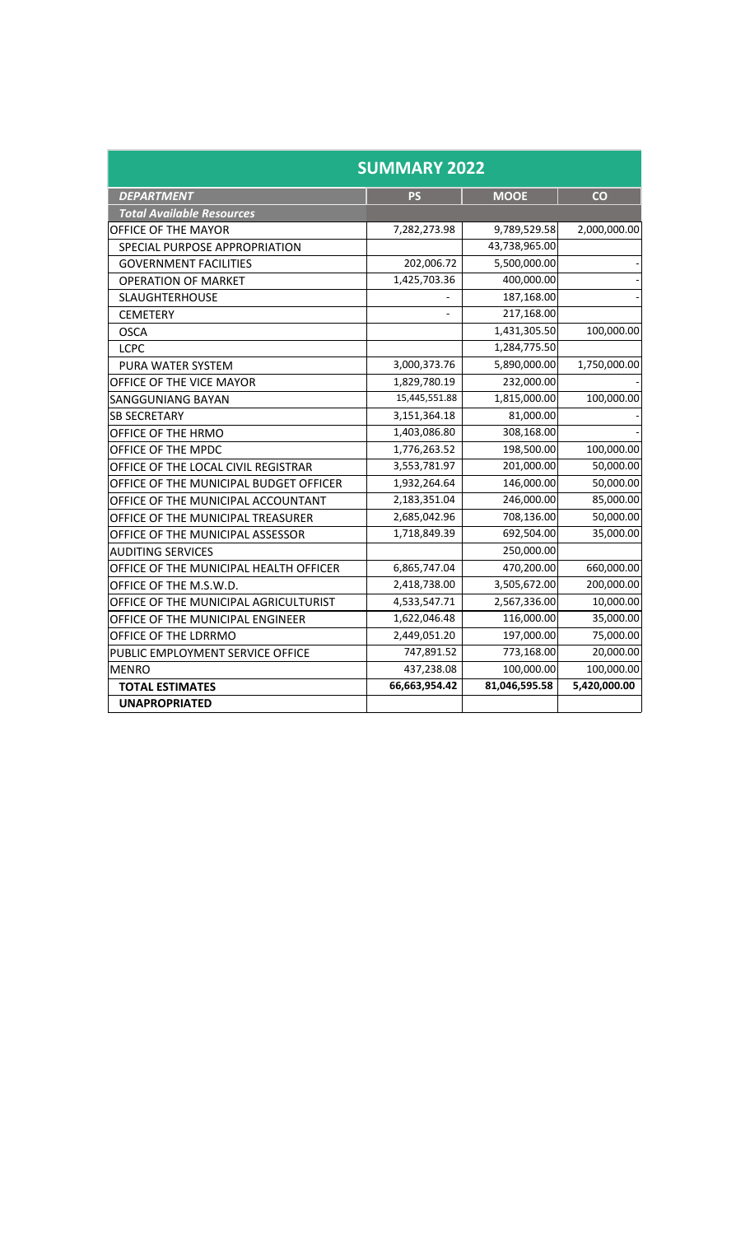| <b>SUMMARY 2022</b>                    |               |               |              |  |
|----------------------------------------|---------------|---------------|--------------|--|
| <b>DEPARTMENT</b>                      | <b>PS</b>     | <b>MOOE</b>   | co           |  |
| <b>Total Available Resources</b>       |               |               |              |  |
| OFFICE OF THE MAYOR                    | 7,282,273.98  | 9,789,529.58  | 2,000,000.00 |  |
| SPECIAL PURPOSE APPROPRIATION          |               | 43,738,965.00 |              |  |
| <b>GOVERNMENT FACILITIES</b>           | 202,006.72    | 5,500,000.00  |              |  |
| <b>OPERATION OF MARKET</b>             | 1,425,703.36  | 400,000.00    |              |  |
| <b>SLAUGHTERHOUSE</b>                  |               | 187,168.00    |              |  |
| <b>CEMETERY</b>                        |               | 217,168.00    |              |  |
| <b>OSCA</b>                            |               | 1,431,305.50  | 100,000.00   |  |
| <b>LCPC</b>                            |               | 1,284,775.50  |              |  |
| <b>PURA WATER SYSTEM</b>               | 3,000,373.76  | 5,890,000.00  | 1,750,000.00 |  |
| OFFICE OF THE VICE MAYOR               | 1,829,780.19  | 232,000.00    |              |  |
| <b>SANGGUNIANG BAYAN</b>               | 15,445,551.88 | 1,815,000.00  | 100,000.00   |  |
| <b>SB SECRETARY</b>                    | 3,151,364.18  | 81,000.00     |              |  |
| OFFICE OF THE HRMO                     | 1,403,086.80  | 308,168.00    |              |  |
| OFFICE OF THE MPDC                     | 1,776,263.52  | 198,500.00    | 100,000.00   |  |
| OFFICE OF THE LOCAL CIVIL REGISTRAR    | 3,553,781.97  | 201,000.00    | 50,000.00    |  |
| OFFICE OF THE MUNICIPAL BUDGET OFFICER | 1,932,264.64  | 146,000.00    | 50,000.00    |  |
| OFFICE OF THE MUNICIPAL ACCOUNTANT     | 2,183,351.04  | 246,000.00    | 85,000.00    |  |
| OFFICE OF THE MUNICIPAL TREASURER      | 2,685,042.96  | 708,136.00    | 50,000.00    |  |
| OFFICE OF THE MUNICIPAL ASSESSOR       | 1,718,849.39  | 692,504.00    | 35,000.00    |  |
| <b>AUDITING SERVICES</b>               |               | 250,000.00    |              |  |
| OFFICE OF THE MUNICIPAL HEALTH OFFICER | 6,865,747.04  | 470,200.00    | 660,000.00   |  |
| OFFICE OF THE M.S.W.D.                 | 2,418,738.00  | 3,505,672.00  | 200,000.00   |  |
| OFFICE OF THE MUNICIPAL AGRICULTURIST  | 4,533,547.71  | 2,567,336.00  | 10,000.00    |  |
| OFFICE OF THE MUNICIPAL ENGINEER       | 1,622,046.48  | 116,000.00    | 35,000.00    |  |
| OFFICE OF THE LDRRMO                   | 2,449,051.20  | 197,000.00    | 75,000.00    |  |
| PUBLIC EMPLOYMENT SERVICE OFFICE       | 747,891.52    | 773,168.00    | 20,000.00    |  |
| <b>MENRO</b>                           | 437,238.08    | 100,000.00    | 100,000.00   |  |
| <b>TOTAL ESTIMATES</b>                 | 66,663,954.42 | 81,046,595.58 | 5,420,000.00 |  |
| <b>UNAPROPRIATED</b>                   |               |               |              |  |